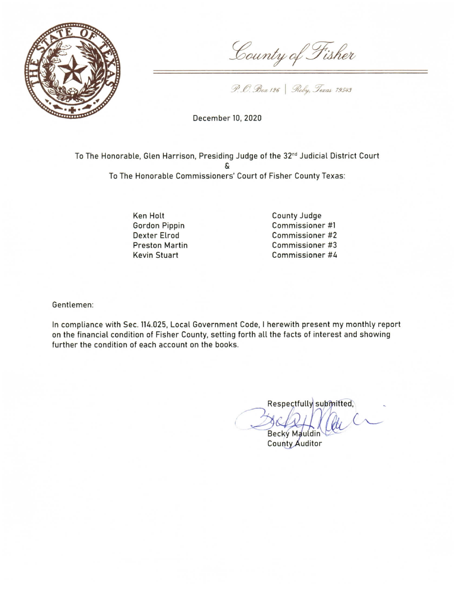

County of Fisher

P. O. Box 126 | Roby, Texas 79543

December 10, 2020

To The Honorable, Glen Harrison, Presiding Judge of the 32<sup>nd</sup> Judicial District Court To The Honorable Commissioners' Court of Fisher County Texas:

> Ken Holt **Gordon Pippin Dexter Elrod Preston Martin Kevin Stuart**

County Judge Commissioner #1 Commissioner #2 Commissioner #3 Commissioner #4

Gentlemen:

In compliance with Sec. 114.025, Local Government Code, I herewith present my monthly report on the financial condition of Fisher County, setting forth all the facts of interest and showing further the condition of each account on the books.

Respectfully submitted, **Becky Mauldin** 

County Auditor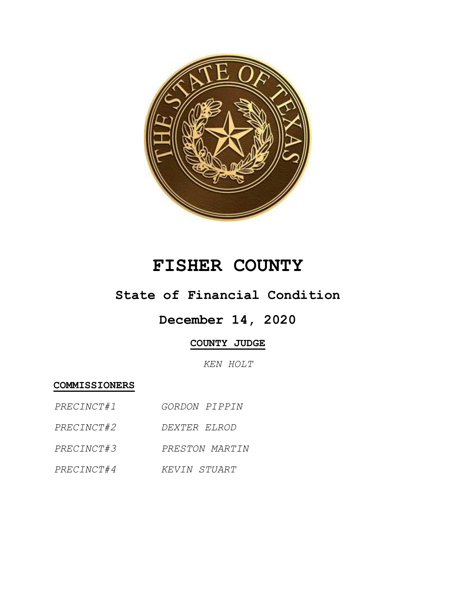

# **FISHER COUNTY**

## **State of Financial Condition**

## **December 14, 2020**

## **COUNTY JUDGE**

*KEN HOLT*

**COMMISSIONERS**

- *PRECINCT#1 GORDON PIPPIN*
- *PRECINCT#2 DEXTER ELROD*
- *PRECINCT#3 PRESTON MARTIN*
- *PRECINCT#4 KEVIN STUART*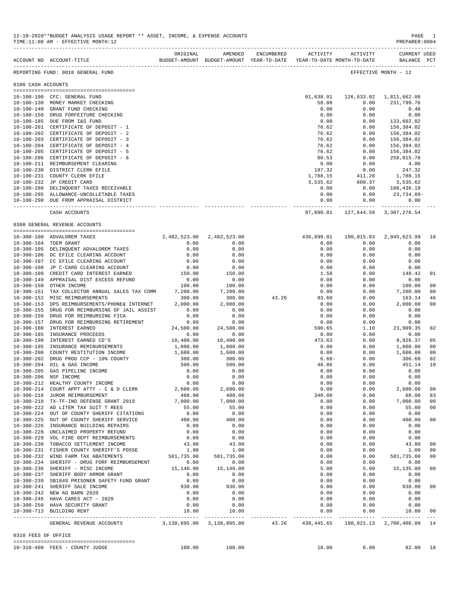|                       | ACCOUNT NO ACCOUNT-TITLE                                                                                                                            | ORIGINAL          | AMENDED<br>BUDGET-AMOUNT BUDGET-AMOUNT YEAR-TO-DATE YEAR-TO-DATE MONTH-TO-DATE | ENCUMBERED ACTIVITY |            | ACTIVITY            | <b>CURRENT USED</b><br>BALANCE PCT |                |
|-----------------------|-----------------------------------------------------------------------------------------------------------------------------------------------------|-------------------|--------------------------------------------------------------------------------|---------------------|------------|---------------------|------------------------------------|----------------|
|                       | REPORTING FUND: 0010 GENERAL FUND                                                                                                                   |                   |                                                                                |                     |            |                     | EFFECTIVE MONTH - 12               |                |
| 0100 CASH ACCOUNTS    |                                                                                                                                                     |                   |                                                                                |                     |            |                     |                                    |                |
|                       |                                                                                                                                                     |                   |                                                                                |                     |            |                     |                                    |                |
|                       | 10-100-100 CFC: GENERAL FUND                                                                                                                        |                   |                                                                                |                     | 91,638.01  | 126,633.02          | 1,811,662.09                       |                |
|                       | 10-100-130 MONEY MARKET CHECKING                                                                                                                    |                   |                                                                                |                     | 58.08      | 0.00                | 231,799.76                         |                |
| 10-100-140            | GRANT FUND CHECKING                                                                                                                                 |                   |                                                                                |                     | 0.00       | 0.00                | 0.40                               |                |
|                       | 10-100-150 DRUG FORFEITURE CHECKING                                                                                                                 |                   |                                                                                |                     | 0.00       | 0.00                | 0.00                               |                |
|                       | 10-100-185 DUE FROM I&S FUND                                                                                                                        |                   |                                                                                |                     | 0.00       | 0.00                | 133,602.02                         |                |
|                       | 10-100-201 CERTIFICATE OF DEPOSIT - 1                                                                                                               |                   |                                                                                |                     | 76.62      | 0.00                | 156,384.02                         |                |
|                       | 10-100-202 CERTIFICATE OF DEPOSIT - 2                                                                                                               |                   |                                                                                |                     | 76.62      | 0.00                | 156,384.02                         |                |
|                       | 10-100-203 CERTIFICATE OF DEPOSIT - 3                                                                                                               |                   |                                                                                |                     | 76.62      | 0.00                | 156,384.02                         |                |
|                       | 10-100-204 CERTIFICATE OF DEPOSIT - 4                                                                                                               |                   |                                                                                |                     | 76.62      | 0.00                | 156,384.02                         |                |
|                       |                                                                                                                                                     |                   |                                                                                |                     |            |                     |                                    |                |
|                       | 10-100-205 CERTIFICATE OF DEPOSIT - 5                                                                                                               |                   |                                                                                |                     | 76.62      | 0.00                | 156,384.02                         |                |
|                       | 10-100-206 CERTIFICATE OF DEPOSIT - 6                                                                                                               |                   |                                                                                |                     | 90.53      | 0.00                | 258,015.78                         |                |
|                       | 10-100-211 REIMBURSEMENT CLEARING                                                                                                                   |                   |                                                                                |                     | 0.00       | 0.00                | 4.00                               |                |
|                       | 10-100-230 DISTRICT CLERK EFILE                                                                                                                     |                   |                                                                                |                     | 197.32     | 0.00                | 247.32                             |                |
|                       | 10-100-231 COUNTY CLERK EFILE                                                                                                                       |                   |                                                                                |                     | 1,788.15   | 411.20              | 1,788.15                           |                |
|                       | 10-100-232 JP CREDIT CARD                                                                                                                           |                   |                                                                                |                     | 3,535.62   | 600.37              | 3,535.62                           |                |
|                       | 10-100-280 DELINQUENT TAXES RECEIVABLE                                                                                                              |                   |                                                                                |                     | 0.00       | 0.00                | 108,436.19                         |                |
|                       | 10-100-285 ALLOWANCE-UNCOLLETABLE TAXES                                                                                                             |                   |                                                                                |                     | 0.00       | 0.00                | 23,734.89-                         |                |
|                       | 10-100-290 DUE FROM APPRAISAL DISTRICT                                                                                                              |                   |                                                                                |                     | 0.00       | 0.00                | 0.00                               |                |
|                       |                                                                                                                                                     |                   |                                                                                |                     |            |                     | -------------                      |                |
|                       | CASH ACCOUNTS                                                                                                                                       |                   |                                                                                |                     | 97,690.81  |                     | 127,644.59 3,307,276.54            |                |
|                       | 0300 GENERAL REVENUE ACCOUNTS                                                                                                                       |                   |                                                                                |                     |            |                     |                                    |                |
|                       |                                                                                                                                                     |                   | 2,482,523.00                                                                   |                     |            |                     |                                    |                |
|                       | 10-300-100 ADVALOREM TAXES                                                                                                                          | 2,482,523.00      |                                                                                |                     | 436,899.01 | 190,815.03          | 2,045,623.99                       | 18             |
| 10-300-104 TDEM GRANT |                                                                                                                                                     | 0.00              | 0.00                                                                           |                     | 0.00       | 0.00                | 0.00                               |                |
|                       | 10-300-105 DELINQUENT ADVALOREM TAXES                                                                                                               | 0.00              | 0.00                                                                           |                     | 0.00       | 0.00                | 0.00                               |                |
|                       | 10-300-106 DC EFILE CLEARING ACCOUNT                                                                                                                | 0.00              | 0.00                                                                           |                     | 0.00       | 0.00                | 0.00                               |                |
|                       | 10-300-107 CC EFILE CLEARING ACCOUNT                                                                                                                | 0.00              | 0.00                                                                           |                     | 0.00       | 0.00                | 0.00                               |                |
|                       | 10-300-108 JP C-CARD CLEARING ACCOUNT                                                                                                               | 0.00              | 0.00                                                                           |                     | 0.00       | 0.00                | 0.00                               |                |
| 10-300-109            | CREDIT CARD INTEREST EARNED                                                                                                                         | 150.00            | 150.00                                                                         |                     | 1.58       | 0.00                | 148.42                             | 01             |
|                       | 10-300-149 APPRAISAL DIST EXCESS REFUND                                                                                                             | 0.00              | 0.00                                                                           |                     | 0.00       | 0.00                | 0.00                               |                |
| $10 - 300 - 150$      | OTHER INCOME                                                                                                                                        | 100.00            | 100.00                                                                         |                     | 0.00       | 0.00                | 100.00                             | 00             |
|                       | 10-300-151 TAX COLLECTOR ANNUAL SALES TAX COMM                                                                                                      | 7,200.00          | 7,200.00                                                                       |                     | 0.00       | 0.00                | 7,200.00                           | 00             |
|                       | 10-300-152 MISC REIMBURSEMENTS                                                                                                                      | 300.00            | 300.00                                                                         | 43.26               | 93.60      | 0.00                | 163.14                             | 46             |
| 10-300-153            | DPS REIMBURSEMENTS/PHONE& INTERNET                                                                                                                  | 2,000.00          | 2,000.00                                                                       |                     | 0.00       | 0.00                | 2,000.00                           | 00             |
|                       |                                                                                                                                                     |                   |                                                                                |                     |            |                     |                                    |                |
| $10 - 300 - 155$      | DRUG FOR REIMBURSING GF JAIL ASSIST                                                                                                                 | 0.00              | 0.00                                                                           |                     | 0.00       | 0.00                | 0.00                               |                |
| $10 - 300 - 156$      | DRUG FOR REIMBURSING FICA                                                                                                                           | 0.00              | 0.00                                                                           |                     | 0.00       | 0.00                | 0.00                               |                |
| 10-300-157            | DRUG FOR REIMBURSING RETIREMENT                                                                                                                     | 0.00              | 0.00                                                                           |                     | 0.00       | 0.00                | 0.00                               |                |
| $10 - 300 - 180$      | <b>INTEREST EARNED</b>                                                                                                                              | 24,500.00         | 24,500.00                                                                      |                     | 590.65     | 1.10                | 23,909.35                          | 02             |
| $10 - 300 - 185$      | INSURANCE PROCEEDS                                                                                                                                  | 0.00              | 0.00                                                                           |                     | 0.00       | 0.00                | 0.00                               |                |
| $10 - 300 - 190$      | INTEREST EARNED CD'S                                                                                                                                | 10,400.00         | 10,400.00                                                                      |                     | 473.63     | 0.00                | 9,926.37                           | 05             |
| $10 - 300 - 195$      | INSURANCE REMIBURSEMENTS                                                                                                                            | 1,000.00          | 1,000.00                                                                       |                     | 0.00       | 0.00                | 1,000.00                           | 0 <sub>0</sub> |
| $10 - 300 - 200$      | COUNTY RESTITUTION INCOME                                                                                                                           | 1,600.00          | 1,600.00                                                                       |                     | 0.00       | 0.00                | 1,600.00                           | 00             |
| $10 - 300 - 202$      | DRUG PROG CCP - 10% COUNTY                                                                                                                          | 300.00            | 300.00                                                                         |                     | $6.68-$    | 0.00                | 306.68                             | 02             |
| $10 - 300 - 204$      | OIL & GAS INCOME                                                                                                                                    | 500.00            | 500.00                                                                         |                     | 48.86      | 0.00                | 451.14                             | 10             |
|                       |                                                                                                                                                     |                   |                                                                                |                     |            |                     |                                    |                |
| $10 - 300 - 205$      | GAS PIPELINE INCOME                                                                                                                                 | 0.00              | 0.00                                                                           |                     | 0.00       | 0.00                | 0.00                               |                |
| 10-300-206 NSF INCOME |                                                                                                                                                     | 0.00              | 0.00                                                                           |                     | 0.00       | 0.00                | 0.00                               |                |
|                       | 10-300-212 HEALTHY COUNTY INCOME                                                                                                                    | 0.00              | 0.00                                                                           |                     | 0.00       | 0.00                | 0.00                               |                |
|                       | 10-300-214 COURT APPT ATTY - C & D CLERK 2,600.00                                                                                                   |                   | 2,600.00                                                                       |                     | 0.00       | 0.00                | 2,600.00                           | 00             |
|                       | 10-300-216 JUROR REIMBURSEMENT                                                                                                                      | 408.00            | 408.00                                                                         |                     | 340.00     | 0.00                | 68.00                              | 83             |
|                       | 10-300-218 TX-TF-IND DEFENSE GRANT 2019                                                                                                             | 7,000.00          | 7,000.00                                                                       |                     | 0.00       | 0.00                | 7,000.00                           | 00             |
|                       | 10-300-222 AD LITEM TAX SUIT T REES                                                                                                                 |                   | 55.00                                                                          |                     | 0.00       | 0.00                | 55.00                              | 00             |
|                       | 10-300-224 OUT OF COUNTY SHERIFF CITATIONS                                                                                                          | $55.00$<br>$0.00$ | 0.00                                                                           |                     | 0.00       | 0.00                | 0.00                               |                |
|                       | 10-300-225 OUT OF COUNTY SHERIFF SERVICE                                                                                                            | 400.00            | 400.00                                                                         |                     | 0.00       | 0.00                | 400.00                             | 00             |
|                       | 10-300-226 INSURANCE BUILDING REPAIRS                                                                                                               | 0.00              | 0.00                                                                           |                     | 0.00       | 0.00                | 0.00                               |                |
|                       | 10-300-228 UNCLAIMED PROPERTY REFUND                                                                                                                | 0.00              | 0.00                                                                           |                     | 0.00       | 0.00                | 0.00                               |                |
|                       |                                                                                                                                                     |                   |                                                                                |                     |            |                     |                                    |                |
|                       | 10-300-229 VOL FIRE DEPT REIMBURSEMENTS                                                                                                             | 0.00              | 0.00                                                                           |                     | 0.00       | 0.00                | 0.00                               |                |
|                       | 10-300-230 TOBACCO SETTLEMENT INCOME                                                                                                                | 43.00             | 43.00                                                                          |                     | 0.00       | 0.00                | 43.00                              | 00             |
|                       | 10-300-231 FISHER COUNTY SHERIFF'S POSSE<br>10 - 300 - 231 FISHER COUNTY SHERIFF'S POSSE 1.00<br>10 - 300 - 232 WIND FARM TAX ABATEMENTS 581,735.00 | 1.00              | 1.00                                                                           |                     | 0.00       | 0.00                | 1.00                               | 00             |
|                       |                                                                                                                                                     |                   | 581,735.00                                                                     |                     | 0.00       | 0.00                | 581,735.00                         | 00             |
|                       | 10-300-234 SHERIFF - DRUG FORF REIMBURSEMENT 0.00                                                                                                   |                   | 0.00                                                                           |                     | 0.00       | 0.00                | 0.00                               |                |
|                       | 10-300-236 SHERIFF - MISC INCOME                                                                                                                    | 15,140.00         | 15,140.00                                                                      |                     | 5.00       | 5.00                | 15,135.00                          | 00             |
|                       | 10-300-237 SHERIFF BODY ARMOR GRANT                                                                                                                 | 0.00              | 0.00                                                                           |                     | 0.00       | 0.00                | 0.00                               |                |
|                       | 10-300-239 SB1849 PRISONER SAFETY FUND GRANT                                                                                                        | 0.00              | 0.00                                                                           |                     | 0.00       | 0.00                | 0.00                               |                |
|                       | 10-300-241 SHERIFF SALE INCOME                                                                                                                      | 930.00            | 930.00                                                                         |                     | 0.00       | 0.00                | 930.00 00                          |                |
|                       | 10-300-242 NEW AG BARN 2020                                                                                                                         | 0.00              | 0.00                                                                           |                     | 0.00       | 0.00                | 0.00                               |                |
|                       |                                                                                                                                                     |                   |                                                                                |                     | 0.00       |                     |                                    |                |
|                       | 10-300-245 HAVA CARES ACT - 2020                                                                                                                    | 0.00              | 0.00                                                                           |                     |            | 0.00                | 0.00                               |                |
|                       | 10-300-250 HAVA SECURITY GRANT                                                                                                                      | 0.00              | 0.00                                                                           |                     | 0.00       | 0.00                | 0.00                               |                |
|                       | 10-300-713 BUILDING RENT                                                                                                                            | 10.00             | 10.00                                                                          |                     | 0.00       | 0.00                | 10.00 00                           |                |
|                       | GENERAL REVENUE ACCOUNTS 3,138,895.00 3,138,895.00 43.26 438,445.65 190,821.13 2,700,406.09 14                                                      |                   |                                                                                |                     |            |                     |                                    |                |
| 0310 FEES OF OFFICE   |                                                                                                                                                     |                   |                                                                                |                     |            |                     |                                    |                |
|                       |                                                                                                                                                     |                   | 100.00 100.00                                                                  |                     |            | 18.00 6.00 82.00 18 |                                    |                |
|                       | 10-310-400 FEES - COUNTY JUDGE                                                                                                                      |                   |                                                                                |                     |            |                     |                                    |                |

12-10-2020\*\*BUDGET ANALYSIS USAGE REPORT \*\* ASSET, INCOME, & EXPENSE ACCOUNTS PAGE 1 TIME: $11:08$  AM - EFFECTIVE MONTH: $12$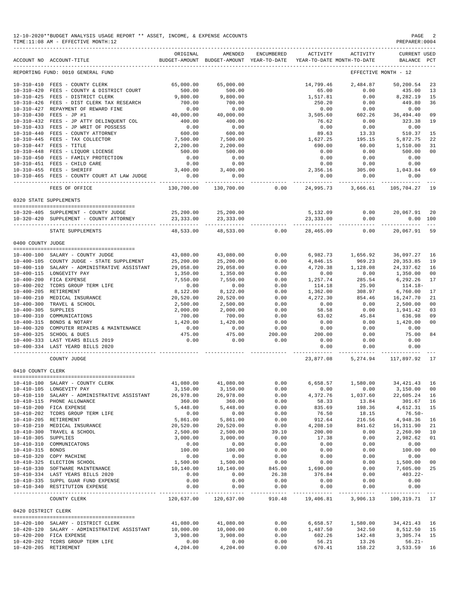| 12-10-2020**BUDGET ANALYSIS USAGE REPORT ** ASSET, INCOME, & EXPENSE ACCOUNTS | PAGE           |
|-------------------------------------------------------------------------------|----------------|
| TIME:11:08 AM - EFFECTIVE MONTH:12                                            | PREPARER: 0004 |

|                     | ACCOUNT NO ACCOUNT-TITLE                                                 | ORIGINAL              | AMENDED<br>BUDGET-AMOUNT BUDGET-AMOUNT YEAR-TO-DATE | ENCUMBERED              | ACTIVITY                | ACTIVITY<br>YEAR-TO-DATE MONTH-TO-DATE | CURRENT USED<br>BALANCE        | $_{\rm PCT}$   |
|---------------------|--------------------------------------------------------------------------|-----------------------|-----------------------------------------------------|-------------------------|-------------------------|----------------------------------------|--------------------------------|----------------|
|                     | REPORTING FUND: 0010 GENERAL FUND                                        |                       |                                                     |                         |                         |                                        | EFFECTIVE MONTH - 12           |                |
|                     | 10-310-410 FEES - COUNTY CLERK                                           | 65,000.00             | 65,000.00                                           |                         | 14,799.46               | 2,484.87                               | 50,200.54                      | 23             |
| $10 - 310 - 420$    | FEES - COUNTY & DISTRICT COURT                                           | 500.00                | 500.00                                              |                         | 65.00                   | 0.00                                   | 435.00                         | 13             |
|                     | 10-310-425 FEES - DISTRICT CLERK                                         | 9,800.00              | 9,800.00                                            |                         | 1,517.81                | 0.00                                   | 8,282.19                       | 15             |
|                     | 10-310-426 FEES - DIST CLERK TAX RESEARCH                                | 700.00                | 700.00                                              |                         | 250.20                  | 0.00                                   | 449.80                         | 36             |
| 10-310-427          | REPAYMENT OF REWARD FINE                                                 | 0.00                  | 0.00                                                |                         | 0.00                    | 0.00                                   | 0.00                           |                |
|                     | 10-310-430 FEES - JP #1                                                  | 40,000.00             | 40,000.00                                           |                         | 3,505.60                | 602.26                                 | 36,494.40                      | 09             |
|                     | 10-310-432 FEES - JP ATTY DELINQUENT COL                                 | 400.00                | 400.00                                              |                         | 76.62                   | 0.00                                   | 323.38                         | 19             |
| $10 - 310 - 433$    | FEES - JP WRIT OF POSSESS                                                | 0.00                  | 0.00                                                |                         | 0.00                    | 0.00                                   | 0.00                           |                |
| $10 - 310 - 440$    | FEES - COUNTY ATTORNEY                                                   | 600.00                | 600.00                                              |                         | 89.63                   | 13.33                                  | 510.37                         | 15             |
| $10 - 310 - 445$    | FEES - TAX COLLECTOR                                                     | 7,500.00              | 7,500.00                                            |                         | 1,627.25                | 195.15                                 | 5,872.75                       | 22             |
|                     | $10-310-447$ FEES - TITLE<br>10-310-448<br>FEES - LIQUOR LICENSE         | 2,200.00              | 2,200.00                                            |                         | 690.00                  | 60.00                                  | 1,510.00                       | 31             |
|                     |                                                                          | 500.00                | 500.00                                              |                         | 0.00                    | 0.00                                   | 500.00                         | 00             |
|                     | 10-310-450 FEES - FAMILY PROTECTION                                      | 0.00                  | 0.00                                                |                         | 0.00                    | 0.00                                   | 0.00                           |                |
|                     | 10-310-451 FEES - CHILD CARE                                             | 0.00                  | 0.00                                                |                         | 0.00                    | 0.00                                   | 0.00                           |                |
|                     | 10-310-455 FEES - SHERIFF<br>10-310-465 FEES - COUNTY COURT AT LAW JUDGE | 3,400.00<br>0.00      | 3,400.00                                            |                         | 2,356.16                | 305.00<br>0.00                         | 1,043.84<br>0.00               | 69             |
|                     |                                                                          | ---------             | 0.00                                                |                         | 0.00<br>----------      | ---------                              | ----------                     |                |
|                     | FEES OF OFFICE                                                           | 130,700.00            | 130,700.00                                          | 0.00                    | 24,995.73               | 3,666.61                               | 105,704.27 19                  |                |
|                     | 0320 STATE SUPPLEMENTS                                                   |                       |                                                     |                         |                         |                                        |                                |                |
|                     | 10-320-405 SUPPLEMENT - COUNTY JUDGE                                     | 25,200.00             | 25,200.00                                           |                         | 5,132.09                | 0.00                                   | 20,067.91                      | 20             |
|                     | 10-320-420 SUPPLEMENT - COUNTY ATTORNEY                                  | 23, 333.00            | 23,333.00                                           |                         | 23,333.00               | 0.00                                   | 0.00 100                       |                |
|                     |                                                                          |                       |                                                     |                         |                         |                                        |                                |                |
|                     | STATE SUPPLEMENTS                                                        | 48,533.00             | 48,533.00                                           | 0.00                    | 28,465.09               | 0.00                                   | 20,067.91                      | 59             |
| 0400 COUNTY JUDGE   |                                                                          |                       |                                                     |                         |                         |                                        |                                |                |
|                     |                                                                          |                       |                                                     |                         |                         |                                        |                                |                |
|                     | 10-400-100 SALARY - COUNTY JUDGE                                         | 43,080.00             | 43,080.00                                           | 0.00                    |                         | 6,982.73 1,656.92                      | 36,097.27                      | 16             |
|                     | 10-400-105 COUNTY JUDGE - STATE SUPPLEMENT                               | 25,200.00             | 25,200.00                                           | 0.00                    | 4,846.15                | 969.23                                 | 20, 353.85                     | 19             |
|                     | 10-400-110 SALARY - ADMINISTRATIVE ASSISTANT                             | 29,058.00             | 29,058.00                                           | 0.00                    | 4,720.38                | 1,128.08                               | 24,337.62                      | 16             |
|                     | 10-400-115 LONGEVITY PAY                                                 | 1,350.00              | 1,350.00                                            | 0.00                    | 0.00                    | 0.00                                   | 1,350.00                       | 0 <sub>0</sub> |
|                     | 10-400-200 FICA EXPENSE                                                  | 7,550.00              | 7,550.00                                            | 0.00                    | 1,257.74                | 285.54                                 | 6,292.26                       | 17             |
|                     | 10-400-202 TCDRS GROUP TERM LIFE                                         | 0.00                  | 0.00                                                | 0.00                    | 114.18                  | 25.90                                  | 114.18-                        | 17             |
| $10 - 400 - 205$    | RETIREMENT<br>10-400-210 MEDICAL INSURANCE                               | 8,122.00<br>20,520.00 | 8,122.00<br>20,520.00                               | 0.00<br>0.00            | 1,362.00<br>4,272.30    | 308.97<br>854.46                       | 6,760.00<br>16,247.70          | 21             |
| $10 - 400 - 300$    | TRAVEL & SCHOOL                                                          | 2,500.00              | 2,500.00                                            | 0.00                    | 0.00                    | 0.00                                   | 2,500.00                       | 0 <sup>0</sup> |
| $10 - 400 - 305$    | SUPPLIES                                                                 | 2,000.00              | 2,000.00                                            | 0.00                    | 58.58                   | 0.00                                   | 1,941.42                       | 03             |
| $10 - 400 - 310$    | COMMUNICATIONS                                                           | 700.00                | 700.00                                              | 0.00                    | 63.02                   | 45.84                                  | 636.98                         | 09             |
|                     | 10-400-315 BONDS & NOTARY                                                | 1,420.00              | 1,420.00                                            | 0.00                    | 0.00                    | 0.00                                   | 1,420.00                       | 00             |
| $10 - 400 - 320$    | COMPUTER REPAIRS & MAINTENANCE                                           | 0.00                  | 0.00                                                | 0.00                    | 0.00                    | 0.00                                   | 0.00                           |                |
|                     | 10-400-325 SCHOOL & DUES                                                 | 475.00                | 475.00                                              | 200.00                  | 200.00                  | 0.00                                   | 75.00                          | 84             |
|                     | 10-400-333 LAST YEARS BILLS 2019                                         | 0.00                  | 0.00                                                | 0.00                    | 0.00                    | 0.00                                   | 0.00                           |                |
|                     | 10-400-334 LAST YEARD BILLS 2020                                         |                       |                                                     |                         | 0.00                    | 0.00                                   | 0.00                           |                |
|                     | COUNTY JUDGE                                                             |                       |                                                     |                         | ----------<br>23,877.08 |                                        | 5, 274.94 117, 897.92 17       |                |
|                     |                                                                          |                       |                                                     |                         |                         |                                        |                                |                |
| 0410 COUNTY CLERK   |                                                                          |                       |                                                     |                         |                         |                                        |                                |                |
|                     | 10-410-100 SALARY - COUNTY CLERK                                         | 41,080.00             | 41,080.00                                           | 0.00                    | 6,658.57                | 1,580.00                               | 34, 421.43                     | 16             |
|                     | 10-410-105 LONGEVITY PAY                                                 | 3,150.00              | 3,150.00                                            | 0.00                    | 0.00                    | 0.00                                   | 3,150.00                       | 00             |
|                     | 10-410-110 SALARY - ADMINISTRATIVE ASSISTANT                             | 26,978.00             | 26,978.00                                           | 0.00                    | 4,372.76                | 1,037.60                               | 22,605.24 16                   |                |
|                     | 10-410-115 PHONE ALLOWANCE                                               | 360.00                | 360.00                                              | 0.00                    | 58.33                   | 13.84                                  | 301.67 16                      |                |
|                     | 10-410-200 FICA EXPENSE                                                  | 5,448.00              | 5,448.00                                            | 0.00                    | 835.69                  | 198.36                                 | 4,612.31                       | 15             |
|                     | 10-410-202 TCDRS GROUP TERM LIFE                                         | 0.00                  | 0.00                                                | 0.00                    | 76.50                   | 18.15                                  | $76.50 -$                      |                |
|                     | 10-410-205 RETIREMENT                                                    | 5,861.00              | 5,861.00                                            | 0.00                    | 912.64                  | 216.56                                 | 4,948.36                       | 16             |
|                     | 10-410-210 MEDICAL INSURANCE                                             | 20,520.00             | 20,520.00                                           | 0.00                    | 4,208.10                | 841.62                                 | 16, 311.90                     | 21             |
| $10 - 410 - 300$    | TRAVEL & SCHOOL                                                          | 2,500.00              | 2,500.00                                            | 39.10                   | 200.00                  | 0.00                                   | 2,260.90                       | 10             |
| 10-410-305 SUPPLIES |                                                                          | 3,000.00              | 3,000.00                                            | 0.00                    | 17.38                   | 0.00                                   | 2,982.62                       | 01             |
|                     | 10-410-310 COMMUNICATONS                                                 | 0.00                  | 0.00                                                | 0.00                    | 0.00                    | 0.00                                   | 0.00                           |                |
| 10-410-315 BONDS    |                                                                          | 100.00                | 100.00                                              | 0.00                    | 0.00                    | 0.00                                   | 100.00                         | 0 <sub>0</sub> |
|                     | 10-410-320 COPY MACHINE                                                  | 0.00                  | 0.00                                                | 0.00                    | 0.00                    | 0.00                                   | 0.00                           |                |
|                     | 10-410-325 ELECTION SCHOOL                                               | 1,500.00              | 1,500.00                                            | 0.00                    | 0.00                    | 0.00                                   | 1,500.00 00                    |                |
|                     | 10-410-330 SOFTWARE MAINTENANCE                                          | 10,140.00             | 10,140.00                                           | 845.00                  | 1,690.00                | 0.00                                   | 7,605.00                       | 25             |
|                     | 10-410-334 LAST YEARS BILLS 2020                                         | 0.00                  | 0.00                                                | 26.38                   | 376.84                  | 0.00                                   | 403.22-                        |                |
|                     | 10-410-335 SUPPL GUAR FUND EXPENSE<br>10-410-340 RESTITUTION EXPENSE     | 0.00<br>0.00          | 0.00<br>0.00                                        | 0.00<br>0.00            | 0.00<br>0.00            | 0.00<br>0.00                           | 0.00<br>0.00                   |                |
|                     | COUNTY CLERK                                                             | 120,637.00            | 120,637.00                                          | -------------<br>910.48 | 19,406.81               | 3,906.13                               | ------------<br>100, 319.71 17 |                |
|                     |                                                                          |                       |                                                     |                         |                         |                                        |                                |                |
| 0420 DISTRICT CLERK |                                                                          |                       |                                                     |                         |                         |                                        |                                |                |
|                     | 10-420-100 SALARY - DISTRICT CLERK                                       | 41,080.00             | 41,080.00                                           | 0.00                    | 6,658.57                | 1,580.00                               | 34, 421. 43 16                 |                |
|                     | 10-420-120 SALARY - ADMINISTRATIVE ASSISTANT                             | 10,000.00             | 10,000.00                                           | 0.00                    | 1,487.50                | 342.50                                 | 8,512.50 15                    |                |
|                     | 10-420-200 FICA EXPENSE                                                  | 3,908.00              | 3,908.00                                            | 0.00                    | 602.26                  | 142.48                                 | 3,305.74 15                    |                |
|                     | 10-420-202 TCDRS GROUP TERM LIFE                                         | 0.00                  | 0.00                                                | 0.00                    | 56.21                   | 13.26                                  | $56.21 -$                      |                |
|                     | 10-420-205 RETIREMENT                                                    | 4,204.00              | 4,204.00                                            | 0.00                    | 670.41                  | 158.22                                 | 3,533.59 16                    |                |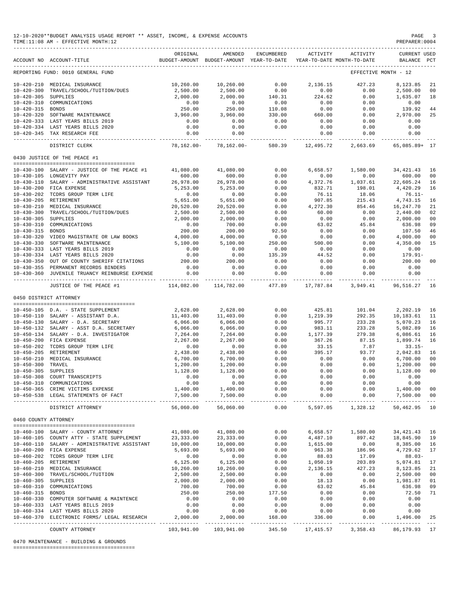|                        | 12-10-2020**BUDGET ANALYSIS USAGE REPORT ** ASSET, INCOME, & EXPENSE ACCOUNTS<br>TIME:11:08 AM - EFFECTIVE MONTH:12 |                            |                                                                                |                         |                     |                                      | PAGE<br>PREPARER: 0004                 | $\overline{\phantom{a}}$                                                                                                                                                                                                                                                                                                                                                                           |
|------------------------|---------------------------------------------------------------------------------------------------------------------|----------------------------|--------------------------------------------------------------------------------|-------------------------|---------------------|--------------------------------------|----------------------------------------|----------------------------------------------------------------------------------------------------------------------------------------------------------------------------------------------------------------------------------------------------------------------------------------------------------------------------------------------------------------------------------------------------|
|                        | ACCOUNT NO ACCOUNT-TITLE<br>-------------------------------                                                         | ORIGINAL                   | AMENDED<br>BUDGET-AMOUNT BUDGET-AMOUNT YEAR-TO-DATE YEAR-TO-DATE MONTH-TO-DATE | ENCUMBERED              | ACTIVITY            | ACTIVITY                             | <b>CURRENT USED</b><br>BALANCE PCT     |                                                                                                                                                                                                                                                                                                                                                                                                    |
|                        | REPORTING FUND: 0010 GENERAL FUND                                                                                   |                            |                                                                                |                         |                     |                                      | EFFECTIVE MONTH - 12                   |                                                                                                                                                                                                                                                                                                                                                                                                    |
|                        | 10-420-210 MEDICAL INSURANCE                                                                                        | 10,260.00                  | 10,260.00                                                                      | 0.00                    | 2,136.15            | 427.23                               | 8,123.85                               | -21                                                                                                                                                                                                                                                                                                                                                                                                |
| $10 - 420 - 300$       | TRAVEL/SCHOOL/TUITION/DUES                                                                                          | 2,500.00                   | 2,500.00                                                                       | 0.00                    | 0.00                | 0.00                                 | 2,500.00                               | 00                                                                                                                                                                                                                                                                                                                                                                                                 |
| 10-420-305 SUPPLIES    |                                                                                                                     | 2,000.00                   | 2,000.00                                                                       | 140.31                  | 224.62              | 0.00                                 | 1,635.07                               | 18                                                                                                                                                                                                                                                                                                                                                                                                 |
|                        | 10-420-310 COMMUNICATIONS                                                                                           | 0.00                       | 0.00                                                                           | 0.00                    | 0.00                | 0.00                                 | 0.00                                   |                                                                                                                                                                                                                                                                                                                                                                                                    |
| 10-420-315 BONDS       |                                                                                                                     | 250.00                     | 250.00                                                                         | 110.08                  | 0.00                | 0.00                                 | 139.92                                 | 44                                                                                                                                                                                                                                                                                                                                                                                                 |
|                        | 10-420-320 SOFTWARE MAINTENANCE<br>10-420-333 LAST YEARS BILLS 2019                                                 | 3,960.00<br>0.00           | 3,960.00<br>0.00                                                               | 330.00<br>0.00          | 660.00<br>0.00      | 0.00<br>0.00                         | 2,970.00<br>0.00                       | 25                                                                                                                                                                                                                                                                                                                                                                                                 |
|                        | 10-420-334 LAST YEARS BILLS 2020                                                                                    | 0.00                       | 0.00                                                                           | 0.00                    | 0.00                | 0.00                                 | 0.00                                   |                                                                                                                                                                                                                                                                                                                                                                                                    |
|                        | 10-420-345 TAX RESEARCH FEE                                                                                         | 0.00                       | 0.00                                                                           |                         | 0.00                | 0.00                                 | 0.00                                   |                                                                                                                                                                                                                                                                                                                                                                                                    |
|                        | ----------------------------<br>DISTRICT CLERK                                                                      |                            | 78,162.00- 78,162.00-                                                          | 580.39                  | 12,495.72           | ----------- ------------             | ------------<br>2,663.69 65,085.89+ 17 |                                                                                                                                                                                                                                                                                                                                                                                                    |
|                        | 0430 JUSTICE OF THE PEACE #1                                                                                        |                            |                                                                                |                         |                     |                                      |                                        |                                                                                                                                                                                                                                                                                                                                                                                                    |
|                        |                                                                                                                     |                            |                                                                                |                         |                     |                                      |                                        |                                                                                                                                                                                                                                                                                                                                                                                                    |
|                        | 10-430-100 SALARY - JUSTICE OF THE PEACE #1                                                                         | 41,080.00                  | 41,080.00                                                                      | 0.00                    | 6,658.57            | 1,580.00                             | 34,421.43                              | 16                                                                                                                                                                                                                                                                                                                                                                                                 |
|                        | 10-430-105 LONGEVITY PAY                                                                                            | 600.00                     | 600.00                                                                         | 0.00                    | 0.00                | 0.00                                 | 600.00                                 | 00                                                                                                                                                                                                                                                                                                                                                                                                 |
|                        | 10-430-110 SALARY - ADMINISTRATIVE ASSISTANT                                                                        | 26,978.00                  | 26,978.00                                                                      | 0.00                    | 4,372.76            | 1,037.61                             | 22,605.24                              | 16                                                                                                                                                                                                                                                                                                                                                                                                 |
|                        | 10-430-200 FICA EXPENSE                                                                                             | 5,253.00<br>0.00           | 5,253.00<br>0.00                                                               | 0.00                    | 832.71              | 198.01                               | 4,420.29                               | 16                                                                                                                                                                                                                                                                                                                                                                                                 |
| 10-430-205 RETIREMENT  | 10-430-202 TCDRS GROUP TERM LIFE                                                                                    | 5,651.00                   | 5,651.00                                                                       | 0.00<br>0.00            | 76.11<br>907.85     | 18.06<br>215.43                      | $76.11-$<br>4,743.15                   | 16                                                                                                                                                                                                                                                                                                                                                                                                 |
|                        | 10-430-210 MEDICAL INSURANCE                                                                                        | 20,520.00                  | 20,520.00                                                                      | 0.00                    | 4,272.30            | 854.46                               | 16,247.70                              | 21                                                                                                                                                                                                                                                                                                                                                                                                 |
|                        | 10-430-300 TRAVEL/SCHOOL/TUITION/DUES                                                                               | 2,500.00                   | 2,500.00                                                                       | 0.00                    | 60.00               | 0.00                                 | 2,440.00                               | 02                                                                                                                                                                                                                                                                                                                                                                                                 |
| 10-430-305 SUPPLIES    |                                                                                                                     | 2,000.00                   | 2,000.00                                                                       | 0.00                    | 0.00                | 0.00                                 | 2,000.00                               | 00                                                                                                                                                                                                                                                                                                                                                                                                 |
|                        | 10-430-310 COMMUNICATIONS                                                                                           | 0.00                       | 700.00                                                                         | 0.00                    | 63.02               | 45.84                                | 636.98                                 | 09                                                                                                                                                                                                                                                                                                                                                                                                 |
| 10-430-315 BONDS       |                                                                                                                     | 200.00                     | 200.00                                                                         | 92.50                   | 0.00                | 0.00                                 | 107.50                                 | 46                                                                                                                                                                                                                                                                                                                                                                                                 |
|                        | 10-430-320 VIDEO MAGISTRATE OR LAW BOOKS                                                                            | 4,000.00                   | 4,000.00                                                                       | 0.00                    | 0.00                | 0.00                                 | 4,000.00                               | 00                                                                                                                                                                                                                                                                                                                                                                                                 |
|                        | 10-430-330 SOFTWARE MAINTENANCE                                                                                     | 5,100.00                   | 5,100.00                                                                       | 250.00                  | 500.00              | 0.00                                 | 4,350.00                               | 15                                                                                                                                                                                                                                                                                                                                                                                                 |
|                        | 10-430-333 LAST YEARS BILLS 2019                                                                                    | 0.00                       | 0.00                                                                           | 0.00                    | 0.00                | 0.00                                 | 0.00                                   |                                                                                                                                                                                                                                                                                                                                                                                                    |
|                        | 10-430-334 LAST YEARS BILLS 2020                                                                                    | 0.00                       | 0.00                                                                           | 135.39                  | 44.52               | 0.00                                 | 179.91-                                |                                                                                                                                                                                                                                                                                                                                                                                                    |
|                        | 10-430-350 OUT OF COUNTY SHERIFF CITATIONS                                                                          | 200.00<br>0.00             | 200.00                                                                         | 0.00<br>0.00            | 0.00<br>0.00        | 0.00                                 | 200.00                                 | 00                                                                                                                                                                                                                                                                                                                                                                                                 |
|                        | 10-430-355 PERMANENT RECORDS BINDERS<br>10-430-360 JUVENILE TRUANCY REINBURSE EXPENSE                               | 0.00                       | 0.00<br>0.00                                                                   | 0.00                    | 0.00                | 0.00<br>0.00                         | 0.00<br>0.00                           |                                                                                                                                                                                                                                                                                                                                                                                                    |
|                        | ---------------------------------<br>JUSTICE OF THE PEACE #1                                                        | ------------<br>114,082.00 | ______________<br>114,782.00                                                   | _____________<br>477.89 | 17,787.84           | ----------- ------------<br>3,949.41 | ______________<br>96,516.27            | 16                                                                                                                                                                                                                                                                                                                                                                                                 |
| 0450 DISTRICT ATTORNEY |                                                                                                                     |                            |                                                                                |                         |                     |                                      |                                        |                                                                                                                                                                                                                                                                                                                                                                                                    |
|                        |                                                                                                                     |                            |                                                                                |                         |                     |                                      |                                        |                                                                                                                                                                                                                                                                                                                                                                                                    |
|                        | 10-450-105 D.A. - STATE SUPPLEMENT                                                                                  | 2,628.00                   | 2,628.00                                                                       | 0.00                    | 425.81              | 101.04                               | 2,202.19                               | 16                                                                                                                                                                                                                                                                                                                                                                                                 |
|                        | 10-450-110 SALARY - ASSISTANT D.A.                                                                                  | 11,403.00                  | 11,403.00                                                                      | 0.00                    | 1,219.39            | 292.35                               | 10,183.61                              | 11                                                                                                                                                                                                                                                                                                                                                                                                 |
|                        | 10-450-130 SALARY - D.A. SECRETARY                                                                                  | 6,066.00                   | 6,066.00                                                                       | 0.00                    | 995.77              | 233.28                               | 5,070.23                               | 16                                                                                                                                                                                                                                                                                                                                                                                                 |
|                        | 10-450-132 SALARY - ASST D.A. SECRETARY                                                                             | 6,066.00                   | 6,066.00                                                                       | 0.00                    | 983.11              | 233.28                               | 5,082.89                               | 16                                                                                                                                                                                                                                                                                                                                                                                                 |
|                        | 10-450-134 SALARY - D.A. INVESTIGATOR                                                                               | 7,264.00                   | 7,264.00                                                                       | 0.00                    | 1,177.39            | 279.38                               | 6,086.61                               | 16                                                                                                                                                                                                                                                                                                                                                                                                 |
|                        | 10-450-200 FICA EXPENSE                                                                                             | 2,267.00                   | 2,267.00                                                                       | 0.00                    | 367.26              | 87.15                                | 1,899.74                               | 16                                                                                                                                                                                                                                                                                                                                                                                                 |
| 10-450-205 RETIREMENT  | 10-450-202 TCDRS GROUP TERM LIFE                                                                                    | 0.00<br>2,438.00           | 0.00<br>2,438.00                                                               | 0.00<br>0.00            | 33.15<br>395.17     | 7.87<br>93.77                        | $33.15-$<br>2,042.83                   | 16                                                                                                                                                                                                                                                                                                                                                                                                 |
|                        | 10-450-210 MEDICAL INSURANCE                                                                                        | 6,700.00                   | 6,700.00                                                                       | 0.00                    | 0.00                | 0.00                                 | 6,700.00                               | 00                                                                                                                                                                                                                                                                                                                                                                                                 |
| 10-450-300 TRAVEL      |                                                                                                                     | 1,200.00                   | 1,200.00                                                                       | 0.00                    | 0.00                | 0.00                                 | 1,200.00 00                            |                                                                                                                                                                                                                                                                                                                                                                                                    |
| 10-450-305 SUPPLIES    |                                                                                                                     | 1,128.00                   | 1,128.00                                                                       | 0.00                    | 0.00                | 0.00                                 | 1,128.00                               | 00                                                                                                                                                                                                                                                                                                                                                                                                 |
|                        | 10-450-308 COURT TRANSCRIPTS                                                                                        | 0.00                       | 0.00                                                                           | 0.00                    | 0.00                | 0.00                                 | 0.00                                   |                                                                                                                                                                                                                                                                                                                                                                                                    |
|                        | 10-450-310 COMMUNICATIONS                                                                                           | 0.00                       | 0.00                                                                           | 0.00                    | 0.00                | 0.00                                 | 0.00                                   |                                                                                                                                                                                                                                                                                                                                                                                                    |
|                        | 10-450-365 CRIME VICTIMS EXPENSE                                                                                    | 1,400.00                   | 1,400.00                                                                       | 0.00                    | 0.00                | 0.00                                 | 1,400.00                               | 00                                                                                                                                                                                                                                                                                                                                                                                                 |
|                        | 10-450-538 LEGAL STATEMENTS OF FACT                                                                                 | 7,500.00                   | 7,500.00<br>--------------                                                     | 0.00<br>_____________   | 0.00<br>----------- | 0.00<br>------------                 | 7,500.00<br>______________             | 00<br>$\frac{1}{2} \frac{1}{2} \frac{1}{2} \frac{1}{2} \frac{1}{2} \frac{1}{2} \frac{1}{2} \frac{1}{2} \frac{1}{2} \frac{1}{2} \frac{1}{2} \frac{1}{2} \frac{1}{2} \frac{1}{2} \frac{1}{2} \frac{1}{2} \frac{1}{2} \frac{1}{2} \frac{1}{2} \frac{1}{2} \frac{1}{2} \frac{1}{2} \frac{1}{2} \frac{1}{2} \frac{1}{2} \frac{1}{2} \frac{1}{2} \frac{1}{2} \frac{1}{2} \frac{1}{2} \frac{1}{2} \frac{$ |
|                        | DISTRICT ATTORNEY                                                                                                   | 56,060.00                  | 56,060.00                                                                      | 0.00                    | 5,597.05            | 1,328.12                             | 50,462.95                              | 10                                                                                                                                                                                                                                                                                                                                                                                                 |
| 0460 COUNTY ATTORNEY   |                                                                                                                     |                            |                                                                                |                         |                     |                                      |                                        |                                                                                                                                                                                                                                                                                                                                                                                                    |
|                        | 10-460-100 SALARY - COUNTY ATTORNEY                                                                                 | 41,080.00                  | 41,080.00                                                                      | 0.00                    | 6,658.57            | 1,580.00                             | 34, 421. 43 16                         |                                                                                                                                                                                                                                                                                                                                                                                                    |
|                        | 10-460-105 COUNTY ATTY - STATE SUPPLEMENT                                                                           | 23, 333.00                 | 23, 333.00                                                                     | 0.00                    | 4,487.10            | 897.42                               | 18,845.90 19                           |                                                                                                                                                                                                                                                                                                                                                                                                    |
|                        | 10-460-110 SALARY - ADMINISTRATIVE ASSISTANT                                                                        | 10,000.00                  | 10,000.00                                                                      | 0.00                    | 1,615.00            | 0.00                                 | 8,385.00 16                            |                                                                                                                                                                                                                                                                                                                                                                                                    |
|                        | 10-460-200 FICA EXPENSE                                                                                             | 5,693.00                   | 5,693.00                                                                       | 0.00                    | 963.38              | 186.96                               | 4,729.62 17                            |                                                                                                                                                                                                                                                                                                                                                                                                    |
|                        | 10-460-202 TCDRS GROUP TERM LIFE                                                                                    | 0.00                       | 0.00                                                                           | 0.00                    | 88.03               | 17.09                                | $88.03-$                               |                                                                                                                                                                                                                                                                                                                                                                                                    |
| 10-460-205 RETIREMENT  |                                                                                                                     | 6, 125.00                  | 6, 125.00                                                                      | 0.00                    | 1,050.19            | 203.89                               | 5,074.81                               | 17                                                                                                                                                                                                                                                                                                                                                                                                 |
|                        | 10-460-210 MEDICAL INSURANCE                                                                                        | 10,260.00                  | 10,260.00                                                                      | 0.00                    | 2,136.15            | 427.23                               | 8,123.85                               | 21                                                                                                                                                                                                                                                                                                                                                                                                 |
|                        | 10-460-300 TRAVEL/SCHOOL/TUITION                                                                                    | 2,500.00                   | 2,500.00                                                                       | 0.00                    | 0.00                | 0.00                                 | 2,500.00                               | 00                                                                                                                                                                                                                                                                                                                                                                                                 |
| 10-460-305 SUPPLIES    |                                                                                                                     | 2,000.00                   | 2,000.00                                                                       | 0.00                    | 18.13               | 0.00                                 | 1,981.87                               | 01                                                                                                                                                                                                                                                                                                                                                                                                 |
| 10-460-315 BONDS       | 10-460-310 COMMUNICATIONS                                                                                           | 700.00<br>250.00           | 700.00<br>250.00                                                               | 0.00<br>177.50          | 63.02<br>0.00       | 45.84<br>0.00                        | 636.98<br>72.50                        | 09<br>71                                                                                                                                                                                                                                                                                                                                                                                           |
|                        | 10-460-330 COMPUTER SOFTWARE & MAINTENCE                                                                            | 0.00                       | 0.00                                                                           | 0.00                    | 0.00                | 0.00                                 | 0.00                                   |                                                                                                                                                                                                                                                                                                                                                                                                    |
|                        | 10-460-333 LAST YEARS BILLS 2019                                                                                    | 0.00                       | 0.00                                                                           | 0.00                    | 0.00                | 0.00                                 | 0.00                                   |                                                                                                                                                                                                                                                                                                                                                                                                    |
|                        | 10-460-334 LAST YEARS BILLS 2020                                                                                    | 0.00                       | 0.00                                                                           | 0.00                    | 0.00                | 0.00                                 | 0.00                                   |                                                                                                                                                                                                                                                                                                                                                                                                    |
|                        | 10-460-370 ELECTRONIC FORMS/ LEGAL RESEARCH                                                                         | 2,000.00                   | 2,000.00                                                                       | 168.00                  | 336.00              | 0.00                                 | 1,496.00                               | 25                                                                                                                                                                                                                                                                                                                                                                                                 |
|                        | COUNTY ATTORNEY                                                                                                     | 103,941.00                 | 103,941.00                                                                     | 345.50                  | 17,415.57           | 3,358.43                             | 86, 179. 93 17                         |                                                                                                                                                                                                                                                                                                                                                                                                    |

0470 MAINTENANCE - BUILDING & GROUNDS

========================================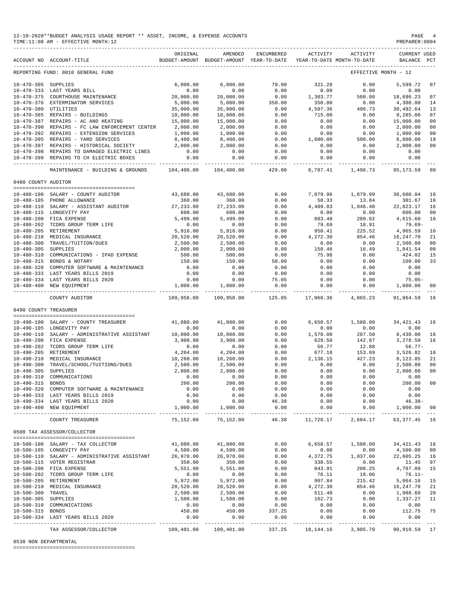|                       | 12-10-2020**BUDGET ANALYSIS USAGE REPORT ** ASSET, INCOME, & EXPENSE ACCOUNTS<br>TIME:11:08 AM - EFFECTIVE MONTH:12 |                         |                                    |                                                     |                                                                                 |                                      | PAGE<br>PREPARER: 0004                                                                                               |          |
|-----------------------|---------------------------------------------------------------------------------------------------------------------|-------------------------|------------------------------------|-----------------------------------------------------|---------------------------------------------------------------------------------|--------------------------------------|----------------------------------------------------------------------------------------------------------------------|----------|
|                       | ACCOUNT NO ACCOUNT-TITLE                                                                                            | ORIGINAL                | AMENDED                            | ENCUMBERED                                          | ACTIVITY<br>BUDGET-AMOUNT BUDGET-AMOUNT YEAR-TO-DATE YEAR-TO-DATE MONTH-TO-DATE | ACTIVITY                             | <b>CURRENT USED</b><br>BALANCE PCT                                                                                   |          |
|                       | REPORTING FUND: 0010 GENERAL FUND                                                                                   |                         |                                    |                                                     |                                                                                 |                                      | EFFECTIVE MONTH - 12                                                                                                 |          |
| 10-470-305 SUPPLIES   |                                                                                                                     | 6,000.00                | 6,000.00                           | 79.00                                               | 321.28                                                                          | 0.00                                 | 5,599.72                                                                                                             | 07       |
|                       | 6,000.00<br>0.00<br>20,000.00 ENANCE<br>10-470-333 LAST YEARS BILL                                                  |                         | 0.00                               | 0.00                                                | 0.00                                                                            | $0.00$<br>500.00                     | 0.00                                                                                                                 |          |
|                       | 10-470-375 COURTHOUSE MAINTENANCE                                                                                   |                         | 20,000.00                          | 0.00                                                | 1,303.77                                                                        |                                      | 18,696.23                                                                                                            | 07       |
|                       | 10-470-376 EXTERMINATOR SERVICES                                                                                    | 5,000.00                | 5,000.00                           | $350.00$<br>0.00                                    | 350.00                                                                          | 0.00                                 | 4,300.00                                                                                                             | 14       |
| 10-470-380 UTILITIES  |                                                                                                                     | 35,000.00               | 35,000.00                          |                                                     | 4,507.36                                                                        | 496.73                               | 30,492.64                                                                                                            | 13       |
|                       | $10-470-385$ REPAIRS - BUILDINGS<br>10-470-387 REPAIRS - AC AND HEATING                                             | 10,000.00<br>15,000.00  | 10,000.00                          | 0.00<br>0.00                                        | 715.00<br>0.00                                                                  | 0.00<br>0.00                         | 9,285.00<br>15,000.00                                                                                                | 07<br>00 |
|                       | 10-470-390 REPAIRS - FC LAW ENFORCEMENT CENTER 2,000.00                                                             |                         | 15,000.00<br>2,000.00              | 0.00                                                | 0.00                                                                            | 0.00                                 | 2,000.00                                                                                                             | 00       |
|                       | 10-470-392 REPAIRS - EXTENSION SERVICES                                                                             | 1,000.00                |                                    |                                                     | 0.00                                                                            | 0.00                                 | 1,000.00                                                                                                             | 00       |
|                       | 10-470-395 REPAIRS - YARD SERVICES<br>10-470-397 REPAIRS - HISTORICAL SOCIETY                                       | 8,400.00                | 1,000.00<br>8,400.00<br>2,000.00   | $\begin{array}{c} 0.00 \\ 0.00 \\ 0.00 \end{array}$ | 1,600.00                                                                        | 500.00                               | 6,800.00                                                                                                             | 19       |
|                       |                                                                                                                     | 2,000.00                |                                    |                                                     | 0.00                                                                            | 0.00                                 | 2,000.00                                                                                                             | 00       |
|                       | 10-470-398 REPAIRS TO DAMAGED ELECTRIC LINES                                                                        | 0.00                    | 0.00                               | 0.00                                                | 0.00                                                                            | 0.00                                 | 0.00                                                                                                                 |          |
|                       | 10-470-399 REPAIRS TO CH ELECTRIC BOXES                                                                             | 0.00<br>.               | 0.00                               | 0.00<br>-------------                               | 0.00                                                                            | 0.00                                 | 0.00<br>-----------                                                                                                  |          |
|                       | MAINTENANCE - BUILDING & GROUNDS 104,400.00                                                                         |                         | 104,400.00                         | 429.00                                              |                                                                                 | 8,797.41 1,496.73                    | 95, 173.59                                                                                                           | 09       |
| 0480 COUNTY AUDITOR   |                                                                                                                     |                         |                                    |                                                     |                                                                                 |                                      |                                                                                                                      |          |
|                       | 10-480-100 SALARY - COUNTY AUDITOR                                                                                  | 43,680.00               | 43,680.00                          | 0.00                                                | 7,079.96 1,679.99 36,600.04                                                     |                                      |                                                                                                                      | 16       |
|                       | 10-480-105 PHONE ALLOWANCE                                                                                          | 360.00                  | 360.00                             | 0.00                                                | 58.33                                                                           | 13.84                                | 301.67                                                                                                               | 16       |
|                       | 10-480-110 SALARY - ASSISTANT AUDITOR 27,233.00                                                                     |                         | 27, 233.00                         | 0.00                                                |                                                                                 | $4,409.83$ $1,046.40$                | 22,823.17                                                                                                            | 16       |
|                       | 10-480-115 LONGEVITY PAY                                                                                            | 600.00                  | 600.00                             | 0.00                                                | 0.00                                                                            | 0.00                                 | 600.00                                                                                                               | 00       |
|                       | 10-480-200 FICA EXPENSE                                                                                             | 5,499.00                | 5,499.00                           | 0.00                                                | 883.40                                                                          | 209.62                               | 4,615.60                                                                                                             | 16       |
|                       | 10-480-200 FICA EXPENSE<br>10-480-202 TCDRS GROUP TERM LIFE 0.00<br>10-480-205 RETIREMENT 5,916.00                  |                         | 0.00                               | 0.00                                                | 79.69                                                                           | 18.91                                | 79.69-                                                                                                               |          |
|                       | 10-480-210 MEDICAL INSURANCE                                                                                        | 20,520.00               | 5,916.00                           | 0.00                                                | 950.41                                                                          |                                      | $\begin{array}{ccc} 18.91 & & & 9.69- \\ 225.52 & & 4.965.59 \\ 854.46 & & 16.247.70 \\ 0.00 & 2.500.00 \end{array}$ | 16<br>21 |
|                       |                                                                                                                     | 2,500.00                | 20,520.00<br>2,500.00              | 0.00<br>0.00                                        | 4,272.30<br>0.00                                                                | 0.00                                 | 2,500.00                                                                                                             | 00       |
| 10-480-305 SUPPLIES   | 10-480-300 TRAVEL/TUITION/DUES<br>10-480-300 TRAVEL/TUITION/DUES<br>10-480-305 SUPPLIES                             | 2,000.00                | 2,000.00                           | 0.00                                                | 158.46                                                                          | 16.49                                | 1,841.54                                                                                                             | 08       |
|                       | 10-480-310 COMMUNICATIONS - IPAD EXPENSE                                                                            | 500.00                  | 500.00                             | 0.00                                                | 75.98                                                                           | 0.00                                 | 424.02                                                                                                               | 15       |
|                       | 10-480-315 BONDS & NOTARY                                                                                           | 150.00                  | 150.00                             | 50.00                                               | 0.00                                                                            | 0.00                                 | 100.00                                                                                                               | 33       |
|                       | 10-480-320 COMPUTER SOFTWARE & MAINTENANCE                                                                          | 0.00                    | 0.00                               | 0.00                                                | 0.00                                                                            | 0.00                                 | 0.00                                                                                                                 |          |
|                       | 10-480-333 LAST YEARS BILLS 2019                                                                                    | 0.00                    | $0.00$<br>$0.00$                   | 0.00                                                | 0.00                                                                            | 0.00                                 | 0.00                                                                                                                 |          |
|                       | 10-480-334 LAST YEARS BILLS 2020                                                                                    | 0.00                    |                                    | 75.05                                               | 0.00                                                                            | 0.00                                 | $75.05 -$<br>$0.00 \qquad \qquad 0.00 \qquad \qquad 1,000.00 \qquad \qquad 00$                                       |          |
|                       | 10-480-400 NEW EQUIPMENT                                                                                            |                         | 1,000.00 1,000.00                  | 0.00                                                |                                                                                 |                                      |                                                                                                                      |          |
|                       | COUNTY AUDITOR                                                                                                      |                         | 109,958.00 109,958.00              |                                                     | 125.05 17,968.36 4,065.23 91,864.59                                             |                                      |                                                                                                                      | 16       |
| 0490 COUNTY TREASURER |                                                                                                                     |                         |                                    |                                                     |                                                                                 |                                      |                                                                                                                      |          |
|                       | 10-490-100 SALARY - COUNTY TREASURER                                                                                | 41,080.00               | 41,080.00                          | 0.00                                                |                                                                                 | 6,658.57 1,580.00                    | 34, 421. 43 16                                                                                                       |          |
|                       | 10-490-105 LONGEVITY PAY                                                                                            | 0.00                    | 0.00                               | 0.00                                                | 0.00                                                                            | 0.00                                 | 0.00                                                                                                                 |          |
|                       | 10-490-110 SALARY - ADMINISTRATIVE ASSISTANT                                                                        | 10,000.00               | 10,000.00                          | 0.00                                                | 1,570.00                                                                        | 287.50                               | 8,430.00 16                                                                                                          |          |
|                       | 10-490-200 FICA EXPENSE                                                                                             | 3,908.00                | $3,908.00$<br>0.00                 | 0.00                                                | 629.50                                                                          |                                      | 142.87 3,278.50<br>12.88 56.77-                                                                                      | 16       |
|                       | 10-490-202 TCDRS GROUP TERM LIFE                                                                                    | 0.00                    |                                    | 0.00                                                | 56.77                                                                           |                                      |                                                                                                                      |          |
| 10-490-205 RETIREMENT |                                                                                                                     |                         | $4,204.00$ $4,204.00$<br>10,260.00 | 0.00<br>0.00                                        | 677.18<br>2,136.15                                                              | 153.69                               | 3,526.82 16                                                                                                          | 21       |
|                       | 10-490-210 MEDICAL INSURANCE<br>10-490-300 TRAVEL/SCHOOL/TUITIONS/DUES                                              | 10,260.00<br>2,500.00   | 2,500.00                           | 0.00                                                | 0.00                                                                            | 427.23<br>0.00                       | 8,123.85<br>2,500.00 00                                                                                              |          |
| 10-490-305 SUPPLIES   |                                                                                                                     | 2,000.00                | 2,000.00                           | 0.00                                                | 0.00                                                                            | 0.00                                 | 2,000.00                                                                                                             | 00       |
|                       | 10-490-310 COMMUNICATIONS                                                                                           | 0.00                    | 0.00                               | 0.00                                                | 0.00                                                                            | 0.00                                 | 0.00                                                                                                                 |          |
| 10-490-315 BONDS      |                                                                                                                     | 200.00                  | 200.00                             | 0.00                                                | 0.00                                                                            | 0.00                                 | 200.00                                                                                                               | 00       |
|                       | 10-490-320 COMPUTER SOFTWARE & MAINTENANCE                                                                          | 0.00                    | 0.00                               | 0.00                                                | 0.00                                                                            | 0.00                                 | 0.00                                                                                                                 |          |
|                       | 10-490-333 LAST YEARS BILLS 2019                                                                                    | 0.00                    | 0.00                               | 0.00                                                | 0.00                                                                            | 0.00                                 | 0.00                                                                                                                 |          |
|                       | 10-490-334 LAST YEARS BILLS 2020                                                                                    | 0.00                    | 0.00                               | 46.38                                               | 0.00                                                                            | 0.00                                 | $46.38-$                                                                                                             |          |
|                       | 10-490-400 NEW EQUIPMENT                                                                                            | 1,000.00<br>----------- | 1,000.00<br>______________         | 0.00<br>----------                                  | 0.00                                                                            | 0.00                                 | 1,000.00                                                                                                             | 00       |
|                       | COUNTY TREASURER                                                                                                    | 75,152.00               | 75,152.00                          |                                                     | 46.38 11,728.17 2,604.17                                                        |                                      | 63, 377. 45 16                                                                                                       |          |
|                       | 0500 TAX ASSESSOR/COLLECTOR                                                                                         |                         |                                    |                                                     |                                                                                 |                                      |                                                                                                                      |          |
|                       | 10-500-100 SALARY - TAX COLLECTOR                                                                                   | 41,080.00               | 41,080.00                          | 0.00                                                | 6,658.57                                                                        | 1,580.00                             | 34, 421. 43 16                                                                                                       |          |
|                       | 10-500-105 LONGEVITY PAY                                                                                            | 4,500.00                | 4,500.00                           | 0.00                                                | 0.00                                                                            | 0.00                                 | 4,500.00 00                                                                                                          |          |
|                       | 10-500-110 SALARY - ADMINISTRATIVE ASSISTANT                                                                        | 26,978.00               | 26,978.00                          | 0.00                                                | 4,372.75                                                                        | 1,037.60                             | 22,605.25 16                                                                                                         |          |
|                       | 10-500-115 VOTER REGISTRAR                                                                                          | 350.00                  | 350.00                             | 0.00                                                | 338.55                                                                          | 0.00                                 | 11.45 97                                                                                                             |          |
|                       | 10-500-200 FICA EXPENSE                                                                                             | 5,551.00                | 5,551.00                           | 0.00                                                | 843.91                                                                          | 200.25                               | 4,707.09 15                                                                                                          |          |
|                       | 10-500-202 TCDRS GROUP TERM LIFE                                                                                    | 0.00                    | 0.00                               | 0.00                                                | 76.11                                                                           | 18.06                                | $76.11 -$                                                                                                            |          |
| 10-500-205 RETIREMENT |                                                                                                                     | 5,972.00                | 5,972.00                           | 0.00                                                | 907.84                                                                          | 215.42                               | 5,064.16 15                                                                                                          |          |
| 10-500-300 TRAVEL     | 10-500-210 MEDICAL INSURANCE                                                                                        | 20,520.00<br>2,500.00   | 20,520.00<br>2,500.00              | 0.00<br>0.00                                        | 4,272.30<br>511.40                                                              | 854.46<br>0.00                       | 16,247.70<br>1,988.60 20                                                                                             | 21       |
| 10-500-305 SUPPLIES   |                                                                                                                     | 1,500.00                | 1,500.00                           | 0.00                                                | 162.73                                                                          | 0.00                                 | 1,337.27 11                                                                                                          |          |
|                       | 10-500-310 COMMUNICATIONS                                                                                           | 0.00                    | 0.00                               | 0.00                                                | 0.00                                                                            | 0.00                                 | 0.00                                                                                                                 |          |
| 10-500-315 BONDS      |                                                                                                                     | 450.00                  | 450.00                             | 337.25                                              | 0.00                                                                            | 0.00                                 | 112.75                                                                                                               | 75       |
|                       | 10-500-334 LAST YEARS BILLS 2020                                                                                    | 0.00                    | 0.00                               | 0.00                                                | 0.00                                                                            | 0.00                                 | 0.00                                                                                                                 |          |
|                       | TAX ASSESSOR/COLLECTOR                                                                                              | 109,401.00              | -------------<br>109,401.00        | -----------<br>337.25                               | 18, 144. 16                                                                     | ----------- ------------<br>3,905.79 | -------------<br>90,919.59 17                                                                                        | $  -$    |

### 0530 NON DEPARTMENTAL

========================================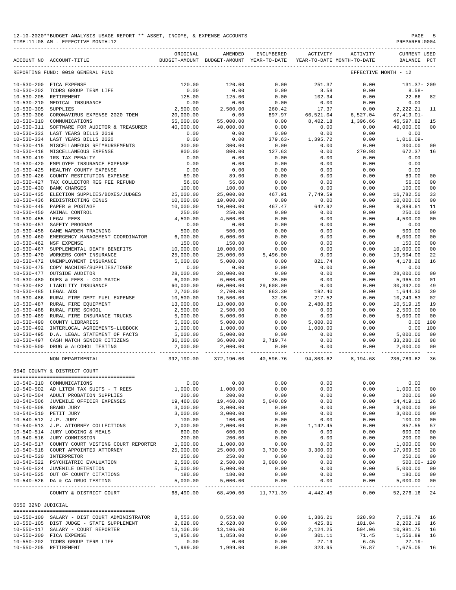| 12-10-2020**BUDGET ANALYSIS USAGE REPORT ** ASSET, INCOME, & EXPENSE ACCOUNTS | PAGE           |
|-------------------------------------------------------------------------------|----------------|
| TIME:11:08 AM - EFFECTIVE MONTH:12                                            | PREPARER: 0004 |

|                       | BUDGET-AMOUNT BUDGET-AMOUNT YEAR-TO-DATE<br>ACCOUNT NO ACCOUNT-TITLE | ORIGINAL   | AMENDED                  | ENCUMBERED                | ACTIVITY  | ACTIVITY<br>YEAR-TO-DATE MONTH-TO-DATE | <b>CURRENT USED</b><br>BALANCE | PCT                                                                                                                                                                                                                                                                                                                                                                                          |
|-----------------------|----------------------------------------------------------------------|------------|--------------------------|---------------------------|-----------|----------------------------------------|--------------------------------|----------------------------------------------------------------------------------------------------------------------------------------------------------------------------------------------------------------------------------------------------------------------------------------------------------------------------------------------------------------------------------------------|
|                       | REPORTING FUND: 0010 GENERAL FUND                                    |            |                          |                           |           |                                        | EFFECTIVE MONTH - 12           |                                                                                                                                                                                                                                                                                                                                                                                              |
|                       |                                                                      | 120.00     | 120.00                   | 0.00                      | 251.37    | 0.00                                   | 131.37-209                     |                                                                                                                                                                                                                                                                                                                                                                                              |
|                       |                                                                      | 0.00       |                          |                           |           |                                        |                                |                                                                                                                                                                                                                                                                                                                                                                                              |
|                       | 10-530-202 TCDRS GROUP TERM LIFE<br>10-530-205 RETIREMENT            |            | 0.00                     | 0.00                      | 8.58      | 0.00                                   | $8.58 -$                       |                                                                                                                                                                                                                                                                                                                                                                                              |
|                       |                                                                      | 125.00     | 125.00                   | 0.00                      | 102.34    | 0.00                                   | 22.66                          | 82                                                                                                                                                                                                                                                                                                                                                                                           |
| $10 - 530 - 210$      | MEDICAL INSURANCE                                                    | 0.00       | 0.00                     | 0.00                      | 0.00      | 0.00                                   | 0.00<br>2,222.21               |                                                                                                                                                                                                                                                                                                                                                                                              |
| $10 - 530 - 305$      | SUPPLIES                                                             | 2,500.00   | 2,500.00                 | 260.42                    | 17.37     | 0.00<br>6,527.04<br>1,396.66           |                                | 11                                                                                                                                                                                                                                                                                                                                                                                           |
| $10 - 530 - 306$      | CORONAVIRUS EXPENSE 2020 TDEM                                        | 20,000.00  | 0.00                     | 897.97                    | 66,521.04 |                                        | $67, 419.01 -$                 |                                                                                                                                                                                                                                                                                                                                                                                              |
|                       | 10-530-310 COMMUNICATIONS                                            | 55,000.00  | 55,000.00                | 0.00                      | 8,402.18  |                                        | 46,597.82                      | 15                                                                                                                                                                                                                                                                                                                                                                                           |
|                       | 10-530-311 SOFTWARE FOR AUDITOR & TREASURER                          | 40,000.00  | 40,000.00                | 0.00                      | 0.00      | 0.00                                   | 40,000.00                      | 0 <sup>0</sup>                                                                                                                                                                                                                                                                                                                                                                               |
|                       | 10-530-333 LAST YEARS BILLS 2019                                     | 0.00       | 0.00                     | 0.00                      | 0.00      | 0.00                                   | 0.00                           |                                                                                                                                                                                                                                                                                                                                                                                              |
|                       | 10-530-334 LAST YEARS BILLS 2020                                     | 0.00       | 0.00                     | $379.63 -$                | 1,395.72  | 0.00                                   | $1,016.09-$                    |                                                                                                                                                                                                                                                                                                                                                                                              |
| $10 - 530 - 415$      | MISCELLANEOUS REIMBURSEMENTS                                         | 300.00     | 300.00                   | 0.00                      | 0.00      | 0.00                                   | 300.00                         | 00                                                                                                                                                                                                                                                                                                                                                                                           |
| 10-530-418            | MISCELLANEOUS EXPENSE                                                | 800.00     | 800.00                   | 127.63                    | 0.00      | 270.98                                 | 672.37                         | 16                                                                                                                                                                                                                                                                                                                                                                                           |
| $10 - 530 - 419$      | IRS TAX PENALTY                                                      | 0.00       | 0.00                     | 0.00                      | 0.00      | 0.00                                   | 0.00                           |                                                                                                                                                                                                                                                                                                                                                                                              |
| $10 - 530 - 420$      | EMPLOYEE INSURANCE EXPENSE                                           | 0.00       | 0.00                     | 0.00                      | 0.00      | 0.00                                   | 0.00                           |                                                                                                                                                                                                                                                                                                                                                                                              |
| $10 - 530 - 425$      | HEALTHY COUNTY EXPENSE                                               | 0.00       | 0.00                     | 0.00                      | 0.00      | 0.00                                   | 0.00                           |                                                                                                                                                                                                                                                                                                                                                                                              |
| $10 - 530 - 426$      | COUNTY RESTITUTION EXPENSE                                           | 89.00      | 89.00                    | 0.00                      | 0.00      | 0.00                                   | 89.00                          | 00                                                                                                                                                                                                                                                                                                                                                                                           |
| $10 - 530 - 427$      | TAX COLLECTOR REG FEE REFUND                                         | 56.00      | 56.00                    | 0.00                      | 0.00      | 0.00                                   | 56.00                          | 00                                                                                                                                                                                                                                                                                                                                                                                           |
| $10 - 530 - 430$      | <b>BANK CHARGES</b>                                                  | 100.00     | 100.00                   | 0.00                      | 0.00      | 0.00                                   | 100.00                         | 0 <sub>0</sub>                                                                                                                                                                                                                                                                                                                                                                               |
| $10 - 530 - 435$      | ELECTION SUPPLIES/BOXES/JUDGES                                       | 25,000.00  | 25,000.00                | 467.91                    | 7,749.59  | 0.00                                   | 16,782.50                      | 33                                                                                                                                                                                                                                                                                                                                                                                           |
| $10 - 530 - 436$      | REDISTRICTING CENUS                                                  | 10,000.00  | 10,000.00                | 0.00                      | 0.00      | 0.00                                   | 10,000.00                      | 0 <sub>0</sub>                                                                                                                                                                                                                                                                                                                                                                               |
| $10 - 530 - 445$      | PAPER & POSTAGE                                                      | 10,000.00  | 10,000.00                | 467.47                    | 642.92    | 0.00                                   | 8,889.61                       | 11                                                                                                                                                                                                                                                                                                                                                                                           |
| $10 - 530 - 450$      | ANIMAL CONTROL                                                       | 250.00     | 250.00                   | 0.00                      | 0.00      | 0.00                                   | 250.00                         | 0 <sup>0</sup>                                                                                                                                                                                                                                                                                                                                                                               |
|                       | 10-530-455 LEGAL FEES                                                | 4,500.00   | 4,500.00                 | 0.00                      | 0.00      | 0.00                                   | 4,500.00                       | 00                                                                                                                                                                                                                                                                                                                                                                                           |
| $10 - 530 - 457$      | SAFETY PROGRAM                                                       | 0.00       | 0.00                     | 0.00                      | 0.00      | 0.00                                   | 0.00                           |                                                                                                                                                                                                                                                                                                                                                                                              |
| $10 - 530 - 458$      | GAME WARDEN TRAINING                                                 | 500.00     | 500.00                   | 0.00                      | 0.00      | 0.00                                   |                                | 00                                                                                                                                                                                                                                                                                                                                                                                           |
|                       |                                                                      |            |                          |                           |           |                                        | 500.00<br>6,000.00             |                                                                                                                                                                                                                                                                                                                                                                                              |
| $10 - 530 - 460$      | EMERGENCY MANAGEMENT COORDINATOR                                     | 6,000.00   | 6,000.00                 | 0.00                      | 0.00      | 0.00                                   |                                | 00                                                                                                                                                                                                                                                                                                                                                                                           |
| $10 - 530 - 462$      | NSF EXPENSE                                                          | 150.00     | 150.00                   | 0.00                      | 0.00      | 0.00                                   | 150.00                         | 00                                                                                                                                                                                                                                                                                                                                                                                           |
| $10 - 530 - 467$      | SUPPLEMENTAL DEATH BENEFITS                                          | 10,000.00  | 10,000.00                | $0.00$<br>5,496.00        | 0.00      | 0.00                                   | 10,000.00                      | 00                                                                                                                                                                                                                                                                                                                                                                                           |
| $10 - 530 - 470$      | WORKERS COMP INSURANCE                                               | 25,000.00  | 25,000.00                |                           | 0.00      | 0.00                                   | 19,504.00                      | 22                                                                                                                                                                                                                                                                                                                                                                                           |
| $10 - 530 - 472$      | UNEMPLOYMENT INSURANCE                                               | 5,000.00   | 5,000.00                 | 0.00                      | 821.74    | 0.00                                   | 4,178.26                       | 16                                                                                                                                                                                                                                                                                                                                                                                           |
| $10 - 530 - 475$      | COPY MACHINE/SUPPLIES/TONER                                          | 0.00       | 0.00                     | 0.00                      | 0.00      | 0.00                                   | 0.00                           |                                                                                                                                                                                                                                                                                                                                                                                              |
| $10 - 530 - 477$      | OUTSIDE AUDITOR                                                      | 28,000.00  | 28,000.00                | 0.00                      | 0.00      | 0.00                                   | 28,000.00                      | 00                                                                                                                                                                                                                                                                                                                                                                                           |
| $10 - 530 - 480$      | DUES & FEES - COG MATCH                                              | 6,000.00   | 6,000.00                 | 35.00                     | 0.00      | 0.00                                   | 5,965.00                       | 01                                                                                                                                                                                                                                                                                                                                                                                           |
|                       | 10-530-482 LIABILITY INSURANCE                                       | 60,000.00  | 60,000.00                | 29,608.00                 | 0.00      | 0.00                                   | 30,392.00                      | 49                                                                                                                                                                                                                                                                                                                                                                                           |
| $10 - 530 - 485$      | LEGAL ADS                                                            | 2,700.00   | 2,700.00                 | 863.30                    | 192.40    | 0.00                                   | 1,644.30                       | 39                                                                                                                                                                                                                                                                                                                                                                                           |
| $10 - 530 - 486$      | RURAL FIRE DEPT FUEL EXPENSE                                         | 10,500.00  | 10,500.00                | 32.95                     | 217.52    | 0.00                                   | 10,249.53                      | 02                                                                                                                                                                                                                                                                                                                                                                                           |
| $10 - 530 - 487$      | RURAL FIRE EQUIPMENT                                                 | 13,000.00  | 13,000.00                | 0.00                      | 2,480.85  | 0.00                                   | 10,519.15                      | 19                                                                                                                                                                                                                                                                                                                                                                                           |
| $10 - 530 - 488$      | RURAL FIRE SCHOOL                                                    | 2,500.00   | 2,500.00                 | 0.00                      | 0.00      | 0.00                                   | 2,500.00                       | 00                                                                                                                                                                                                                                                                                                                                                                                           |
| $10 - 530 - 489$      | RURAL FIRE INSURANCE TRUCKS                                          | 5,000.00   | 5,000.00                 | 0.00                      | 0.00      | 0.00                                   | 5,000.00                       | 00                                                                                                                                                                                                                                                                                                                                                                                           |
| $10 - 530 - 490$      | COUNTY LIBRARIES                                                     | 5,000.00   | 5,000.00                 | 0.00                      | 5,000.00  | 0.00                                   | 0.00                           | 100                                                                                                                                                                                                                                                                                                                                                                                          |
| $10 - 530 - 492$      | INTERLOCAL AGREEMENTS-LUBBOCK                                        | 1,000.00   | 1,000.00                 | 0.00                      | 1,000.00  | 0.00                                   | 0.00                           | 100                                                                                                                                                                                                                                                                                                                                                                                          |
|                       | 10-530-495 D.A. LEGAL STATEMENT OF FACTS                             | 5,000.00   | 5,000.00                 | 0.00                      | 0.00      | 0.00                                   | 5,000.00                       | 00                                                                                                                                                                                                                                                                                                                                                                                           |
|                       | 10-530-497 CASH MATCH SENIOR CITIZENS                                | 36,000.00  | 36,000.00                | 2,719.74                  | 0.00      | 0.00                                   | 33,280.26                      | 08                                                                                                                                                                                                                                                                                                                                                                                           |
| $10 - 530 - 500$      | DRUG & ALCOHOL TESTING                                               | 2,000.00   | 2,000.00                 | 0.00                      | 0.00      | 0.00                                   | 2,000.00                       | 00                                                                                                                                                                                                                                                                                                                                                                                           |
|                       |                                                                      |            |                          | ______   ______________   | .         |                                        |                                | $\frac{1}{2} \frac{1}{2} \frac{1}{2} \frac{1}{2} \frac{1}{2} \frac{1}{2} \frac{1}{2} \frac{1}{2} \frac{1}{2} \frac{1}{2} \frac{1}{2} \frac{1}{2} \frac{1}{2} \frac{1}{2} \frac{1}{2} \frac{1}{2} \frac{1}{2} \frac{1}{2} \frac{1}{2} \frac{1}{2} \frac{1}{2} \frac{1}{2} \frac{1}{2} \frac{1}{2} \frac{1}{2} \frac{1}{2} \frac{1}{2} \frac{1}{2} \frac{1}{2} \frac{1}{2} \frac{1}{2} \frac{$ |
|                       | NON DEPARTMENTAL                                                     | 392,190.00 | 372,190.00               | 40,596.76 94,803.62       |           | 8,194.68                               | 236,789.62                     | 36                                                                                                                                                                                                                                                                                                                                                                                           |
|                       | 0540 COUNTY & DISTRICT COURT                                         |            |                          |                           |           |                                        |                                |                                                                                                                                                                                                                                                                                                                                                                                              |
|                       |                                                                      |            |                          |                           |           |                                        |                                |                                                                                                                                                                                                                                                                                                                                                                                              |
|                       | 10-540-310 COMMUNICATIONS                                            | 0.00       | 0.00                     | 0.00                      | 0.00      | 0.00                                   | 0.00                           |                                                                                                                                                                                                                                                                                                                                                                                              |
|                       | 10-540-502 AD LITEM TAX SUITS - T REES                               | 1,000.00   | 1,000.00                 | 0.00                      | 0.00      | 0.00                                   | 1,000.00                       | 00                                                                                                                                                                                                                                                                                                                                                                                           |
|                       | 10-540-504 ADULT PROBATION SUPPLIES                                  | 200.00     | 200.00                   | 0.00                      | 0.00      | 0.00                                   | 200.00                         | 00                                                                                                                                                                                                                                                                                                                                                                                           |
|                       | 10-540-506 JUVENILE OFFICER EXPENSES                                 | 19,460.00  | 19,460.00                | 5,040.89                  | 0.00      | 0.00                                   | 14, 419.11                     | 26                                                                                                                                                                                                                                                                                                                                                                                           |
|                       | 10-540-508 GRAND JURY                                                | 3,000.00   | 3,000.00                 | 0.00                      | 0.00      | 0.00                                   | 3,000.00                       | 00                                                                                                                                                                                                                                                                                                                                                                                           |
| 10-540-510 PETIT JURY |                                                                      | 3,000.00   | 3,000.00                 | 0.00                      | 0.00      | 0.00                                   | 3,000.00                       | 00                                                                                                                                                                                                                                                                                                                                                                                           |
| 10-540-512 J.P. JURY  |                                                                      | 100.00     | 100.00                   | 0.00                      | 0.00      | 0.00                                   | 100.00                         | 00                                                                                                                                                                                                                                                                                                                                                                                           |
|                       | 10-540-513 J.P. ATTORNEY COLLECTIONS                                 | 2,000.00   | 2,000.00                 | 0.00                      | 1,142.45  | 0.00                                   | 857.55                         | 57                                                                                                                                                                                                                                                                                                                                                                                           |
|                       | 10-540-514 JURY LODGING & MEALS                                      | 600.00     | 600.00                   | 0.00                      | 0.00      | 0.00                                   | 600.00                         | 00                                                                                                                                                                                                                                                                                                                                                                                           |
|                       | 10-540-516 JURY COMMISSION                                           | 200.00     | 200.00                   | 0.00                      | 0.00      | 0.00                                   | 200.00                         | 00                                                                                                                                                                                                                                                                                                                                                                                           |
|                       | 10-540-517 COUNTY COURT VISTING COURT REPORTER                       | 1,000.00   | 1,000.00                 | 0.00                      | 0.00      | 0.00                                   | 1,000.00                       | 00                                                                                                                                                                                                                                                                                                                                                                                           |
|                       | 10-540-518 COURT APPOINTED ATTORNEY                                  | 25,000.00  | 25,000.00                | 3,730.50                  | 3,300.00  | 0.00                                   | 17,969.50                      | 28                                                                                                                                                                                                                                                                                                                                                                                           |
|                       | 10-540-520 INTERPRETOR                                               | 250.00     | 250.00                   | 0.00                      | 0.00      | 0.00                                   | 250.00                         | 00                                                                                                                                                                                                                                                                                                                                                                                           |
|                       | 10-540-522 PSYCHIATRIC EVALUATION                                    | 2,500.00   | 2,500.00                 | 3,000.00                  | 0.00      | 0.00                                   | $500.00 - 120$                 |                                                                                                                                                                                                                                                                                                                                                                                              |
|                       | 10-540-524 JUVENILE DETENTION                                        | 5,000.00   | 5,000.00                 | 0.00                      | 0.00      | 0.00                                   | 5,000.00                       | 00                                                                                                                                                                                                                                                                                                                                                                                           |
|                       | 10-540-525 OUT OF COUNTY CITATIONS                                   | 180.00     | 180.00                   | 0.00                      | 0.00      | 0.00                                   | 180.00                         | 00                                                                                                                                                                                                                                                                                                                                                                                           |
|                       | 10-540-526 DA & CA DRUG TESTING                                      | 5,000.00   | 5,000.00                 | 0.00                      | 0.00      | 0.00                                   | 5,000.00                       | 00                                                                                                                                                                                                                                                                                                                                                                                           |
|                       | COUNTY & DISTRICT COURT                                              | 68,490.00  | -----------<br>68,490.00 | ------------<br>11,771.39 | 4,442.45  | -------<br>0.00                        | 52,276.16                      | $\sim$ $\sim$ $\sim$<br>24                                                                                                                                                                                                                                                                                                                                                                   |
|                       |                                                                      |            |                          |                           |           |                                        |                                |                                                                                                                                                                                                                                                                                                                                                                                              |
| 0550 32ND JUDICIAL    |                                                                      |            |                          |                           |           |                                        |                                |                                                                                                                                                                                                                                                                                                                                                                                              |
|                       | 10-550-100 SALARY - DIST COURT ADMINISTRATOR                         | 8,553.00   | 8,553.00                 | 0.00                      | 1,386.21  | 328.93                                 | 7,166.79                       | 16                                                                                                                                                                                                                                                                                                                                                                                           |
|                       | 10-550-105 DIST JUDGE - STATE SUPPLEMENT                             | 2,628.00   | 2,628.00                 | 0.00                      | 425.81    | 101.04                                 | 2,202.19 16                    |                                                                                                                                                                                                                                                                                                                                                                                              |
|                       | 10-550-117 SALARY - COURT REPORTER                                   | 13,106.00  | 13,106.00                | 0.00                      | 2,124.25  | 504.06                                 | 10,981.75                      | 16                                                                                                                                                                                                                                                                                                                                                                                           |
|                       | 10-550-200 FICA EXPENSE                                              | 1,858.00   | 1,858.00                 | 0.00                      | 301.11    | 71.45                                  | 1,556.89                       | 16                                                                                                                                                                                                                                                                                                                                                                                           |
|                       | 10-550-202 TCDRS GROUP TERM LIFE                                     | 0.00       | 0.00                     | 0.00                      | 27.19     | 6.45                                   | $27.19-$                       |                                                                                                                                                                                                                                                                                                                                                                                              |
| 10-550-205 RETIREMENT |                                                                      | 1,999.00   | 1,999.00                 | 0.00                      | 323.95    | 76.87                                  | 1,675.05 16                    |                                                                                                                                                                                                                                                                                                                                                                                              |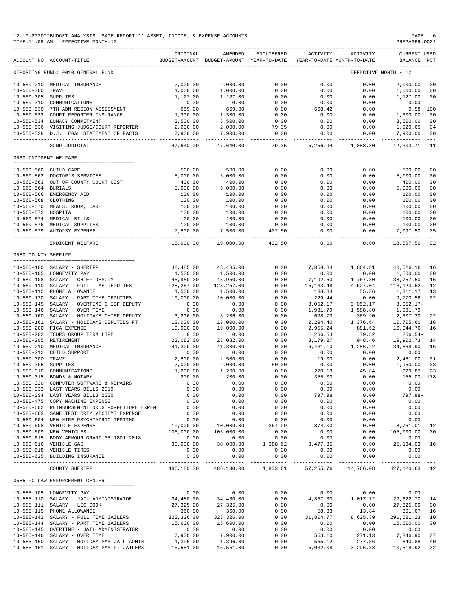| 12-10-2020**BUDGET ANALYSIS USAGE REPORT ** ASSET, INCOME, & EXPENSE ACCOUNTS | PAGE           |
|-------------------------------------------------------------------------------|----------------|
| TIME:11:08 AM - EFFECTIVE MONTH:12                                            | PREPARER: 0004 |

|                       | BUDGET-AMOUNT BUDGET-AMOUNT YEAR-TO-DATE<br>ACCOUNT NO ACCOUNT-TITLE | ORIGINAL     | AMENDED      | ENCUMBERED               | ACTIVITY                    | ACTIVITY<br>YEAR-TO-DATE MONTH-TO-DATE | <b>CURRENT USED</b><br>BALANCE PCT |                |
|-----------------------|----------------------------------------------------------------------|--------------|--------------|--------------------------|-----------------------------|----------------------------------------|------------------------------------|----------------|
|                       | REPORTING FUND: 0010 GENERAL FUND                                    |              |              |                          |                             |                                        | EFFECTIVE MONTH - 12               |                |
|                       | 10-550-210 MEDICAL INSURANCE                                         | 2,000.00     | 2,000.00     | 0.00                     | 0.00                        | 0.00                                   | 2,000.00                           | 0 <sub>0</sub> |
| 10-550-300 TRAVEL     |                                                                      | 1,000.00     | 1,000.00     | 0.00                     | 0.00                        | 0.00                                   | 1,000.00                           | 00             |
| 10-550-305 SUPPLIES   |                                                                      | 1,127.00     | 1,127.00     | 0.00                     | 0.00                        | 0.00                                   | 1,127.00                           | 0 <sub>0</sub> |
|                       | 10-550-310 COMMUNICATIONS                                            | 0.00         | 0.00         | 0.00                     | 0.00                        | 0.00                                   | 0.00                               |                |
|                       | 10-550-530 7TH ADM REGION ASSESSMENT                                 | 669.00       | 669.00       | 0.00                     | 668.42                      | 0.00                                   | $0.58$ 100                         |                |
|                       | 10-550-532 COURT REPORTER INSURANCE                                  | 1,300.00     | 1,300.00     | 0.00                     | 0.00                        | 0.00                                   | 1,300.00                           | 0 <sub>0</sub> |
|                       | 10-550-534 LUNACY COMMITMENT                                         | 3,500.00     | 3,500.00     | 0.00                     | 0.00                        | 0.00                                   | 3,500.00                           | 0 <sub>0</sub> |
|                       | 10-550-536 VISITING JUDGE/COURT REPORTER                             | 2,000.00     | 2,000.00     | 79.35                    | 0.00                        | 0.00                                   | 1,920.65                           | 04             |
|                       | 10-550-538 D.J. LEGAL STATEMENT OF FACTS                             | 7,900.00     | 7,900.00     | 0.00                     | 0.00                        | 0.00                                   | 7,900.00                           | 00             |
|                       |                                                                      |              |              | -----------              |                             | ----------                             | . _ _ _ _ _ _ _ _ _ _ _ _          |                |
|                       | 32ND JUDICIAL                                                        | 47,640.00    | 47,640.00    | 79.35                    |                             | 5,256.94 1,088.80                      | 42,303.71                          | 11             |
| 0560 INDIGENT WELFARE |                                                                      |              |              |                          |                             |                                        |                                    |                |
|                       | 10-560-560 CHILD CARE                                                | 500.00       | 500.00       | 0.00                     | 0.00                        | 0.00                                   | 500.00                             | 0 <sub>0</sub> |
|                       | 10-560-562 DOCTOR'S SERVICES                                         | 5,000.00     | 5,000.00     | 0.00                     | 0.00                        | 0.00                                   | 5,000.00                           | 00             |
|                       | 10-560-563 OUT OF COUNTY COURT COST                                  | 400.00       | 400.00       | 0.00                     | 0.00                        | 0.00                                   | 400.00                             | 00             |
| 10-560-564 BURIALS    |                                                                      | 5,000.00     | 5,000.00     | 0.00                     | 0.00                        | 0.00                                   | 5,000.00                           | 0 <sub>0</sub> |
|                       | 10-560-566 EMERGENCY AID                                             | 100.00       | 100.00       | 0.00                     | 0.00                        | 0.00                                   | 100.00                             | 0 <sub>0</sub> |
| 10-560-568 CLOTHING   |                                                                      | 100.00       | 100.00       | 0.00                     | 0.00                        | 0.00                                   | 100.00                             | 00             |
|                       | 10-560-570 MEALS, ROOM, CARE                                         | 100.00       | 100.00       | 0.00                     | 0.00                        | 0.00                                   | 100.00                             | 0 <sub>0</sub> |
| 10-560-572 HOSPITAL   |                                                                      | 100.00       | 100.00       | 0.00                     | 0.00                        | 0.00                                   | 100.00                             | 0 <sub>0</sub> |
|                       | 10-560-574 MEDICAL BILLS                                             | 100.00       | 100.00       | 0.00                     | 0.00                        | 0.00                                   | 100.00                             | 0 <sub>0</sub> |
|                       | 10-560-576 MEDICAL SUPPLIES                                          | 100.00       |              | 0.00                     | 0.00                        | 0.00                                   |                                    | 0 <sub>0</sub> |
|                       | 10-560-579 AUTOPSY EXPENSE                                           | 7,500.00     | 100.00       | 402.50                   |                             | 0.00                                   | 100.00                             | 05             |
|                       |                                                                      |              | 7,500.00     |                          | 0.00                        |                                        | 7,097.50                           |                |
|                       | INDIGENT WELFARE                                                     | 19,000.00    | 19,000.00    | 402.50                   | 0.00                        | 0.00                                   | 18,597.50                          | 02             |
| 0580 COUNTY SHERIFF   |                                                                      |              |              |                          |                             |                                        |                                    |                |
|                       | 10-580-100 SALARY - SHERIFF                                          | 48,485.00    | 48,485.00    | 0.00                     | 7,858.84                    | 1,864.81                               | 40,626.16                          | 16             |
|                       | 10-580-105 LONGEVITY PAY                                             | 1,500.00     | 1,500.00     | 0.00                     | 0.00                        | 0.00                                   | 1,500.00                           | 0 <sub>0</sub> |
|                       | 10-580-108 SALARY - CHIEF DEPUTY                                     | 45,950.00    | 45,950.00    | 0.00                     | 7,192.50                    | 1,767.30                               | 38,757.50                          | 16             |
|                       | 10-580-110 SALARY - FULL TIME DEPUTIES                               | 128,257.00   | 128,257.00   | 0.00                     | 15, 133. 48                 | 4,627.04                               | 113, 123.52                        | 12             |
|                       | 10-580-115 PHONE ALLOWANCE                                           | 1,500.00     | 1,500.00     | 0.00                     | 188.83                      | 55.36                                  | 1,311.17                           | 13             |
|                       | 10-580-120 SALARY - PART TIME DEPUTIES                               | 10,000.00    | 10,000.00    | 0.00                     | 229.44                      | 0.00                                   | 9,770.56                           | 02             |
|                       | 10-580-145 SALARY - OVERTIME CHIEF DEPUTY                            | 0.00         | 0.00         | 0.00                     | 3,052.17                    | 3,052.17                               | $3,052.17-$                        |                |
| 10-580-146            | SALARY - OVER TIME                                                   |              |              |                          |                             |                                        |                                    |                |
|                       |                                                                      | 0.00         | 0.00         | 0.00                     | 1,981.79                    | $1,588.80-$                            | 1,981.79-                          |                |
| $10 - 580 - 160$      | SALARY - HOLIDAYS CHIEF DEPUTY                                       | 3,206.00     | 3,206.00     | 0.00                     | 698.70                      | 369.90                                 | 2,507.30                           | 22             |
| $10 - 580 - 161$      | SALARY - HOLIDAYS DEPUTIES FT                                        | 13,000.00    | 13,000.00    | 0.00                     | 2,294.40                    | 1,376.64                               | 10,705.60                          | 18             |
| $10 - 580 - 200$      | FICA EXPENSE                                                         | 19,000.00    | 19,000.00    | 0.00                     | 2,955.24                    | 881.62                                 | 16,044.76                          | 16             |
| $10 - 580 - 202$      | TCDRS GROUP TERM LIFE                                                | 0.00         | 0.00         | 0.00                     | 266.54                      | 79.52                                  | $266.54-$                          |                |
| $10 - 580 - 205$      | RETIREMENT                                                           | 23,082.00    | 23,082.00    | 0.00                     | 3,179.27                    | 948.46                                 | 19,902.73                          | 14             |
| $10 - 580 - 210$      | MEDICAL INSURANCE                                                    | 41,300.00    | 41,300.00    | 0.00                     | 6,431.10                    | 1,286.22                               | 34,868.90                          | 16             |
| 10-580-212            | CHILD SUPPORT                                                        | 0.00         | 0.00         | 0.00                     | 0.00                        | 0.00                                   | 0.00                               |                |
| $10 - 580 - 300$      | TRAVEL                                                               | 2,500.00     | 2,500.00     | 0.00                     | 19.00                       | 0.00                                   | 2,481.00                           | 01             |
| $10 - 580 - 305$      | SUPPLIES                                                             | 2,000.00     | 2,000.00     | 50.00                    | 0.00                        | 0.00                                   | 1,950.00                           | 03             |
| $10 - 580 - 310$      | COMMUNICATIONS                                                       | 1,200.00     | 1,200.00     | 0.00                     | 270.13                      | 45.84                                  | 929.87                             | 23             |
|                       | 10-580-315 BONDS & NOTARY                                            | 200.00       | 200.00       | 0.00                     | 355.00                      | 0.00                                   | 155.00- 178                        |                |
| $10 - 580 - 320$      | COMPUTER SOFTWARE & REPAIRS                                          | 0.00         | 0.00         | 0.00                     | 0.00                        | 0.00                                   | 0.00                               |                |
|                       | 10-580-333 LAST YEARS BILLS 2019                                     | 0.00         | 0.00         | 0.00                     | 0.00                        | 0.00                                   | 0.00                               |                |
|                       | 10-580-334 LAST YEARS BILLS 2020                                     | 0.00         | 0.00         | 0.00                     | 797.98                      | 0.00                                   | $797.98 -$                         |                |
|                       | 10-580-475 COPY MACHINE EXPENSE                                      | 0.00         | 0.00         | 0.00                     | 0.00                        | 0.00                                   | 0.00                               |                |
|                       | 10-580-602 REIMBURSEMENT DRUG FORFEITURE EXPEN                       | 0.00         | 0.00         | 0.00                     | 0.00                        | 0.00                                   | 0.00                               |                |
|                       | 10-580-603 SANE TEST CRIM VICTIMS EXPENSE                            | 0.00         | 0.00         | 0.00                     | 0.00                        | 0.00                                   | 0.00                               |                |
|                       | 10-580-604 NEW HIRE PSYCHIATRIC TESTING                              | 0.00         | 0.00         | 0.00                     | 0.00                        | 0.00                                   | 0.00                               |                |
|                       | 10-580-608 VEHICLE EXPENSE                                           | 10,000.00    | 10,000.00    | 364.99                   | 874.00                      | 0.00                                   | 8,761.01                           | 12             |
|                       | 10-580-609 NEW VEHICLES                                              | 105,000.00   | 105,000.00   | 0.00                     | 0.00                        | 0.00                                   | 105,000.00                         | 0 <sub>0</sub> |
|                       | 10-580-615 BODY ARMOUR GRANT 3511801 2018                            | 0.00         | 0.00         | 0.00                     | 0.00                        | 0.00                                   | 0.00                               |                |
|                       | 10-580-616 VEHICLE GAS                                               | 30,000.00    | 30,000.00    | 1,388.62                 | 3, 477.35                   | 0.00                                   | 25, 134.03                         | 16             |
|                       |                                                                      |              |              |                          |                             |                                        |                                    |                |
|                       | 10-580-618 VEHICLE TIRES<br>10-580-625 BUILDING INSURANCE            | 0.00<br>0.00 | 0.00<br>0.00 | 0.00<br>0.00             | 0.00<br>0.00                | 0.00<br>0.00                           | 0.00<br>0.00                       |                |
|                       | COUNTY SHERIFF                                                       | 486,180.00   | 486,180.00   | ____________<br>1,803.61 | --------------<br>57,255.76 | -------------<br>14,766.08             | ______________<br>427,120.63       | 12             |
|                       | 0585 FC LAW ENFORCEMENT CENTER                                       |              |              |                          |                             |                                        |                                    |                |
|                       | 10-585-105 LONGEVITY PAY                                             | 0.00         | 0.00         | 0.00                     | 0.00                        | 0.00                                   | 0.00                               |                |
|                       | 10-585-110 SALARY - JAIL ADMINISTRATOR                               | 34,480.00    | 34,480.00    | 0.00                     | 4,857.30                    | 1,017.72                               | 29,622.70                          | 14             |
|                       |                                                                      |              |              |                          |                             |                                        |                                    |                |
|                       | 10-585-111 SALARY - LEC COOK                                         | 27,325.00    | 27,325.00    | 0.00                     | 0.00                        | 0.00                                   | 27,325.00                          | 0 <sub>0</sub> |
|                       | 10-585-115 PHONE ALLOWANCE                                           | 360.00       | 360.00       | 0.00                     | 58.33                       | 13.84                                  | 301.67                             | 16             |
|                       | 10-585-142 SALARY - FULL TIME JAILERS                                | 323,326.00   | 323, 326.00  | 0.00                     | 31,804.77                   | 8,625.39                               | 291,521.23                         | 10             |
|                       | 10-585-144 SALARY - PART TIME JAILERS                                | 15,600.00    | 15,600.00    | 0.00                     | 0.00                        | 0.00                                   | 15,600.00                          | 0 <sub>0</sub> |
|                       | 10-585-145 OVERTIME - JAIL ADMINISTRATOR                             | 0.00         | 0.00         | 0.00                     | 0.00                        | 0.00                                   | 0.00                               |                |
|                       | 10-585-146 SALARY - OVER TIME                                        | 7,900.00     | 7,900.00     | 0.00                     | 553.10                      | 271.13                                 | 7,346.90                           | 07             |
|                       | 10-585-160 SALARY - HOLIDAY PAY JAIL ADMIN                           | 1,396.00     | 1,396.00     | 0.00                     | 555.12                      | 277.56                                 | 840.88                             | 40             |

10-585-161 SALARY - HOLIDAY PAY FT JAILERS 15,551.00 15,551.00 0.00 5,032.08 3,296.88 10,518.92 32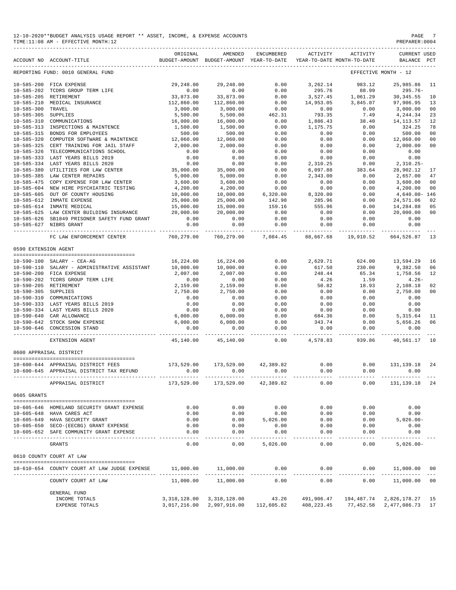| 12-10-2020**BUDGET ANALYSIS USAGE REPORT ** ASSET, INCOME, & EXPENSE ACCOUNTS | PAGE           |
|-------------------------------------------------------------------------------|----------------|
| TIME:11:08 AM - EFFECTIVE MONTH:12                                            | PREPARER: 0004 |

|                      | ACCOUNT NO ACCOUNT-TITLE                                                                                 | ORIGINAL                    | AMENDED<br>BUDGET-AMOUNT BUDGET-AMOUNT YEAR-TO-DATE | ENCUMBERED                                  | ACTIVITY              | ACTIVITY<br>YEAR-TO-DATE MONTH-TO-DATE | CURRENT USED<br>BALANCE      | PCT                  |
|----------------------|----------------------------------------------------------------------------------------------------------|-----------------------------|-----------------------------------------------------|---------------------------------------------|-----------------------|----------------------------------------|------------------------------|----------------------|
|                      | REPORTING FUND: 0010 GENERAL FUND                                                                        |                             |                                                     |                                             |                       |                                        | EFFECTIVE MONTH - 12         |                      |
|                      | 10-585-200 FICA EXPENSE<br>10-585-202 TCDRS GROUP TERM LIFE<br>ישר המה המה המה המה המה המה המה המה המה ה |                             | 29,248.00 29,248.00                                 |                                             |                       | $0.00$ $3,262.14$ $983.12$             | 25,985.86 11                 |                      |
|                      |                                                                                                          | 0.00                        | 0.00                                                | 0.00                                        | 295.76                | 88.99                                  | 295.76-                      |                      |
|                      |                                                                                                          | 33,873.00                   | 33,873.00                                           | 0.00                                        | 3,527.45              | 1,061.29                               | 30, 345.55                   | 10                   |
| 10-585-210           | MEDICAL INSURANCE                                                                                        | 112,860.00                  | 112,860.00                                          | 0.00                                        |                       | 14,953.05 3,845.07                     | 97,906.95                    | 13                   |
| $10 - 585 - 300$     | TRAVEL                                                                                                   | 3,000.00                    | 3,000.00                                            | $0.00$<br>462.31                            | 0.00                  | 0.00                                   | 3,000.00                     | 00                   |
| 10-585-305 SUPPLIES  |                                                                                                          | 5,500.00                    | 5,500.00                                            |                                             | 793.35                | 7.49                                   | 4,244.34                     | 23                   |
| 10-585-310           | COMMUNICATIONS                                                                                           | 16,000.00                   | 16,000.00                                           | 0.00                                        | 1,886.43              | 38.40                                  | 14,113.57                    | 12                   |
| 10-585-313           | INSPECTIONS & MAINTENCE<br>10-585-315 BONDS FOR EMPLOYEES                                                | 1,500.00<br>500.00          | 1,500.00                                            | 0.00                                        | 1,175.75              | 0.00                                   | 324.25                       | 78                   |
| $10 - 585 - 320$     | COMPUTER SOFTWARE & MAINTENCE                                                                            | 12,060.00                   | 500.00<br>12,060.00                                 | 0.00<br>0.00                                | 0.00<br>0.00          | 0.00<br>0.00                           | 500.00<br>12,060.00          | 00<br>00             |
| $10 - 585 - 325$     | CERT TRAINING FOR JAIL STAFF                                                                             | 2,000.00                    | 2,000.00                                            | 0.00                                        | 0.00                  | 0.00                                   | 2,000.00                     | 00                   |
| 10-585-326           | TELECOMMUNICATIONS SCHOOL                                                                                | 0.00                        | 0.00                                                | 0.00                                        | 0.00                  | 0.00                                   | 0.00                         |                      |
|                      |                                                                                                          |                             | 0.00                                                | 0.00                                        | 0.00                  | 0.00                                   | 0.00                         |                      |
|                      | 10-585-334 LAST YEARS BILLS 2019<br>10-585-334 LAST YEARS BILLS 2020<br>10-585-380 UPILEMENT --          | $0.00$<br>0.00<br>35,000.00 | 0.00                                                | 0.00                                        | 2,310.25              | 0.00                                   | $2,310.25-$                  |                      |
|                      | UTILITIES FOR LAW CENTER                                                                                 |                             | 35,000.00                                           | 0.00                                        | 6,097.88              | 383.64                                 | 28,902.12                    | 17                   |
|                      | 10-585-385 LAW CENTER REPAIRS                                                                            | 5,000.00                    | 5,000.00                                            | $\begin{array}{c} 0.00 \\ 0.00 \end{array}$ | 2,343.00              | 0.00                                   | 2,657.00                     | 47                   |
| $10 - 585 - 475$     | COPY EXPENSE FOR LAW CENTER                                                                              | 3,600.00                    | 3,600.00                                            |                                             | 0.00                  | 0.00                                   | 3,600.00                     | 00                   |
|                      | 10-585-604 NEW HIRE PSYCHIATRIC TESTING                                                                  | 4,200.00                    | 4,200.00                                            | $0.00$<br>6,320.00                          | 0.00                  | 0.00                                   | 4,200.00                     | 00                   |
| 10-585-605           | OUT OF COUNTY HOUSING                                                                                    | 10,000.00                   | 10,000.00                                           |                                             | 8,320.00              | 0.00                                   | 4,640.00- 146                |                      |
|                      | 10-585-612 INMATE EXPENSE                                                                                | 25,000.00                   | 25,000.00                                           | 142.98                                      | 285.96                | 0.00                                   | 24,571.06                    | 02                   |
|                      | 10-585-614 INMATE MEDICAL<br>10-585-625 LAW CENTER BUILDING INSURANCE 20,000.00                          | 15,000.00                   | 15,000.00                                           | 159.16                                      | 555.96                | 0.00                                   | 14,284.88                    | 05                   |
|                      | 10-585-626 SB1849 PRISONER SAFETY FUND GRANT                                                             | 0.00                        | 20,000.00<br>0.00                                   | 0.00<br>0.00                                | 0.00<br>0.00          | 0.00<br>0.00                           | 20,000.00<br>0.00            | 0 <sup>0</sup>       |
|                      | 10-585-627 NIBRS GRANT                                                                                   | 0.00                        | 0.00                                                | 0.00                                        | 0.00                  | 0.00                                   | 0.00                         |                      |
|                      | FC LAW ENFORCEMENT CENTER                                                                                | 760,279.00                  | -----------<br>760,279.00                           | -----------<br>7,084.45                     | . _ _ _ _ _ _ _ _ _   | 88,667.68 19,910.52                    | 664,526.87 13                |                      |
| 0590 EXTENSION AGENT |                                                                                                          |                             |                                                     |                                             |                       |                                        |                              |                      |
|                      |                                                                                                          |                             |                                                     |                                             |                       |                                        |                              |                      |
|                      | 10-590-100 SALARY - CEA-AG                                                                               |                             | $16, 224.00$ $16, 224.00$                           |                                             | $0.00$ 2,629.71       | 624.00                                 | 13,594.29                    | 16                   |
|                      | 10-590-110 SALARY - ADMINISTRATIVE ASSISTANT                                                             | 10,000.00                   | 10,000.00                                           | 0.00                                        | 617.50                | 230.00                                 | 9,382.50                     | 06                   |
|                      | 10-590-200 FICA EXPENSE                                                                                  | 2,007.00                    | 2,007.00                                            | 0.00                                        | 248.44                | 65.34                                  | 1,758.56                     | 12                   |
|                      | 10-590-202 TCDRS GROUP TERM LIFE                                                                         | 0.00                        | $0.00$<br>2,159.00                                  | 0.00                                        | 4.26                  | 1.59                                   | $4.26-$                      |                      |
| 10-590-305           | 10-590-205 RETIREMENT<br>SUPPLIES                                                                        | 2,159.00<br>2,750.00        | 2,750.00                                            | 0.00                                        | 50.82<br>0.00         | 18.93<br>0.00                          | 2,108.18<br>2,750.00         | 02<br>0 <sup>0</sup> |
|                      | 10-590-310 COMMUNICATIONS                                                                                | 0.00                        | 0.00                                                | 0.00<br>0.00                                | 0.00                  | 0.00                                   | 0.00                         |                      |
|                      | 10-590-333 LAST YEARS BILLS 2019                                                                         | 0.00                        | 0.00                                                | 0.00                                        | 0.00                  | 0.00                                   | 0.00                         |                      |
|                      | 10-590-334 LAST YEARS BILLS 2020                                                                         | 0.00                        | 0.00                                                | 0.00                                        | 0.00                  | 0.00                                   | 0.00                         |                      |
|                      | 10-590-640 CAR ALLOWANCE                                                                                 | $6,000.00$<br>6,000.00      | 6,000.00                                            | 0.00                                        | 684.36                | 0.00                                   | 5, 315.64                    | 11                   |
|                      | 10-590-642 STOCK SHOW EXPENSE                                                                            |                             | 6,000.00                                            | 0.00                                        | 343.74                | 0.00                                   | 5,656.26                     | 06                   |
|                      | 10-590-646 CONCESSION STAND                                                                              | 0.00                        | 0.00                                                | 0.00                                        | 0.00                  | 0.00                                   | 0.00                         |                      |
|                      | EXTENSION AGENT                                                                                          |                             | 45,140.00 45,140.00                                 | 0.00                                        |                       |                                        | 4,578.83 939.86 40,561.17 10 |                      |
|                      | 0600 APPRAISAL DISTRICT                                                                                  |                             |                                                     |                                             |                       |                                        |                              |                      |
|                      | 10-600-644 APPRAISAL DISTRICT FEES                                                                       | 173,529.00                  | 173,529.00                                          | 42,389.82                                   | 0.00                  | 0.00                                   | 131,139.18                   | 24                   |
|                      | 10-600-645 APPRAISAL DISTRICT TAX REFUND                                                                 | 0.00                        | 0.00                                                | 0.00                                        | 0.00                  | 0.00                                   | 0.00                         |                      |
|                      | APPRAISAL DISTRICT                                                                                       | 173,529.00                  | 173,529.00                                          | 42,389.82                                   | 0.00                  | 0.00                                   | 131,139.18                   | -24                  |
| 0605 GRANTS          |                                                                                                          |                             |                                                     |                                             |                       |                                        |                              |                      |
|                      |                                                                                                          |                             |                                                     |                                             |                       |                                        |                              |                      |
|                      | 10-605-646 HOMELAND SECURITY GRANT EXPENSE                                                               | 0.00                        | 0.00                                                | 0.00                                        | 0.00                  | 0.00                                   | 0.00                         |                      |
|                      | 10-605-648 HAVA CARES ACT                                                                                | 0.00                        | 0.00                                                | 0.00<br>5,026.00                            | 0.00                  | 0.00                                   | 0.00                         |                      |
|                      | 10-605-649 HAVA SECURITY GRANT<br>10-605-650 SECO-(EECBG) GRANT EXPENSE                                  | 0.00<br>0.00                | 0.00<br>0.00                                        | 0.00                                        | 0.00<br>0.00          | 0.00<br>0.00                           | $5,026.00 -$<br>0.00         |                      |
|                      | 10-605-652 SAFE COMMUNITY GRANT EXPENSE                                                                  | 0.00                        | 0.00                                                | 0.00                                        | 0.00                  | 0.00                                   | 0.00                         |                      |
|                      |                                                                                                          | -----                       | $- - - - - -$                                       |                                             | $- - - -$             | -----                                  |                              |                      |
|                      | <b>GRANTS</b>                                                                                            | 0.00                        | 0.00                                                | 5,026.00                                    | 0.00                  | 0.00                                   | $5,026.00 -$                 |                      |
|                      | 0610 COUNTY COURT AT LAW                                                                                 |                             |                                                     |                                             |                       |                                        |                              |                      |
|                      | 10-610-654 COUNTY COURT AT LAW JUDGE EXPENSE                                                             | 11,000.00                   | 11,000.00                                           | 0.00                                        | 0.00<br>------------- | 0.00<br>___________                    | 11,000.00<br>______________  | 00                   |
|                      | COUNTY COURT AT LAW                                                                                      | 11,000.00                   | 11,000.00                                           | 0.00                                        | 0.00                  | 0.00                                   | 11,000.00                    | 0 <sub>0</sub>       |
|                      | <b>GENERAL FUND</b>                                                                                      |                             |                                                     |                                             |                       |                                        |                              |                      |
|                      | INCOME TOTALS                                                                                            |                             | 3, 318, 128.00 3, 318, 128.00                       | 43.26                                       | 491,906.47            |                                        | 194,487.74 2,826,178.27      | 15                   |

EXPENSE TOTALS 3,017,216.00 2,997,916.00 112,605.82 408,223.45 77,452.58 2,477,086.73 17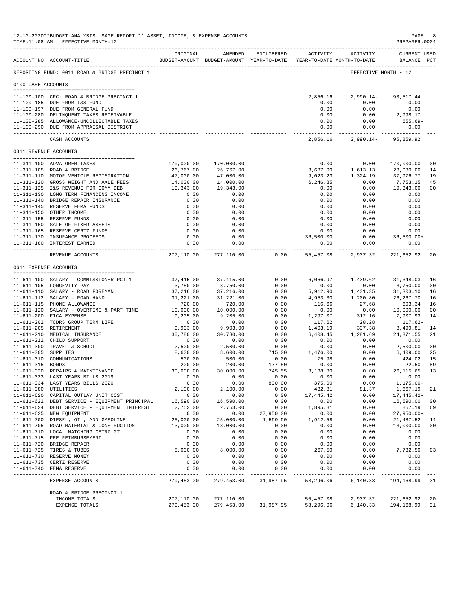|                       | 12-10-2020**BUDGET ANALYSIS USAGE REPORT ** ASSET, INCOME, & EXPENSE ACCOUNTS<br>TIME:11:08 AM - EFFECTIVE MONTH:12 |                                                                                 |                                       |                                 |                            |                     | PAGE<br>PREPARER: 0004                            | 8              |
|-----------------------|---------------------------------------------------------------------------------------------------------------------|---------------------------------------------------------------------------------|---------------------------------------|---------------------------------|----------------------------|---------------------|---------------------------------------------------|----------------|
|                       | ACCOUNT NO ACCOUNT-TITLE                                                                                            | ORIGINAL<br>BUDGET-AMOUNT BUDGET-AMOUNT YEAR-TO-DATE YEAR-TO-DATE MONTH-TO-DATE | AMENDED                               | ENCUMBERED                      |                            | ACTIVITY ACTIVITY   | <b>CURRENT USED</b><br>BALANCE PCT                |                |
|                       | REPORTING FUND: 0011 ROAD & BRIDGE PRECINCT 1                                                                       |                                                                                 |                                       |                                 |                            |                     | EFFECTIVE MONTH - 12                              |                |
| 0100 CASH ACCOUNTS    |                                                                                                                     |                                                                                 |                                       |                                 |                            |                     |                                                   |                |
|                       | 11-100-100 CFC: ROAD & BRIDGE PRECINCT 1                                                                            |                                                                                 |                                       |                                 | 2,856.16                   |                     | 2,990.14- 93,517.44                               |                |
|                       | 11-100-185 DUE FROM I&S FUND                                                                                        |                                                                                 |                                       |                                 | 0.00                       | 0.00                | 0.00                                              |                |
|                       | 11-100-197 DUE FROM GENERAL FUND                                                                                    |                                                                                 |                                       |                                 | 0.00                       | 0.00                | 0.00                                              |                |
|                       | 11-100-280 DELINQUENT TAXES RECEIVABLE                                                                              |                                                                                 |                                       |                                 | 0.00                       | 0.00                | 2,998.17                                          |                |
|                       | 11-100-285 ALLOWANCE-UNCOLLECTABLE TAXES                                                                            |                                                                                 |                                       |                                 | 0.00                       | 0.00                | 655.69-                                           |                |
|                       | 11-100-290 DUE FROM APPRAISAL DISTRICT                                                                              |                                                                                 |                                       |                                 | 0.00                       | 0.00                | 0.00                                              |                |
|                       | CASH ACCOUNTS                                                                                                       |                                                                                 |                                       |                                 | --------------<br>2,856.16 |                     | ----------- --------------<br>2,990.14- 95,859.92 |                |
|                       | 0311 REVENUE ACCOUNTS                                                                                               |                                                                                 |                                       |                                 |                            |                     |                                                   |                |
|                       | 11-311-100 ADVALOREM TAXES                                                                                          | 170,000.00                                                                      | 170,000.00                            |                                 | 0.00                       | 0.00                | 170,000.00                                        | 0 <sub>0</sub> |
|                       | 11-311-105 ROAD & BRIDGE                                                                                            | 26,767.00                                                                       | 26,767.00                             |                                 | 3,687.00                   | 1,613.13            | 23,080.00                                         | 14             |
|                       | 11-311-110 MOTOR VEHICLE REGISTRATION                                                                               | 47,000.00                                                                       | 47,000.00                             |                                 | 9,023.23                   | 1,324.19            | 37,976.77                                         | 19             |
|                       | 11-311-120 GROSS WEIGHT AND AXLE FEES                                                                               | 14,000.00                                                                       | 14,000.00                             |                                 | 6,246.85                   | 0.00                | 7,753.15                                          | 45             |
|                       | 11-311-125 I&S REVENUE FOR COMM DEB                                                                                 | 19,343.00                                                                       | 19,343.00                             |                                 | 0.00                       | 0.00                | 19,343.00                                         | 0 <sub>0</sub> |
|                       | 11-311-130 LONG TERM FINANCING INCOME                                                                               | 0.00                                                                            | 0.00                                  |                                 | 0.00                       | 0.00                | 0.00                                              |                |
|                       | 11-311-140 BRIDGE REPAIR INSURANCE                                                                                  | 0.00                                                                            | 0.00                                  |                                 | 0.00                       | 0.00                | 0.00                                              |                |
|                       | 11-311-145 RESERVE FEMA FUNDS                                                                                       | 0.00                                                                            | 0.00                                  |                                 | 0.00                       | 0.00                | 0.00                                              |                |
|                       | 11-311-150 OTHER INCOME                                                                                             | 0.00                                                                            | 0.00                                  |                                 | 0.00                       | 0.00                | 0.00                                              |                |
|                       | 11-311-155 RESERVE FUNDS                                                                                            | 0.00                                                                            | 0.00                                  |                                 | 0.00                       | 0.00                | 0.00                                              |                |
|                       | 11-311-160 SALE OF FIXED ASSETS                                                                                     | 0.00                                                                            | 0.00                                  |                                 | 0.00                       | 0.00                | 0.00                                              |                |
|                       | 11-311-165 RESERVE CERTZ FUNDS<br>11-311-170 INSURANCE PROCEEDS                                                     | 0.00<br>0.00                                                                    | 0.00<br>0.00                          |                                 | 0.00<br>36,500.00          | 0.00<br>0.00        | 0.00<br>$36,500.00+$                              |                |
|                       | 11-311-180 INTEREST EARNED                                                                                          | 0.00                                                                            | 0.00                                  |                                 | 0.00                       | 0.00                | 0.00                                              |                |
|                       | REVENUE ACCOUNTS                                                                                                    | -------------                                                                   | ------------<br>277,110.00 277,110.00 | 0.00                            | ----------- -<br>55,457.08 | 2,937.32            | ----------- -------------<br>221,652.92           | -20            |
|                       |                                                                                                                     |                                                                                 |                                       |                                 |                            |                     |                                                   |                |
| 0611 EXPENSE ACCOUNTS |                                                                                                                     |                                                                                 |                                       |                                 |                            |                     |                                                   |                |
|                       | 11-611-100 SALARY - COMMISSIONER PCT 1                                                                              | 37,415.00                                                                       | 37,415.00                             | 0.00                            | 6,066.97                   | 1,439.62            | 31,348.03                                         | 16             |
|                       | 11-611-105 LONGEVITY PAY                                                                                            | 3,750.00                                                                        | 3,750.00                              | 0.00                            | 0.00                       | 0.00                | 3,750.00                                          | 00             |
|                       | 11-611-110 SALARY - ROAD FOREMAN                                                                                    | 37,216.00                                                                       | 37,216.00                             | 0.00                            | 5,912.90                   | 1,431.35            | 31,303.10                                         | 16             |
|                       | 11-611-112 SALARY - ROAD HAND                                                                                       | 31,221.00                                                                       | 31,221.00                             | 0.00                            | 4,953.30                   | 1,200.80            | 26, 267.70                                        | 16             |
|                       | 11-611-115 PHONE ALLOWANCE                                                                                          | 720.00                                                                          | 720.00                                | 0.00                            | 116.66                     | 27.68               | 603.34                                            | 16             |
|                       | 11-611-120 SALARY - OVERTIME & PART TIME                                                                            | 10,000.00                                                                       | 10,000.00                             | 0.00                            | 0.00                       | 0.00                | 10,000.00                                         | 0 <sub>0</sub> |
|                       | 11-611-200 FICA EXPENSE                                                                                             | 9,205.00                                                                        | 9,205.00                              | 0.00                            | 1,297.07                   | 312.16              | 7,907.93                                          | 14             |
|                       | 11-611-202 TCDRS GROUP TERM LIFE                                                                                    | 0.00                                                                            | 0.00                                  | 0.00                            | 117.62                     | 28.28               | 117.62-                                           |                |
|                       | 11-611-205 RETIREMENT                                                                                               | 9,903.00                                                                        | 9,903.00                              | 0.00                            | 1,403.19                   | 337.38              | 8,499.81                                          | 14             |
|                       | 11-611-210 MEDICAL INSURANCE<br>11-611-212 CHILD SUPPORT                                                            | 30,780.00<br>0.00                                                               | 30,780.00<br>0.00                     | 0.00<br>0.00                    | 6,408.45<br>0.00           | 1,281.69<br>0.00    | 24, 371.55<br>0.00                                | 21             |
|                       | 11-611-300 TRAVEL & SCHOOL                                                                                          | 2,500.00                                                                        | 2,500.00                              | 0.00                            | 0.00                       | 0.00                | 2,500.00                                          | 0 <sub>0</sub> |
| 11-611-305 SUPPLIES   |                                                                                                                     | 8,600.00                                                                        | 8,600.00                              | 715.00                          | 1,476.00                   | 0.00                | 6,409.00                                          | 25             |
|                       | 11-611-310 COMMUNICATIONS                                                                                           | 500.00                                                                          | 500.00                                | 0.00                            | 75.98                      | 0.00                | 424.02                                            | 15             |
| 11-611-315 BONDS      |                                                                                                                     | 200.00                                                                          | 200.00                                | 177.50                          | 0.00                       | 0.00                | 22.50                                             | 89             |
|                       | 11-611-320 REPAIRS & MAINTENANCE                                                                                    | 30,000.00                                                                       | 30,000.00                             | 745.55                          | 3,138.80                   | 0.00                | 26, 115.65 13                                     |                |
|                       | 11-611-333 LAST YEARS BILLS 2019                                                                                    | 0.00                                                                            | 0.00                                  | 0.00                            | 0.00                       | 0.00                | 0.00                                              |                |
|                       | 11-611-334 LAST YEARS BILLS 2020                                                                                    | 0.00                                                                            | 0.00                                  | 800.00                          | 375.00                     | 0.00                | $1, 175.00 -$                                     |                |
| 11-611-380 UTILITIES  |                                                                                                                     | 2,100.00                                                                        | 2,100.00                              | 0.00                            | 432.81                     | 81.37               | 1,667.19                                          | 21             |
|                       | 11-611-620 CAPITAL OUTLAY UNIT COST                                                                                 | 0.00                                                                            | 0.00                                  | 0.00                            | 17,445.42                  | 0.00                | 17,445.42-                                        |                |
|                       | 11-611-622 DEBT SERVICE - EQUIPMENT PRINCIPAL                                                                       | 16,590.00                                                                       | 16,590.00                             | 0.00                            | 0.00                       | 0.00                | 16,590.00                                         | 0 <sub>0</sub> |
|                       | 11-611-624 DEBT SERVICE - EQUIPMENT INTEREST                                                                        | 2,753.00                                                                        | 2,753.00                              | 0.00                            | 1,895.81                   | 0.00                | 857.19                                            | 69             |
|                       | 11-611-625 NEW EQUIPMENT<br>11-611-700 DIESEL, OIL, AND GASOLINE                                                    | 0.00<br>25,000.00                                                               | 0.00<br>25,000.00                     | 27,950.00<br>1,599.90           | 0.00<br>1,912.58           | 0.00<br>0.00        | $27,950.00 -$                                     | 14             |
|                       | 11-611-705 ROAD MATERIAL & CONSTRUCTION                                                                             | 13,000.00                                                                       | 13,000.00                             | 0.00                            | 0.00                       | 0.00                | 21,487.52<br>13,000.00                            | 0 <sub>0</sub> |
|                       | 11-611-710 LOCAL MATCHING CETRZ GT                                                                                  | 0.00                                                                            | 0.00                                  | 0.00                            | 0.00                       | 0.00                | 0.00                                              |                |
|                       | 11-611-715 FEE REIMBURSEMENT                                                                                        | 0.00                                                                            | 0.00                                  | 0.00                            | 0.00                       | 0.00                | 0.00                                              |                |
|                       | 11-611-720 BRIDGE REPAIR                                                                                            | 0.00                                                                            | 0.00                                  | 0.00                            | 0.00                       | 0.00                | 0.00                                              |                |
|                       | 11-611-725 TIRES & TUBES                                                                                            | 8,000.00                                                                        | 8,000.00                              | 0.00                            | 267.50                     | 0.00                | 7,732.50                                          | 03             |
|                       | 11-611-730 RESERVE MONEY                                                                                            | 0.00                                                                            | 0.00                                  | 0.00                            | 0.00                       | 0.00                | 0.00                                              |                |
|                       | 11-611-735 CERTZ RESERVE                                                                                            | 0.00                                                                            | 0.00                                  | 0.00                            | 0.00                       | 0.00                | 0.00                                              |                |
|                       | 11-611-740 FEMA RESERVE                                                                                             | 0.00                                                                            | 0.00<br>------------                  | 0.00<br>. _ _ _ _ _ _ _ _ _ _ _ | 0.00<br>.                  | 0.00<br>$- - - - -$ | 0.00<br>---------                                 |                |
|                       | EXPENSE ACCOUNTS                                                                                                    | 279,453.00                                                                      | 279,453.00                            | 31,987.95                       | 53,296.06                  | 6,140.33            | 194,168.99                                        | 31             |
|                       | ROAD & BRIDGE PRECINCT 1                                                                                            |                                                                                 |                                       |                                 |                            |                     |                                                   |                |
|                       | INCOME TOTALS                                                                                                       | 277,110.00                                                                      | 277,110.00                            |                                 | 55,457.08                  | 2,937.32            | 221,652.92                                        | 20             |
|                       | EXPENSE TOTALS                                                                                                      | 279,453.00                                                                      | 279,453.00                            | 31,987.95                       | 53,296.06                  | 6,140.33            | 194,168.99                                        | 31             |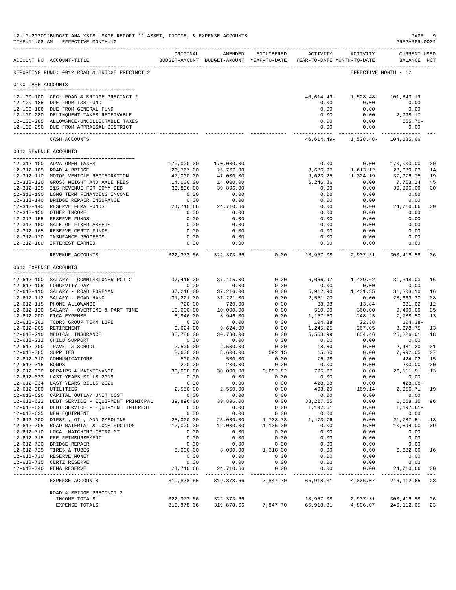| 12-10-2020**BUDGET ANALYSIS USAGE REPORT ** ASSET, INCOME, & EXPENSE ACCOUNTS<br>PREPARER: 0004<br>TIME:11:08 AM - EFFECTIVE MONTH:12 |                                                                                      |                                                                                 |                            |              |                              |                                                         |                                             |                      |
|---------------------------------------------------------------------------------------------------------------------------------------|--------------------------------------------------------------------------------------|---------------------------------------------------------------------------------|----------------------------|--------------|------------------------------|---------------------------------------------------------|---------------------------------------------|----------------------|
|                                                                                                                                       | ACCOUNT NO ACCOUNT-TITLE                                                             | ORIGINAL<br>BUDGET-AMOUNT BUDGET-AMOUNT YEAR-TO-DATE YEAR-TO-DATE MONTH-TO-DATE | AMENDED                    | ENCUMBERED   | ACTIVITY                     | ACTIVITY                                                | <b>CURRENT USED</b><br>BALANCE PCT          |                      |
|                                                                                                                                       | REPORTING FUND: 0012 ROAD & BRIDGE PRECINCT 2                                        |                                                                                 |                            |              |                              |                                                         | EFFECTIVE MONTH - 12                        |                      |
| 0100 CASH ACCOUNTS                                                                                                                    |                                                                                      |                                                                                 |                            |              |                              |                                                         |                                             |                      |
|                                                                                                                                       | 12-100-100 CFC: ROAD & BRIDGE PRECINCT 2                                             |                                                                                 |                            |              |                              | $46,614.49 - 1,528.48 -$                                | 101,843.19                                  |                      |
|                                                                                                                                       | 12-100-185 DUE FROM I&S FUND                                                         |                                                                                 |                            |              | 0.00                         | 0.00                                                    | 0.00                                        |                      |
|                                                                                                                                       | 12-100-186 DUE FROM GENERAL FUND                                                     |                                                                                 |                            |              | 0.00                         | 0.00                                                    | 0.00                                        |                      |
|                                                                                                                                       | 12-100-280 DELINQUENT TAXES RECEIVABLE                                               |                                                                                 |                            |              | 0.00                         | 0.00                                                    | 2,998.17                                    |                      |
|                                                                                                                                       | 12-100-285 ALLOWANCE-UNCOLLECTABLE TAXES                                             |                                                                                 |                            |              | 0.00                         | 0.00                                                    | 655.70-                                     |                      |
|                                                                                                                                       | 12-100-290 DUE FROM APPRAISAL DISTRICT                                               |                                                                                 |                            |              | 0.00                         | 0.00                                                    | 0.00                                        |                      |
|                                                                                                                                       | CASH ACCOUNTS                                                                        |                                                                                 |                            |              | ------------ ------------- - | ------------<br>46, 614. 49 - 1, 528. 48 - 104, 185. 66 | --------------                              |                      |
|                                                                                                                                       | 0312 REVENUE ACCOUNTS                                                                |                                                                                 |                            |              |                              |                                                         |                                             |                      |
|                                                                                                                                       |                                                                                      |                                                                                 |                            |              |                              |                                                         |                                             |                      |
|                                                                                                                                       | 12-312-100 ADVALOREM TAXES<br>12-312-105 ROAD & BRIDGE                               | 170,000.00<br>26,767.00                                                         | 170,000.00<br>26,767.00    |              | 0.00<br>3,686.97             | 0.00<br>1,613.12                                        | 170,000.00<br>23,080.03                     | 0 <sub>0</sub><br>14 |
|                                                                                                                                       | 12-312-110 MOTOR VEHICLE REGISTRATION                                                | 47,000.00                                                                       | 47,000.00                  |              | 9,023.25                     | 1,324.19                                                | 37,976.75                                   | 19                   |
|                                                                                                                                       | 12-312-120 GROSS WEIGHT AND AXLE FEES                                                | 14,000.00                                                                       | 14,000.00                  |              | 6,246.86                     | 0.00                                                    | 7,753.14                                    | 45                   |
|                                                                                                                                       | 12-312-125 I&S REVENUE FOR COMM DEB                                                  | 39,896.00                                                                       | 39,896.00                  |              | 0.00                         | 0.00                                                    | 39,896.00                                   | 0 <sub>0</sub>       |
|                                                                                                                                       | 12-312-130 LONG TERM FINANCING INCOME                                                | 0.00                                                                            | 0.00                       |              | 0.00                         | 0.00                                                    | 0.00                                        |                      |
|                                                                                                                                       | 12-312-140 BRIDGE REPAIR INSURANCE                                                   | 0.00                                                                            | 0.00                       |              | 0.00                         | 0.00                                                    | 0.00                                        |                      |
|                                                                                                                                       | 12-312-145 RESERVE FEMA FUNDS                                                        | 24,710.66                                                                       | 24,710.66                  |              | 0.00                         | 0.00                                                    | 24,710.66                                   | 0 <sub>0</sub>       |
|                                                                                                                                       | 12-312-150 OTHER INCOME                                                              | 0.00                                                                            | 0.00                       |              | 0.00                         | 0.00                                                    | 0.00                                        |                      |
|                                                                                                                                       | 12-312-155 RESERVE FUNDS                                                             | 0.00                                                                            | 0.00                       |              | 0.00                         | 0.00                                                    | 0.00                                        |                      |
|                                                                                                                                       | 12-312-160 SALE OF FIXED ASSETS<br>12-312-165 RESERVE CERTZ FUNDS                    | 0.00<br>0.00                                                                    | 0.00<br>0.00               |              | 0.00<br>0.00                 | 0.00<br>0.00                                            | 0.00<br>0.00                                |                      |
|                                                                                                                                       | 12-312-170 INSURANCE PROCEEDS                                                        | 0.00                                                                            | 0.00                       |              | 0.00                         | 0.00                                                    | 0.00                                        |                      |
|                                                                                                                                       | 12-312-180 INTEREST EARNED                                                           | 0.00                                                                            | 0.00                       |              | 0.00                         | 0.00                                                    | 0.00                                        |                      |
|                                                                                                                                       | REVENUE ACCOUNTS                                                                     | . _ _ _ _ _ _ _ _ _ _ _ _<br>322,373.66                                         | ------------<br>322,373.66 | 0.00         | .<br>18,957.08               | ---------- -                                            | 2,937.31 303,416.58                         | 06                   |
|                                                                                                                                       | 0612 EXPENSE ACCOUNTS                                                                |                                                                                 |                            |              |                              |                                                         |                                             |                      |
|                                                                                                                                       |                                                                                      |                                                                                 |                            |              |                              |                                                         |                                             |                      |
|                                                                                                                                       | 12-612-100 SALARY - COMMISSIONER PCT 2<br>12-612-105 LONGEVITY PAY                   | 37,415.00<br>0.00                                                               | 37, 415.00<br>0.00         | 0.00<br>0.00 | 6,066.97<br>0.00             | 1,439.62<br>0.00                                        | 31, 348.03<br>0.00                          | 16                   |
|                                                                                                                                       | 12-612-110 SALARY - ROAD FOREMAN                                                     | 37,216.00                                                                       | 37,216.00                  | 0.00         | 5,912.90                     | 1,431.35                                                | 31,303.10                                   | 16                   |
|                                                                                                                                       | 12-612-112 SALARY - ROAD HAND                                                        | 31,221.00                                                                       | 31,221.00                  | 0.00         | 2,551.70                     | 0.00                                                    | 28,669.30                                   | 08                   |
|                                                                                                                                       | 12-612-115 PHONE ALLOWANCE                                                           | 720.00                                                                          | 720.00                     | 0.00         | 88.98                        | 13.84                                                   | 631.02                                      | 12                   |
|                                                                                                                                       | 12-612-120 SALARY - OVERTIME & PART TIME                                             | 10,000.00                                                                       | 10,000.00                  | 0.00         | 510.00                       | 360.00                                                  | 9,490.00                                    | 05                   |
|                                                                                                                                       | 12-612-200 FICA EXPENSE                                                              | 8,946.00                                                                        | 8,946.00                   | 0.00         | 1,157.50                     | 248.23                                                  | 7,788.50                                    | 13                   |
|                                                                                                                                       | 12-612-202 TCDRS GROUP TERM LIFE                                                     | 0.00                                                                            | 0.00                       | 0.00         | 104.38                       | 22.38                                                   | $104.38-$                                   |                      |
|                                                                                                                                       | 12-612-205 RETIREMENT                                                                | 9,624.00                                                                        | 9,624.00                   | 0.00         | 1,245.25                     | 267.05                                                  | 8,378.75                                    | 13                   |
|                                                                                                                                       | 12-612-210 MEDICAL INSURANCE                                                         | 30,780.00                                                                       | 30,780.00                  | 0.00         | 5,553.99                     | 854.46                                                  | 25, 226.01                                  | 18                   |
|                                                                                                                                       | 12-612-212 CHILD SUPPORT<br>12-612-300 TRAVEL & SCHOOL                               | 0.00<br>2,500.00                                                                | 0.00<br>2,500.00           | 0.00<br>0.00 | 0.00<br>18.80                | 0.00<br>0.00                                            | 0.00<br>2,481.20                            | 01                   |
| 12-612-305 SUPPLIES                                                                                                                   |                                                                                      | 8,600.00                                                                        | 8,600.00                   | 592.15       | 15.80                        | 0.00                                                    | 7,992.05                                    | 07                   |
|                                                                                                                                       | 12-612-310 COMMUNICATIONS                                                            | 500.00                                                                          | 500.00                     | 0.00         | 75.98                        | 0.00                                                    | 424.02                                      | 15                   |
| 12-612-315 BONDS                                                                                                                      |                                                                                      | 200.00                                                                          | 200.00                     | 0.00         | 0.00                         | 0.00                                                    | 200.00                                      | 0 <sub>0</sub>       |
|                                                                                                                                       | 12-612-320 REPAIRS & MAINTENANCE                                                     | 30,000.00                                                                       | 30,000.00                  | 3,092.82     | 795.67                       | 0.00                                                    | 26, 111.51 13                               |                      |
|                                                                                                                                       | 12-612-333 LAST YEARS BILLS 2019                                                     | 0.00                                                                            | 0.00                       | 0.00         | 0.00                         | 0.00                                                    | 0.00                                        |                      |
|                                                                                                                                       | 12-612-334 LAST YEARS BILLS 2020                                                     | 0.00                                                                            | 0.00                       | 0.00         | 428.08                       | 0.00                                                    | $428.08 -$                                  |                      |
|                                                                                                                                       | 12-612-380 UTILITIES                                                                 | 2,550.00                                                                        | 2,550.00                   | 0.00         | 493.29                       | 169.14                                                  | 2,056.71                                    | 19                   |
|                                                                                                                                       | 12-612-620 CAPITAL OUTLAY UNIT COST<br>12-612-622 DEBT SERVICE - EQUIPMENT PRINICPAL | 0.00<br>39,896.00                                                               | 0.00<br>39,896.00          | 0.00<br>0.00 | 0.00<br>38, 227.65           | 0.00<br>0.00                                            | 0.00<br>1,668.35                            | 96                   |
|                                                                                                                                       | 12-612-624 DEBT SERVICE - EQUIPMENT INTEREST                                         | 0.00                                                                            | 0.00                       | 0.00         | 1,197.61                     | 0.00                                                    | $1,197.61-$                                 |                      |
|                                                                                                                                       | 12-612-625 NEW EQUIPMENT                                                             | 0.00                                                                            | 0.00                       | 0.00         | 0.00                         | 0.00                                                    | 0.00                                        |                      |
|                                                                                                                                       | 12-612-700 DIESEL, OIL, AND GASOLINE                                                 | 25,000.00                                                                       | 25,000.00                  | 1,738.73     | 1,473.76                     | 0.00                                                    | 21,787.51                                   | 13                   |
|                                                                                                                                       | 12-612-705 ROAD MATERIAL & CONSTRUCTION                                              | 12,000.00                                                                       | 12,000.00                  | 1,106.00     | 0.00                         | 0.00                                                    | 10,894.00                                   | 09                   |
|                                                                                                                                       | 12-612-710 LOCAL MATCHING CETRZ GT                                                   | 0.00                                                                            | 0.00                       | 0.00         | 0.00                         | 0.00                                                    | 0.00                                        |                      |
|                                                                                                                                       | 12-612-715 FEE REIMBURSEMENT                                                         | 0.00                                                                            | 0.00                       | 0.00         | 0.00                         | 0.00                                                    | 0.00                                        |                      |
|                                                                                                                                       | 12-612-720 BRIDGE REPAIR                                                             | 0.00                                                                            | 0.00                       | 0.00         | 0.00                         | 0.00                                                    | 0.00                                        |                      |
|                                                                                                                                       | 12-612-725 TIRES & TUBES                                                             | 8,000.00                                                                        | 8,000.00                   | 1,318.00     | 0.00                         | 0.00                                                    | 6,682.00                                    | 16                   |
|                                                                                                                                       | 12-612-730 RESERVE MONEY                                                             | 0.00<br>0.00                                                                    | 0.00<br>0.00               | 0.00<br>0.00 | 0.00<br>0.00                 | 0.00                                                    | 0.00<br>0.00                                |                      |
|                                                                                                                                       | 12-612-735 CERTZ RESERVE<br>12-612-740 FEMA RESERVE                                  | 24,710.66                                                                       | 24,710.66                  | 0.00         | 0.00                         | 0.00<br>0.00                                            | 24,710.66                                   | 0 <sub>0</sub>       |
|                                                                                                                                       | EXPENSE ACCOUNTS                                                                     | 319,878.66                                                                      | 319,878.66                 | 7,847.70     | -------------<br>65,918.31   | 4,806.07                                                | ------------- ---------------<br>246,112.65 | $- - -$<br>23        |
|                                                                                                                                       | ROAD & BRIDGE PRECINCT 2                                                             |                                                                                 |                            |              |                              |                                                         |                                             |                      |
|                                                                                                                                       | INCOME TOTALS                                                                        | 322, 373.66                                                                     | 322,373.66                 |              | 18,957.08                    | 2,937.31                                                | 303,416.58                                  | 06                   |
|                                                                                                                                       | EXPENSE TOTALS                                                                       | 319,878.66                                                                      | 319,878.66                 | 7,847.70     | 65,918.31                    | 4,806.07                                                | 246,112.65                                  | 23                   |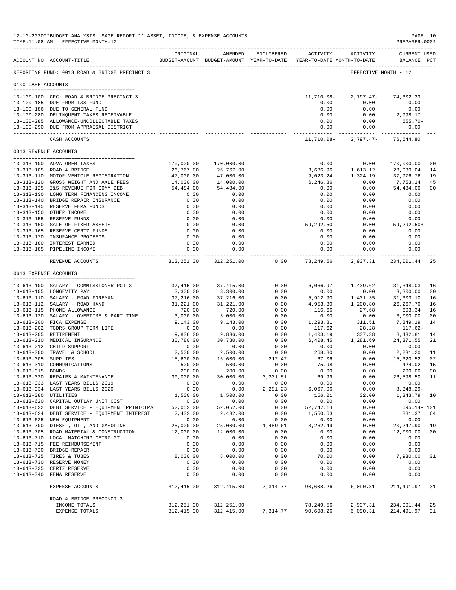|                       | 12-10-2020**BUDGET ANALYSIS USAGE REPORT ** ASSET, INCOME, & EXPENSE ACCOUNTS<br>TIME:11:08 AM - EFFECTIVE MONTH:12 |                        |                                                                                |                  |                          |                             | PAGE 10<br>PREPARER: 0004             |                      |
|-----------------------|---------------------------------------------------------------------------------------------------------------------|------------------------|--------------------------------------------------------------------------------|------------------|--------------------------|-----------------------------|---------------------------------------|----------------------|
|                       | ACCOUNT NO ACCOUNT-TITLE                                                                                            | ORIGINAL               | AMENDED<br>BUDGET-AMOUNT BUDGET-AMOUNT YEAR-TO-DATE YEAR-TO-DATE MONTH-TO-DATE | ENCUMBERED       | ACTIVITY                 | ACTIVITY                    | <b>CURRENT USED</b><br>BALANCE PCT    |                      |
|                       | REPORTING FUND: 0013 ROAD & BRIDGE PRECINCT 3                                                                       |                        |                                                                                |                  |                          |                             | EFFECTIVE MONTH - 12                  |                      |
| 0100 CASH ACCOUNTS    |                                                                                                                     |                        |                                                                                |                  |                          |                             |                                       |                      |
|                       | 13-100-100 CFC: ROAD & BRIDGE PRECINCT 3                                                                            |                        |                                                                                |                  | 11,710.08-               | 2,797.47-                   | 74,302.33                             |                      |
|                       | 13-100-185 DUE FROM I&S FUND                                                                                        |                        |                                                                                |                  | 0.00                     | 0.00                        | 0.00                                  |                      |
|                       | 13-100-186 DUE TO GENERAL FUND<br>13-100-280 DELINQUENT TAXES RECEIVABLE                                            |                        |                                                                                |                  | 0.00<br>0.00             | 0.00<br>0.00                | 0.00<br>2,998.17                      |                      |
|                       | 13-100-285 ALLOWANCE-UNCOLLECTABLE TAXES                                                                            |                        |                                                                                |                  | 0.00                     | 0.00                        | 655.70-                               |                      |
|                       | 13-100-290 DUE FROM APPRAISAL DISTRICT                                                                              |                        |                                                                                |                  | 0.00<br>________________ | 0.00                        | 0.00<br>------------ --------------   |                      |
|                       | CASH ACCOUNTS                                                                                                       |                        |                                                                                |                  | 11,710.08-               |                             | 2,797.47- 76,644.80                   |                      |
|                       | 0313 REVENUE ACCOUNTS                                                                                               |                        |                                                                                |                  |                          |                             |                                       |                      |
|                       | 13-313-100 ADVALOREM TAXES                                                                                          | 170,000.00             | 170,000.00                                                                     |                  | 0.00                     | 0.00                        | 170,000.00                            | 0 <sub>0</sub>       |
|                       | 13-313-105 ROAD & BRIDGE                                                                                            | 26,767.00              | 26,767.00                                                                      |                  | 3,686.96                 | 1,613.12                    | 23,080.04                             | 14                   |
|                       | 13-313-110 MOTOR VEHICLE REGISTRATION                                                                               | 47,000.00              | 47,000.00                                                                      |                  | 9,023.24                 | 1,324.19                    | 37,976.76                             | 19                   |
|                       | 13-313-120 GROSS WEIGHT AND AXLE FEES<br>13-313-125 I&S REVENUE FOR COMM DEB                                        | 14,000.00<br>54,484.00 | 14,000.00                                                                      |                  | 6,246.86                 | 0.00                        | 7,753.14                              | 45                   |
|                       | 13-313-130 LONG TERM FINANCING INCOME                                                                               | 0.00                   | 54,484.00<br>0.00                                                              |                  | 0.00<br>0.00             | 0.00<br>0.00                | 54,484.00<br>0.00                     | 0 <sub>0</sub>       |
|                       | 13-313-140 BRIDGE REPAIR INSURANCE                                                                                  | 0.00                   | 0.00                                                                           |                  | 0.00                     | 0.00                        | 0.00                                  |                      |
|                       | 13-313-145 RESERVE FEMA FUNDS                                                                                       | 0.00                   | 0.00                                                                           |                  | 0.00                     | 0.00                        | 0.00                                  |                      |
|                       | 13-313-150 OTHER INCOME                                                                                             | 0.00                   | 0.00                                                                           |                  | 0.00                     | 0.00                        | 0.00                                  |                      |
|                       | 13-313-155 RESERVE FUNDS<br>13-313-160 SALE OF FIXED ASSETS                                                         | 0.00<br>0.00           | 0.00<br>0.00                                                                   |                  | 0.00<br>59,292.50        | 0.00<br>0.00                | 0.00<br>$59, 292.50+$                 |                      |
|                       | 13-313-165 RESERVE CERTZ FUNDS                                                                                      | 0.00                   | 0.00                                                                           |                  | 0.00                     | 0.00                        | 0.00                                  |                      |
|                       | 13-313-170 INSURANCE PROCEEDS                                                                                       | 0.00                   | 0.00                                                                           |                  | 0.00                     | 0.00                        | 0.00                                  |                      |
|                       | 13-313-180 INTEREST EARNED                                                                                          | 0.00                   | 0.00                                                                           |                  | 0.00                     | 0.00                        | 0.00                                  |                      |
|                       | 13-313-185 PIPELINE INCOME                                                                                          | 0.00                   | 0.00                                                                           |                  | 0.00<br>.                | 0.00                        | 0.00<br>_____________________________ |                      |
|                       | REVENUE ACCOUNTS                                                                                                    | 312,251.00             | 312,251.00                                                                     | 0.00             | 78,249.56                | 2,937.31                    | 234,001.44                            | 25                   |
| 0613 EXPENSE ACCOUNTS |                                                                                                                     |                        |                                                                                |                  |                          |                             |                                       |                      |
|                       | 13-613-100 SALARY - COMMISSIONER PCT 3                                                                              | 37,415.00              | 37,415.00                                                                      | 0.00             |                          | 6,066.97 1,439.62 31,348.03 |                                       | 16                   |
|                       | 13-613-105 LONGEVITY PAY                                                                                            | 3,300.00               | 3,300.00                                                                       | 0.00             | 0.00                     | 0.00                        | 3,300.00                              | 0 <sub>0</sub>       |
|                       | 13-613-110 SALARY - ROAD FOREMAN                                                                                    | 37,216.00              | 37,216.00                                                                      | 0.00             | 5,912.90                 | 1,431.35                    | 31,303.10                             | 16                   |
|                       | 13-613-112 SALARY - ROAD HAND<br>13-613-115 PHONE ALLOWANCE                                                         | 31,221.00<br>720.00    | 31,221.00<br>720.00                                                            | 0.00<br>0.00     | 4,953.30<br>116.66       | 1,200.80<br>27.68           | 26, 267.70<br>603.34                  | 16<br>16             |
|                       | 13-613-120 SALARY - OVERTIME & PART TIME                                                                            | 3,000.00               | 3,000.00                                                                       | 0.00             | 0.00                     | 0.00                        | 3,000.00                              | 0 <sub>0</sub>       |
|                       | 13-613-200 FICA EXPENSE                                                                                             | 9,143.00               | 9,143.00                                                                       | 0.00             | 1,293.81                 | 311.51                      | 7,849.19                              | 14                   |
|                       | 13-613-202 TCDRS GROUP TERM LIFE                                                                                    | 0.00                   | 0.00                                                                           | 0.00             | 117.62                   | 28.28                       | 117.62-                               |                      |
|                       | 13-613-205 RETIREMENT<br>13-613-210 MEDICAL INSURANCE                                                               | 9,836.00<br>30,780.00  | 9,836.00<br>30,780.00                                                          | 0.00<br>0.00     | 1,403.19<br>6,408.45     | 337.38<br>1,281.69          | 8,432.81<br>24, 371.55                | 14<br>21             |
|                       | 13-613-212 CHILD SUPPORT                                                                                            | 0.00                   | 0.00                                                                           | 0.00             | 0.00                     | 0.00                        | 0.00                                  |                      |
|                       | 13-613-300 TRAVEL & SCHOOL                                                                                          | 2,500.00               | 2,500.00                                                                       | 0.00             | 268.80                   | 0.00                        | 2,231.20                              | 11                   |
| 13-613-305 SUPPLIES   |                                                                                                                     | 15,600.00              | 15,600.00                                                                      | 212.42           | 67.06                    | 0.00                        | 15,320.52                             | 02                   |
| $13 - 613 - 310$      | COMMUNICATIONS                                                                                                      | 500.00<br>200.00       | 500.00                                                                         | 0.00             | 75.98                    | 0.00                        | 424.02                                | 15                   |
| 13-613-315 BONDS      | 13-613-320 REPAIRS & MAINTENANCE                                                                                    | 30,000.00              | 200.00<br>30,000.00                                                            | 0.00<br>3,331.51 | 0.00<br>69.99            | 0.00<br>0.00                | 200.00<br>26,598.50                   | 0 <sub>0</sub><br>11 |
|                       | 13-613-333 LAST YEARS BILLS 2019                                                                                    | 0.00                   | 0.00                                                                           | 0.00             | 0.00                     | 0.00                        | 0.00                                  |                      |
|                       | 13-613-334 LAST YEARS BILLS 2020                                                                                    | 0.00                   | 0.00                                                                           | 2,281.23         | 6,067.06                 | 0.00                        | $8,348.29-$                           |                      |
| 13-613-380 UTILITIES  |                                                                                                                     | 1,500.00               | 1,500.00                                                                       | 0.00             | 156.21                   | 32.00                       | 1,343.79                              | 10                   |
|                       | 13-613-620 CAPITAL OUTLAY UNIT COST<br>13-613-622 DEBT SERVICE - EQUIPMENT PRINICIPAL                               | 0.00<br>52,052.00      | 0.00<br>52,052.00                                                              | 0.00<br>0.00     | 0.00<br>52,747.14        | 0.00<br>0.00                | 0.00<br>695.14- 101                   |                      |
|                       | 13-613-624 DEBT SERVICE - EQUIPMENT INTEREST                                                                        | 2,432.00               | 2,432.00                                                                       | 0.00             | 1,550.63                 | 0.00                        | 881.37                                | 64                   |
|                       | 13-613-625 NEW EQUIPMENT                                                                                            | 0.00                   | 0.00                                                                           | 0.00             | 0.00                     | 0.00                        | 0.00                                  |                      |
|                       | 13-613-700 DIESEL, OIL, AND GASOLINE                                                                                | 25,000.00              | 25,000.00                                                                      | 1,489.61         | 3,262.49                 | 0.00                        | 20, 247.90                            | 19                   |
|                       | 13-613-705 ROAD MATERIAL & CONSTRUCTION<br>13-613-710 LOCAL MATCHING CETRZ GT                                       | 12,000.00<br>0.00      | 12,000.00<br>0.00                                                              | 0.00<br>0.00     | 0.00<br>0.00             | 0.00<br>0.00                | 12,000.00<br>0.00                     | 0 <sub>0</sub>       |
|                       | 13-613-715 FEE REIMBURSEMENT                                                                                        | 0.00                   | 0.00                                                                           | 0.00             | 0.00                     | 0.00                        | 0.00                                  |                      |
|                       | 13-613-720 BRIDGE REPAIR                                                                                            | 0.00                   | 0.00                                                                           | 0.00             | 0.00                     | 0.00                        | 0.00                                  |                      |
|                       | 13-613-725 TIRES & TUBES                                                                                            | 8,000.00               | 8,000.00                                                                       | 0.00             | 70.00                    | 0.00                        | 7,930.00                              | 01                   |
|                       | 13-613-730 RESERVE MONEY                                                                                            | 0.00                   | 0.00                                                                           | 0.00             | 0.00                     | 0.00                        | 0.00                                  |                      |
|                       | 13-613-735 CERTZ RESERVE<br>13-613-740 FEMA RESERVE                                                                 | 0.00<br>0.00           | 0.00<br>0.00                                                                   | 0.00<br>0.00     | 0.00<br>0.00             | 0.00<br>0.00                | 0.00<br>0.00                          |                      |
|                       | EXPENSE ACCOUNTS                                                                                                    | 312,415.00             | 312,415.00                                                                     | 7,314.77         | 90,608.26                | 6,090.31                    | 214, 491.97                           | 31                   |
|                       |                                                                                                                     |                        |                                                                                |                  |                          |                             |                                       |                      |
|                       | ROAD & BRIDGE PRECINCT 3<br>INCOME TOTALS                                                                           | 312,251.00             |                                                                                |                  | 78,249.56                | 2,937.31                    | 234,001.44                            | 25                   |
|                       | EXPENSE TOTALS                                                                                                      | 312,415.00             | 312,251.00<br>312,415.00                                                       | 7,314.77         | 90,608.26                | 6,090.31                    | 214,491.97                            | 31                   |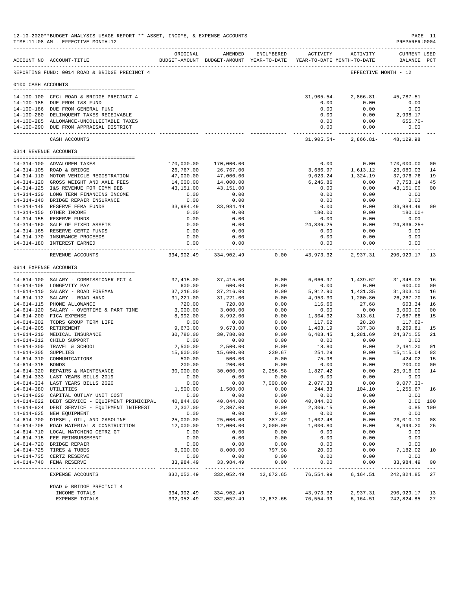| 12-10-2020**BUDGET ANALYSIS USAGE REPORT ** ASSET, INCOME, & EXPENSE ACCOUNTS<br>TIME:11:08 AM - EFFECTIVE MONTH:12 |                                                                                    |                       |                                                                                |                  |                      |                                                   |                                           | PAGE 11<br>PREPARER: 0004 |
|---------------------------------------------------------------------------------------------------------------------|------------------------------------------------------------------------------------|-----------------------|--------------------------------------------------------------------------------|------------------|----------------------|---------------------------------------------------|-------------------------------------------|---------------------------|
|                                                                                                                     | ACCOUNT NO ACCOUNT-TITLE                                                           | ORIGINAL              | AMENDED<br>BUDGET-AMOUNT BUDGET-AMOUNT YEAR-TO-DATE YEAR-TO-DATE MONTH-TO-DATE | ENCUMBERED       | ACTIVITY             | ACTIVITY                                          | <b>CURRENT USED</b><br>BALANCE PCT        |                           |
|                                                                                                                     | REPORTING FUND: 0014 ROAD & BRIDGE PRECINCT 4                                      |                       |                                                                                |                  |                      |                                                   | EFFECTIVE MONTH - 12                      |                           |
| 0100 CASH ACCOUNTS                                                                                                  |                                                                                    |                       |                                                                                |                  |                      |                                                   |                                           |                           |
|                                                                                                                     | 14-100-100 CFC: ROAD & BRIDGE PRECINCT 4                                           |                       |                                                                                |                  | 31,905.54-           | $2,866.81-$                                       | 45,787.51                                 |                           |
|                                                                                                                     | 14-100-185 DUE FROM I&S FUND                                                       |                       |                                                                                |                  | 0.00                 | 0.00                                              | 0.00                                      |                           |
|                                                                                                                     | 14-100-186 DUE FROM GENERAL FUND                                                   |                       |                                                                                |                  | 0.00                 | 0.00                                              | 0.00                                      |                           |
|                                                                                                                     | 14-100-280 DELINQUENT TAXES RECEIVABLE                                             |                       |                                                                                |                  | 0.00                 | 0.00                                              | 2,998.17                                  |                           |
|                                                                                                                     | 14-100-285 ALLOWANCE-UNCOLLECTABLE TAXES<br>14-100-290 DUE FROM APPRAISAL DISTRICT |                       |                                                                                |                  | 0.00<br>0.00         | 0.00<br>0.00                                      | 655.70-<br>0.00                           |                           |
|                                                                                                                     | ------------------------------<br>CASH ACCOUNTS                                    |                       |                                                                                |                  | ------------- .      | -----------<br>$31,905.54 - 2,866.81 - 48,129.98$ | -------------                             |                           |
|                                                                                                                     | 0314 REVENUE ACCOUNTS                                                              |                       |                                                                                |                  |                      |                                                   |                                           |                           |
|                                                                                                                     | 14-314-100 ADVALOREM TAXES                                                         | 170,000.00            | 170,000.00                                                                     |                  | 0.00                 | 0.00                                              | 170,000.00                                | 0 <sub>0</sub>            |
|                                                                                                                     | 14-314-105 ROAD & BRIDGE                                                           | 26,767.00             | 26,767.00                                                                      |                  | 3,686.97             | 1,613.12                                          | 23,080.03                                 | 14                        |
|                                                                                                                     | 14-314-110 MOTOR VEHICLE REGISTRATION                                              | 47,000.00             | 47,000.00                                                                      |                  | 9,023.24             | 1,324.19                                          | 37,976.76                                 | 19                        |
|                                                                                                                     | 14-314-120 GROSS WEIGHT AND AXLE FEES                                              | 14,000.00             | 14,000.00                                                                      |                  | 6,246.86             | 0.00                                              | 7,753.14                                  | 45                        |
|                                                                                                                     | 14-314-125 I&S REVENUE FOR COMM DEB                                                | 43,151.00             | 43,151.00                                                                      |                  | 0.00                 | 0.00                                              | 43,151.00                                 | 0 <sub>0</sub>            |
|                                                                                                                     | 14-314-130 LONG TERM FINANCING INCOME<br>14-314-140 BRIDGE REPAIR INSURANCE        | 0.00<br>0.00          | 0.00<br>0.00                                                                   |                  | 0.00<br>0.00         | 0.00<br>0.00                                      | 0.00<br>0.00                              |                           |
|                                                                                                                     | 14-314-145 RESERVE FEMA FUNDS                                                      | 33,984.49             | 33,984.49                                                                      |                  | 0.00                 | 0.00                                              | 33,984.49                                 | 0 <sub>0</sub>            |
|                                                                                                                     | 14-314-150 OTHER INCOME                                                            | 0.00                  | 0.00                                                                           |                  | 180.00               | 0.00                                              | 180.00+                                   |                           |
|                                                                                                                     | 14-314-155 RESERVE FUNDS                                                           | 0.00                  | 0.00                                                                           |                  | 0.00                 | 0.00                                              | 0.00                                      |                           |
|                                                                                                                     | 14-314-160 SALE OF FIXED ASSETS                                                    | 0.00                  | 0.00                                                                           |                  | 24,836.25            | 0.00                                              | $24,836.25+$                              |                           |
|                                                                                                                     | 14-314-165 RESERVE CERTZ FUNDS<br>14-314-170 INSURANCE PROCEEDS                    | 0.00                  | 0.00                                                                           |                  | 0.00                 | 0.00                                              | 0.00                                      |                           |
|                                                                                                                     | 14-314-180 INTEREST EARNED                                                         | 0.00<br>0.00          | 0.00<br>0.00                                                                   |                  | 0.00<br>0.00         | 0.00<br>0.00                                      | 0.00<br>0.00                              |                           |
|                                                                                                                     |                                                                                    | . <u>.</u>            | ------------                                                                   |                  | ----------- .        | .                                                 | ____________                              |                           |
|                                                                                                                     | REVENUE ACCOUNTS                                                                   |                       | 334,902.49 334,902.49                                                          | 0.00             | 43,973.32            | 2,937.31                                          | 290,929.17                                | -13                       |
|                                                                                                                     | 0614 EXPENSE ACCOUNTS                                                              |                       |                                                                                |                  |                      |                                                   |                                           |                           |
|                                                                                                                     | 14-614-100 SALARY - COMMISSIONER PCT 4                                             | 37,415.00             | 37, 415.00                                                                     | 0.00             | 6,066.97             | 1,439.62                                          | 31, 348.03                                | 16                        |
|                                                                                                                     | 14-614-105 LONGEVITY PAY                                                           | 600.00                | 600.00                                                                         | 0.00             | 0.00                 | 0.00                                              | 600.00                                    | 00                        |
|                                                                                                                     | 14-614-110 SALARY - ROAD FOREMAN                                                   | 37,216.00             | 37,216.00                                                                      | 0.00             | 5,912.90             | 1,431.35                                          | 31,303.10                                 | 16                        |
|                                                                                                                     | 14-614-112 SALARY - ROAD HAND                                                      | 31,221.00             | 31,221.00                                                                      | 0.00             | 4,953.30             | 1,200.80                                          | 26, 267.70                                | 16                        |
|                                                                                                                     | 14-614-115 PHONE ALLOWANCE<br>14-614-120 SALARY - OVERTIME & PART TIME             | 720.00                | 720.00                                                                         | 0.00             | 116.66               | 27.68                                             | 603.34                                    | 16                        |
|                                                                                                                     | 14-614-200 FICA EXPENSE                                                            | 3,000.00<br>8,992.00  | 3,000.00<br>8,992.00                                                           | 0.00<br>0.00     | 0.00<br>1,304.32     | 0.00<br>313.61                                    | 3,000.00<br>7,687.68                      | 0 <sub>0</sub><br>15      |
|                                                                                                                     | 14-614-202 TCDRS GROUP TERM LIFE                                                   | 0.00                  | 0.00                                                                           | 0.00             | 117.62               | 28.28                                             | 117.62-                                   |                           |
|                                                                                                                     | 14-614-205 RETIREMENT                                                              | 9,673.00              | 9,673.00                                                                       | 0.00             | 1,403.19             | 337.38                                            | 8,269.81                                  | 15                        |
|                                                                                                                     | 14-614-210 MEDICAL INSURANCE                                                       | 30,780.00             | 30,780.00                                                                      | 0.00             | 6,408.45             | 1,281.69                                          | 24, 371.55                                | 21                        |
|                                                                                                                     | 14-614-212 CHILD SUPPORT                                                           | 0.00                  | 0.00                                                                           | 0.00             | 0.00                 | 0.00                                              | 0.00                                      |                           |
| 14-614-305 SUPPLIES                                                                                                 | 14-614-300 TRAVEL & SCHOOL                                                         | 2,500.00<br>15,600.00 | 2,500.00<br>15,600.00                                                          | 0.00<br>230.67   | 18.80<br>254.29      | 0.00<br>0.00                                      | 2,481.20<br>15,115.04                     | 01<br>03                  |
|                                                                                                                     | 14-614-310 COMMUNICATIONS                                                          | 500.00                | 500.00                                                                         | 0.00             | 75.98                | 0.00                                              | 424.02                                    | 15                        |
| 14-614-315                                                                                                          | BONDS                                                                              | 200.00                | 200.00                                                                         | 0.00             | 0.00                 | 0.00                                              | 200.00                                    | 0 <sub>0</sub>            |
|                                                                                                                     | 14-614-320 REPAIRS & MAINTENANCE                                                   | 30,000.00             | 30,000.00                                                                      | 2,256.58         | 1,827.42             | 0.00                                              | 25,916.00 14                              |                           |
|                                                                                                                     | 14-614-333 LAST YEARS BILLS 2019                                                   | 0.00                  | 0.00                                                                           | 0.00             | 0.00                 | 0.00                                              | 0.00                                      |                           |
|                                                                                                                     | 14-614-334 LAST YEARS BILLS 2020<br>14-614-380 UTILITIES                           | 0.00<br>1,500.00      | 0.00<br>1,500.00                                                               | 7,000.00<br>0.00 | 2,077.33<br>244.33   | 0.00<br>104.10                                    | $9,077.33-$<br>1,255.67 16                |                           |
|                                                                                                                     | 14-614-620 CAPITAL OUTLAY UNIT COST                                                | 0.00                  | 0.00                                                                           | 0.00             | 0.00                 | 0.00                                              | 0.00                                      |                           |
|                                                                                                                     | 14-614-622 DEBT SERVICE - EQUIPMENT PRINICIPAL                                     | 40,844.00             | 40,844.00                                                                      | 0.00             | 40,844.00            | 0.00                                              |                                           | 0.00 100                  |
|                                                                                                                     | 14-614-624 DEBT SERVICE - EQUIPMENT INTEREST                                       | 2,307.00              | 2,307.00                                                                       | 0.00             | 2,306.15             | 0.00                                              |                                           | $0.85$ 100                |
|                                                                                                                     | 14-614-625 NEW EQUIPMENT                                                           | 0.00                  | 0.00                                                                           | 0.00             | 0.00                 | 0.00                                              | 0.00                                      |                           |
|                                                                                                                     | 14-614-700 DIESEL, OIL, AND GASOLINE                                               | 25,000.00             | 25,000.00                                                                      | 387.42           | 1,602.48<br>1,000.80 | 0.00                                              | 23,010.10                                 | 08                        |
|                                                                                                                     | 14-614-705 ROAD MATERIAL & CONSTRUCTION<br>14-614-710 LOCAL MATCHING CETRZ GT      | 12,000.00<br>0.00     | 12,000.00<br>0.00                                                              | 2,000.00<br>0.00 | 0.00                 | 0.00<br>0.00                                      | 8,999.20<br>0.00                          | 25                        |
|                                                                                                                     | 14-614-715 FEE REIMBURSEMENT                                                       | 0.00                  | 0.00                                                                           | 0.00             | 0.00                 | 0.00                                              | 0.00                                      |                           |
|                                                                                                                     | 14-614-720 BRIDGE REPAIR                                                           | 0.00                  | 0.00                                                                           | 0.00             | 0.00                 | 0.00                                              | 0.00                                      |                           |
|                                                                                                                     | 14-614-725 TIRES & TUBES                                                           | 8,000.00              | 8,000.00                                                                       | 797.98           | 20.00                | 0.00                                              | 7,182.02                                  | 10                        |
|                                                                                                                     | 14-614-735 CERTZ RESERVE                                                           | 0.00                  | 0.00                                                                           | 0.00             | 0.00                 | 0.00                                              | 0.00                                      |                           |
|                                                                                                                     | 14-614-740 FEMA RESERVE                                                            | 33,984.49             | 33,984.49                                                                      | 0.00             | 0.00                 | 0.00                                              | 33,984.49<br>------------ --------------- | 0 <sub>0</sub>            |
|                                                                                                                     | EXPENSE ACCOUNTS                                                                   |                       | 332,052.49 332,052.49 12,672.65                                                |                  | 76,554.99            | 6,164.51                                          | 242,824.85 27                             |                           |
|                                                                                                                     | ROAD & BRIDGE PRECINCT 4                                                           |                       |                                                                                |                  |                      |                                                   |                                           |                           |
|                                                                                                                     | INCOME TOTALS                                                                      | 334,902.49            | 334,902.49                                                                     |                  | 43,973.32            | 2,937.31                                          | 290, 929. 17 13                           |                           |
|                                                                                                                     | EXPENSE TOTALS                                                                     |                       | 332,052.49 332,052.49 12,672.65 76,554.99 6,164.51                             |                  |                      |                                                   | 242,824.85                                | 27                        |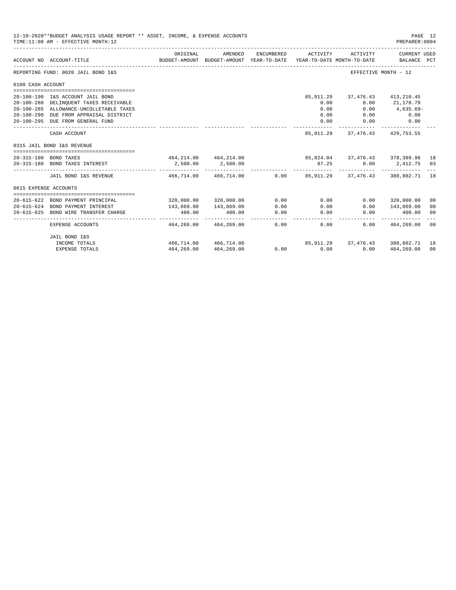|                       | 12-10-2020**BUDGET ANALYSIS USAGE REPORT ** ASSET, INCOME, & EXPENSE ACCOUNTS<br>TIME: 11:08 AM - EFFECTIVE MONTH: 12 |                                      |                                                     |            |             |                                                              | PAGE 12<br>PREPARER: 0004   |                |
|-----------------------|-----------------------------------------------------------------------------------------------------------------------|--------------------------------------|-----------------------------------------------------|------------|-------------|--------------------------------------------------------------|-----------------------------|----------------|
|                       | ACCOUNT NO ACCOUNT-TITLE                                                                                              | ORIGINAL                             | AMENDED<br>BUDGET-AMOUNT BUDGET-AMOUNT YEAR-TO-DATE | ENCUMBERED | ACTIVITY    | ACTIVITY<br>YEAR-TO-DATE MONTH-TO-DATE                       | CURRENT USED<br>BALANCE PCT |                |
|                       | REPORTING FUND: 0020 JAIL BOND I&S                                                                                    |                                      |                                                     |            |             | EFFECTIVE MONTH - 12                                         |                             |                |
| 0100 CASH ACCOUNT     |                                                                                                                       |                                      |                                                     |            |             |                                                              |                             |                |
|                       |                                                                                                                       |                                      |                                                     |            |             |                                                              |                             |                |
|                       | 20-100-190 I&S ACCOUNT JAIL BOND                                                                                      |                                      |                                                     |            |             | 85, 911, 29 37, 476, 43 413, 210, 45                         |                             |                |
|                       | 20-100-280 DELINQUENT TAXES RECEIVABLE                                                                                |                                      |                                                     |            | 0.00        | 0.00                                                         | 21,178.79                   |                |
|                       | 20-100-285 ALLOWANCE-UNCOLLETABLE TAXES                                                                               |                                      |                                                     |            | 0.00        | 0.00                                                         | $4,635.69-$                 |                |
| $20 - 100 - 290$      | DUE FROM APPRAISAL DISTRICT                                                                                           |                                      |                                                     |            | 0.00        | 0.00                                                         | 0.00                        |                |
|                       | 20-100-295 DUE FROM GENERAL FUND                                                                                      | ____________________________________ |                                                     |            | 0.00        | 0.00                                                         | 0.00<br>------------        |                |
|                       | CASH ACCOUNT                                                                                                          |                                      |                                                     |            |             | 85, 911. 29 37, 476. 43 429, 753. 55                         |                             |                |
|                       | 0315 JAIL BOND I&S REVENUE                                                                                            |                                      |                                                     |            |             |                                                              |                             |                |
|                       | 20-315-100 BOND TAXES                                                                                                 |                                      |                                                     |            |             | 464, 214.00 464, 214.00 85, 824.04 37, 476.43 378, 389.96 18 |                             |                |
|                       | 20-315-180 BOND TAXES INTEREST                                                                                        | 2,500.00                             | 2,500.00                                            |            | 87.25       |                                                              | $0.00$ 2,412.75 03          |                |
|                       |                                                                                                                       | _______________________________      |                                                     |            |             |                                                              |                             |                |
|                       | JAIL BOND I&S REVENUE                                                                                                 |                                      | 466.714.00 466.714.00                               |            |             | $0.00$ $85.911.29$ $37.476.43$ $380.802.71$ 18               |                             |                |
| 0615 EXPENSE ACCOUNTS |                                                                                                                       |                                      |                                                     |            |             |                                                              |                             |                |
|                       |                                                                                                                       |                                      |                                                     |            |             |                                                              |                             |                |
| $20 - 615 - 622$      | BOND PAYMENT PRINCIPAL                                                                                                |                                      | 320,000.00 320,000.00                               | 0.00       | 0.00        | 0.00                                                         | 320,000.00                  | 00             |
|                       | 20-615-624 BOND PAYMENT INTEREST                                                                                      | 143,869.00                           | 143,869.00                                          | 0.00       | 0.00        | 0.00                                                         | 143,869.00                  | 00             |
| $20 - 615 - 625$      | BOND WIRE TRANSFER CHARGE                                                                                             | 400.00                               | 400.00                                              | 0.00       | 0.00        | 0.00                                                         | 400.00                      | 0 <sup>0</sup> |
|                       | <b>EXPENSE ACCOUNTS</b>                                                                                               | 464,269.00                           | 464,269.00                                          | 0.00       | 0.00        |                                                              | $0.00$ $464.269.00$         | 00             |
|                       | JAIL BOND I&S                                                                                                         |                                      |                                                     |            |             |                                                              |                             |                |
|                       | INCOME TOTALS                                                                                                         |                                      | 466,714,00 466,714,00                               |            |             | 85,911.29 37,476.43 380,802.71 18                            |                             |                |
|                       | <b>EXPENSE TOTALS</b>                                                                                                 | 464,269.00                           | 464,269.00                                          |            | $0.00$ 0.00 | 0.00                                                         | 464,269.00                  | 00             |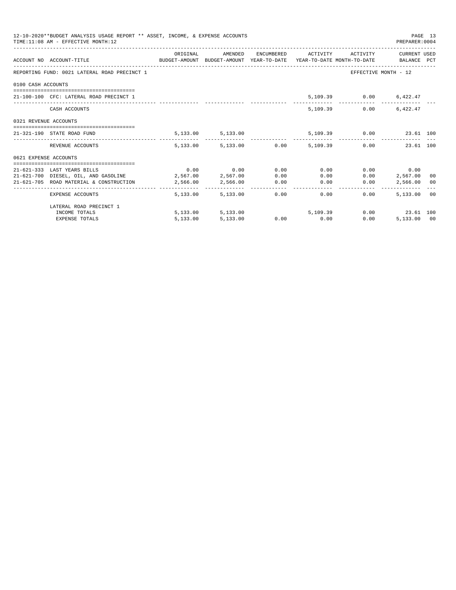|                       | 12-10-2020**BUDGET ANALYSIS USAGE REPORT ** ASSET, INCOME, & EXPENSE ACCOUNTS<br>TIME: 11:08 AM - EFFECTIVE MONTH: 12 |          |                             |      |                                                            |      | PREPARER: 0004          | PAGE 13 |
|-----------------------|-----------------------------------------------------------------------------------------------------------------------|----------|-----------------------------|------|------------------------------------------------------------|------|-------------------------|---------|
|                       | ACCOUNT NO ACCOUNT-TITLE CONTROL SUDGET-AMOUNT BUDGET-AMOUNT YEAR-TO-DATE YEAR-TO-DATE MONTH-TO-DATE BALANCE PCT      |          |                             |      | ORIGINAL AMENDED ENCUMBERED ACTIVITY ACTIVITY CURRENT USED |      |                         |         |
|                       | REPORTING FUND: 0021 LATERAL ROAD PRECINCT 1                                                                          |          |                             |      |                                                            |      | EFFECTIVE MONTH - 12    |         |
| 0100 CASH ACCOUNTS    |                                                                                                                       |          |                             |      |                                                            |      |                         |         |
|                       | 21-100-100 CFC: LATERAL ROAD PRECINCT 1                                                                               |          |                             |      |                                                            |      | 5,109.39 0.00 6,422.47  |         |
|                       | CASH ACCOUNTS                                                                                                         |          |                             |      | 5,109,39                                                   | 0.00 | 6.422.47                |         |
| 0321 REVENUE ACCOUNTS |                                                                                                                       |          |                             |      |                                                            |      |                         |         |
|                       | 21-321-190 STATE ROAD FUND                                                                                            |          | 5, 133.00 5, 133.00         |      |                                                            |      | 5,109.39 0.00 23.61 100 |         |
|                       | REVENUE ACCOUNTS                                                                                                      |          |                             |      | 5,133.00 5,133.00 0.00 5,109.39 0.00 23.61 100             |      |                         |         |
| 0621 EXPENSE ACCOUNTS |                                                                                                                       |          |                             |      |                                                            |      |                         |         |
|                       |                                                                                                                       |          |                             |      |                                                            |      |                         |         |
|                       | 21-621-333 LAST YEARS BILLS                                                                                           |          | $0.00$ $0.00$ $0.00$ $0.00$ |      | 0.00                                                       |      | $0.00$ 0.00             |         |
|                       | 21-621-700 DIESEL, OIL, AND GASOLINE 2,567.00 2,567.00                                                                |          |                             | 0.00 |                                                            | 0.00 | $0.00$ 2,567.00 00      |         |
|                       | 21-621-705 ROAD MATERIAL & CONSTRUCTION 2,566.00 2,566.00 0.00                                                        |          |                             |      | 0.00                                                       | 0.00 | 2,566.00 00             |         |
|                       | EXPENSE ACCOUNTS                                                                                                      |          | 5,133,00 5,133,00           |      | 0.00<br>0.00                                               | 0.00 | 5,133.00 00             |         |
|                       | LATERAL ROAD PRECINCT 1                                                                                               |          |                             |      |                                                            |      |                         |         |
|                       | INCOME TOTALS                                                                                                         |          |                             |      | 5,133.00 5,133.00 5,109.39                                 |      | $0.00$ 23.61 100        |         |
|                       | <b>EXPENSE TOTALS</b>                                                                                                 | 5,133.00 | 5,133.00                    |      | $0.00$ 0.00                                                | 0.00 | 5,133.00 00             |         |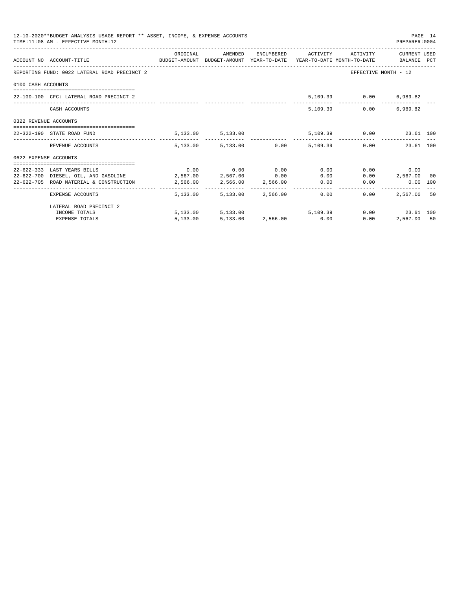|                       | 12-10-2020**BUDGET ANALYSIS USAGE REPORT ** ASSET, INCOME, & EXPENSE ACCOUNTS<br>TIME: 11:08 AM - EFFECTIVE MONTH: 12 |          |                             |                                                   |      | PAGE 14<br>PREPARER:0004 |  |
|-----------------------|-----------------------------------------------------------------------------------------------------------------------|----------|-----------------------------|---------------------------------------------------|------|--------------------------|--|
|                       | ACCOUNT NO ACCOUNT-TITLE TO BUDGET-AMOUNT BUDGET-AMOUNT YEAR-TO-DATE YEAR-TO-DATE MONTH-TO-DATE BALANCE PCT           | ORIGINAL |                             | AMENDED ENCUMBERED ACTIVITY ACTIVITY CURRENT USED |      |                          |  |
|                       | REPORTING FUND: 0022 LATERAL ROAD PRECINCT 2                                                                          |          |                             |                                                   |      | EFFECTIVE MONTH - 12     |  |
| 0100 CASH ACCOUNTS    |                                                                                                                       |          |                             |                                                   |      |                          |  |
|                       | 22-100-100 CFC: LATERAL ROAD PRECINCT 2                                                                               |          |                             |                                                   |      | 5,109.39 0.00 6,989.82   |  |
|                       | CASH ACCOUNTS                                                                                                         |          |                             | 5,109.39                                          | 0.00 | 6,989.82                 |  |
| 0322 REVENUE ACCOUNTS |                                                                                                                       |          |                             |                                                   |      |                          |  |
|                       | 22-322-190 STATE ROAD FUND                                                                                            |          | 5, 133.00 5, 133.00         |                                                   |      | 5,109.39 0.00 23.61 100  |  |
|                       | REVENUE ACCOUNTS                                                                                                      |          |                             | 5,133.00 5,133.00 0.00 5,109.39 0.00 23.61 100    |      |                          |  |
| 0622 EXPENSE ACCOUNTS |                                                                                                                       |          |                             |                                                   |      |                          |  |
|                       | 22-622-333 LAST YEARS BILLS                                                                                           |          | $0.00$ $0.00$ $0.00$ $0.00$ | 0.00                                              |      | 0.00<br>0.00             |  |
|                       | $22-622-700$ DIESEL, OIL, AND GASOLINE $2,567.00$ $2,567.00$ $0.00$                                                   |          |                             |                                                   | 0.00 | $0.00$ 2,567.00 00       |  |
|                       | 22-622-705 ROAD MATERIAL & CONSTRUCTION 2,566.00 2,566.00 2,566.00                                                    |          |                             | 0.00                                              |      | $0.00$ $0.00$ $100$      |  |
|                       | EXPENSE ACCOUNTS                                                                                                      |          | 5,133,00 5,133,00 2,566.00  | 0.00                                              | 0.00 | 2,567,00 50              |  |
|                       | LATERAL ROAD PRECINCT 2                                                                                               |          |                             |                                                   |      |                          |  |
|                       | INCOME TOTALS                                                                                                         |          |                             | 5,133.00 5,133.00 5,109.39                        |      | $0.00$ 23.61 100         |  |
|                       | <b>EXPENSE TOTALS</b>                                                                                                 | 5,133.00 | 5,133.00 2,566.00 0.00      |                                                   | 0.00 | 2,567.00 50              |  |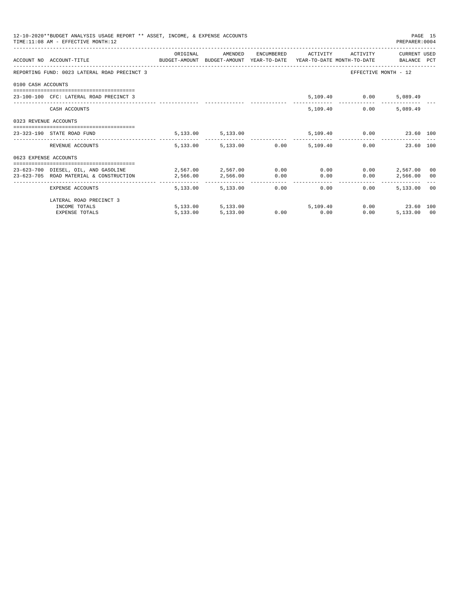|                       | 12-10-2020**BUDGET ANALYSIS USAGE REPORT ** ASSET, INCOME, & EXPENSE ACCOUNTS<br>TIME: 11:08 AM - EFFECTIVE MONTH: 12 |                                     |                                 |      |                         |                               | PREPARER: 0004                               | PAGE 15 |
|-----------------------|-----------------------------------------------------------------------------------------------------------------------|-------------------------------------|---------------------------------|------|-------------------------|-------------------------------|----------------------------------------------|---------|
|                       | ACCOUNT NO ACCOUNT-TITLE COMPUTE BUDGET-AMOUNT BUDGET-AMOUNT YEAR-TO-DATE YEAR-TO-DATE MONTH-TO-DATE BALANCE PCT      | ORIGINAL                            | AMENDED                         |      |                         | ENCUMBERED ACTIVITY ACTIVITY  | CURRENT USED                                 |         |
|                       | REPORTING FUND: 0023 LATERAL ROAD PRECINCT 3                                                                          |                                     |                                 |      |                         |                               | EFFECTIVE MONTH - 12                         |         |
| 0100 CASH ACCOUNTS    |                                                                                                                       |                                     |                                 |      |                         |                               |                                              |         |
|                       | 23-100-100 CFC: LATERAL ROAD PRECINCT 3                                                                               |                                     |                                 |      |                         | 5,109.40 0.00                 | 5,089.49                                     |         |
|                       | CASH ACCOUNTS                                                                                                         |                                     |                                 |      | 5,109.40                | 0.00                          | 5,089.49                                     |         |
| 0323 REVENUE ACCOUNTS |                                                                                                                       |                                     |                                 |      |                         |                               |                                              |         |
|                       | 23-323-190 STATE ROAD FUND                                                                                            |                                     | 5, 133.00 5, 133.00             |      |                         | 5,109.40   0.00   23.60   100 |                                              |         |
|                       | REVENUE ACCOUNTS                                                                                                      |                                     | 5,133.00 5,133.00 0.00 5,109.40 |      |                         |                               | $0.00$ and $0.00$<br>23.60 100               |         |
| 0623 EXPENSE ACCOUNTS |                                                                                                                       |                                     |                                 |      |                         |                               |                                              |         |
|                       | 23-623-700 DIESEL, OIL, AND GASOLINE                                                                                  | $2,567.00$ $2,567.00$ $0.00$ $0.00$ |                                 |      |                         | 0.00                          | 2,567.00                                     | 00      |
|                       | 23-623-705 ROAD MATERIAL & CONSTRUCTION 2.566.00                                                                      |                                     | 2,566.00                        | 0.00 | 0.00                    | 0.00                          | 2,566,00 00                                  |         |
|                       | _____________________________________<br>EXPENSE ACCOUNTS                                                             | 5,133,00                            | 5,133.00                        |      | ---------------<br>0.00 | 0.00<br>$0.00 -$              | -----------------------------<br>5,133,00 00 |         |
|                       | LATERAL ROAD PRECINCT 3                                                                                               |                                     |                                 |      |                         |                               |                                              |         |
|                       | INCOME TOTALS                                                                                                         |                                     | 5,133.00 5,133.00 5,109.40      |      |                         |                               | 0.00 23.60 100                               |         |
|                       | <b>EXPENSE TOTALS</b>                                                                                                 | 5,133.00                            | 5,133.00                        |      | $0.00$ 0.00             | 0.00                          | 5,133,00 00                                  |         |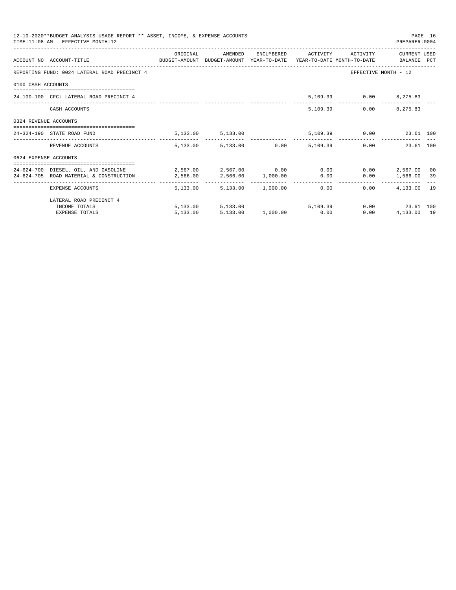|                       | 12-10-2020**BUDGET ANALYSIS USAGE REPORT ** ASSET, INCOME, & EXPENSE ACCOUNTS<br>TIME: 11:08 AM - EFFECTIVE MONTH: 12                                            |          |                                      |  |                              | PREPARER: 0004                              | PAGE 16 |
|-----------------------|------------------------------------------------------------------------------------------------------------------------------------------------------------------|----------|--------------------------------------|--|------------------------------|---------------------------------------------|---------|
|                       | ACCOUNT NO ACCOUNT-TITLE CONTROL SUDGET-AMOUNT BUDGET-AMOUNT YEAR-TO-DATE YEAR-TO-DATE MONTH-TO-DATE BALANCE PCT                                                 | ORIGINAL | AMENDED                              |  | ENCUMBERED ACTIVITY ACTIVITY | CURRENT USED                                |         |
|                       | REPORTING FUND: 0024 LATERAL ROAD PRECINCT 4                                                                                                                     |          |                                      |  |                              | EFFECTIVE MONTH - 12                        |         |
| 0100 CASH ACCOUNTS    |                                                                                                                                                                  |          |                                      |  |                              |                                             |         |
|                       | 24-100-100 CFC: LATERAL ROAD PRECINCT 4                                                                                                                          |          |                                      |  | 5,109.39 0.00 8,275.83       |                                             |         |
|                       | CASH ACCOUNTS                                                                                                                                                    |          |                                      |  | 5, 109, 39                   | $0.00$ $8.275.83$                           |         |
| 0324 REVENUE ACCOUNTS |                                                                                                                                                                  |          |                                      |  |                              |                                             |         |
|                       | 24-324-190 STATE ROAD FUND                                                                                                                                       |          | 5, 133.00 5, 133.00                  |  | 5,109.39 0.00 23.61 100      |                                             |         |
|                       | REVENUE ACCOUNTS                                                                                                                                                 |          | 5,133.00 5,133.00 0.00 5,109.39      |  |                              | 0.00<br>23.61 100                           |         |
| 0624 EXPENSE ACCOUNTS |                                                                                                                                                                  |          |                                      |  |                              |                                             |         |
|                       | 24-624-700 DIESEL, OIL, AND GASOLINE $2,567.00$ $2,567.00$ $0.00$ 0.00 0.00<br>$24-624-705$ ROAD MATERIAL & CONSTRUCTION $2,566.00$ $2,566.00$ $1,000.00$ $0.00$ |          |                                      |  |                              | $0.00$ 2,567.00 00<br>$0.00$ 1,566.00 39    |         |
|                       | EXPENSE ACCOUNTS                                                                                                                                                 |          | 5,133.00 5,133.00 1,000.00 0.00 0.00 |  | 0.00                         | ------------- --------------<br>4,133,00 19 |         |
|                       | LATERAL ROAD PRECINCT 4                                                                                                                                          |          |                                      |  |                              |                                             |         |
|                       | INCOME TOTALS                                                                                                                                                    |          | 5,133.00 5,133.00 5,109.39           |  |                              | $0.00$ 23.61 100                            |         |
|                       | <b>EXPENSE TOTALS</b>                                                                                                                                            |          | 5,133.00 5,133.00 1,000.00 0.00      |  | 0.00                         | 4,133.00 19                                 |         |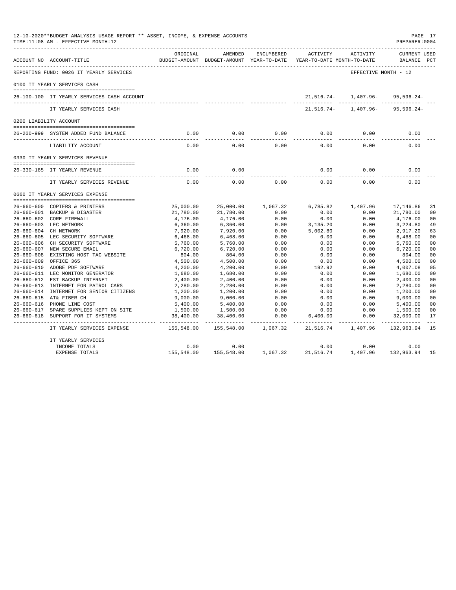| 12-10-2020**BUDGET ANALYSIS USAGE REPORT ** ASSET, INCOME, & EXPENSE ACCOUNTS<br>PAGE 17<br>TIME: 11:08 AM - EFFECTIVE MONTH: 12<br>PREPARER: 0004<br>ACTIVITY<br>ORIGINAL<br>AMENDED<br>ENCUMBERED<br>ACTIVITY<br>ACCOUNT NO ACCOUNT-TITLE<br>YEAR-TO-DATE MONTH-TO-DATE<br>BUDGET-AMOUNT BUDGET-AMOUNT YEAR-TO-DATE<br>REPORTING FUND: 0026 IT YEARLY SERVICES<br>EFFECTIVE MONTH - 12<br>0100 IT YEARLY SERVICES CASH<br>$21,516.74 - 1,407.96 - 95,596.24 -$<br>26-100-100 IT YEARLY SERVICES CASH ACCOUNT<br>21,516.74-<br>1,407.96-<br>IT YEARLY SERVICES CASH<br>0200 LIABILITY ACCOUNT<br>0.00<br>0.00<br>0.00<br>0.00<br>0.00<br>0.00<br>26-200-999 SYSTEM ADDED FUND BALANCE<br>$- - - - -$<br>$- - - - - -$<br>0.00<br>0.00<br>0.00<br>0.00<br>0.00<br>0.00<br>LIABILITY ACCOUNT<br>0330 IT YEARLY SERVICES REVENUE<br>26-330-185 IT YEARLY REVENUE<br>0.00<br>0.00<br>0.00<br>0.00<br>0.00<br>0.00<br>0.00<br>0.00<br>0.00<br>0.00<br>0.00<br>IT YEARLY SERVICES REVENUE<br>0660 IT YEARLY SERVICES EXPENSE<br>26-660-600 COPIERS & PRINTERS<br>25,000.00<br>25,000.00<br>1,067.32<br>6,785.82<br>1,407.96<br>17,146.86<br>26-660-601 BACKUP & DISASTER<br>21,780.00<br>21,780.00<br>0.00<br>0.00<br>0.00<br>21,780.00<br>0.00<br>26-660-602 CORE FIREWALL<br>4,176.00<br>4,176.00<br>0.00<br>0.00<br>4,176.00<br>26-660-603 LEC NETWORK<br>0.00<br>3,224.80<br>6,360.00<br>6,360.00<br>0.00<br>3,135.20<br>26-660-604 CH NETWORK<br>7,920.00<br>7,920.00<br>0.00<br>5,002.80<br>0.00<br>2,917.20<br>0.00<br>26-660-605 LEC SECURITY SOFTWARE<br>6,468.00<br>6,468.00<br>0.00<br>0.00<br>6,468.00<br>26-660-606 CH SECURITY SOFTWARE<br>0.00<br>0.00<br>0.00<br>5,760.00<br>5,760.00<br>5,760.00<br>26-660-607 NEW SECURE EMAIL<br>6,720.00<br>6,720.00<br>0.00<br>0.00<br>0.00<br>6,720.00<br>$26 - 660 - 608$<br>EXISTING HOST TAC WEBSITE<br>804.00<br>804.00<br>0.00<br>0.00<br>0.00<br>804.00<br>$26 - 660 - 609$<br>OFFICE 365<br>4,500.00<br>4,500.00<br>0.00<br>0.00<br>0.00<br>4,500.00<br>26-660-610 ADOBE PDF SOFTWARE<br>0.00<br>192.92<br>0.00<br>4,200.00<br>4,200.00<br>4,007.08 |            |            |          |           |          |                                    |                                  |  |
|-------------------------------------------------------------------------------------------------------------------------------------------------------------------------------------------------------------------------------------------------------------------------------------------------------------------------------------------------------------------------------------------------------------------------------------------------------------------------------------------------------------------------------------------------------------------------------------------------------------------------------------------------------------------------------------------------------------------------------------------------------------------------------------------------------------------------------------------------------------------------------------------------------------------------------------------------------------------------------------------------------------------------------------------------------------------------------------------------------------------------------------------------------------------------------------------------------------------------------------------------------------------------------------------------------------------------------------------------------------------------------------------------------------------------------------------------------------------------------------------------------------------------------------------------------------------------------------------------------------------------------------------------------------------------------------------------------------------------------------------------------------------------------------------------------------------------------------------------------------------------------------------------------------------------------------------------------------------------------------------------------------------------------------------------------------------------------------------------------------|------------|------------|----------|-----------|----------|------------------------------------|----------------------------------|--|
|                                                                                                                                                                                                                                                                                                                                                                                                                                                                                                                                                                                                                                                                                                                                                                                                                                                                                                                                                                                                                                                                                                                                                                                                                                                                                                                                                                                                                                                                                                                                                                                                                                                                                                                                                                                                                                                                                                                                                                                                                                                                                                             |            |            |          |           |          | <b>CURRENT USED</b><br>BALANCE PCT |                                  |  |
|                                                                                                                                                                                                                                                                                                                                                                                                                                                                                                                                                                                                                                                                                                                                                                                                                                                                                                                                                                                                                                                                                                                                                                                                                                                                                                                                                                                                                                                                                                                                                                                                                                                                                                                                                                                                                                                                                                                                                                                                                                                                                                             |            |            |          |           |          |                                    |                                  |  |
|                                                                                                                                                                                                                                                                                                                                                                                                                                                                                                                                                                                                                                                                                                                                                                                                                                                                                                                                                                                                                                                                                                                                                                                                                                                                                                                                                                                                                                                                                                                                                                                                                                                                                                                                                                                                                                                                                                                                                                                                                                                                                                             |            |            |          |           |          |                                    |                                  |  |
|                                                                                                                                                                                                                                                                                                                                                                                                                                                                                                                                                                                                                                                                                                                                                                                                                                                                                                                                                                                                                                                                                                                                                                                                                                                                                                                                                                                                                                                                                                                                                                                                                                                                                                                                                                                                                                                                                                                                                                                                                                                                                                             |            |            |          |           |          |                                    |                                  |  |
|                                                                                                                                                                                                                                                                                                                                                                                                                                                                                                                                                                                                                                                                                                                                                                                                                                                                                                                                                                                                                                                                                                                                                                                                                                                                                                                                                                                                                                                                                                                                                                                                                                                                                                                                                                                                                                                                                                                                                                                                                                                                                                             |            |            |          |           |          | 95,596.24-                         |                                  |  |
|                                                                                                                                                                                                                                                                                                                                                                                                                                                                                                                                                                                                                                                                                                                                                                                                                                                                                                                                                                                                                                                                                                                                                                                                                                                                                                                                                                                                                                                                                                                                                                                                                                                                                                                                                                                                                                                                                                                                                                                                                                                                                                             |            |            |          |           |          |                                    |                                  |  |
|                                                                                                                                                                                                                                                                                                                                                                                                                                                                                                                                                                                                                                                                                                                                                                                                                                                                                                                                                                                                                                                                                                                                                                                                                                                                                                                                                                                                                                                                                                                                                                                                                                                                                                                                                                                                                                                                                                                                                                                                                                                                                                             |            |            |          |           |          |                                    |                                  |  |
|                                                                                                                                                                                                                                                                                                                                                                                                                                                                                                                                                                                                                                                                                                                                                                                                                                                                                                                                                                                                                                                                                                                                                                                                                                                                                                                                                                                                                                                                                                                                                                                                                                                                                                                                                                                                                                                                                                                                                                                                                                                                                                             |            |            |          |           |          |                                    |                                  |  |
|                                                                                                                                                                                                                                                                                                                                                                                                                                                                                                                                                                                                                                                                                                                                                                                                                                                                                                                                                                                                                                                                                                                                                                                                                                                                                                                                                                                                                                                                                                                                                                                                                                                                                                                                                                                                                                                                                                                                                                                                                                                                                                             |            |            |          |           |          |                                    |                                  |  |
|                                                                                                                                                                                                                                                                                                                                                                                                                                                                                                                                                                                                                                                                                                                                                                                                                                                                                                                                                                                                                                                                                                                                                                                                                                                                                                                                                                                                                                                                                                                                                                                                                                                                                                                                                                                                                                                                                                                                                                                                                                                                                                             |            |            |          |           |          |                                    |                                  |  |
|                                                                                                                                                                                                                                                                                                                                                                                                                                                                                                                                                                                                                                                                                                                                                                                                                                                                                                                                                                                                                                                                                                                                                                                                                                                                                                                                                                                                                                                                                                                                                                                                                                                                                                                                                                                                                                                                                                                                                                                                                                                                                                             |            |            |          |           |          |                                    |                                  |  |
|                                                                                                                                                                                                                                                                                                                                                                                                                                                                                                                                                                                                                                                                                                                                                                                                                                                                                                                                                                                                                                                                                                                                                                                                                                                                                                                                                                                                                                                                                                                                                                                                                                                                                                                                                                                                                                                                                                                                                                                                                                                                                                             |            |            |          |           |          |                                    |                                  |  |
|                                                                                                                                                                                                                                                                                                                                                                                                                                                                                                                                                                                                                                                                                                                                                                                                                                                                                                                                                                                                                                                                                                                                                                                                                                                                                                                                                                                                                                                                                                                                                                                                                                                                                                                                                                                                                                                                                                                                                                                                                                                                                                             |            |            |          |           |          |                                    |                                  |  |
|                                                                                                                                                                                                                                                                                                                                                                                                                                                                                                                                                                                                                                                                                                                                                                                                                                                                                                                                                                                                                                                                                                                                                                                                                                                                                                                                                                                                                                                                                                                                                                                                                                                                                                                                                                                                                                                                                                                                                                                                                                                                                                             |            |            |          |           |          |                                    |                                  |  |
|                                                                                                                                                                                                                                                                                                                                                                                                                                                                                                                                                                                                                                                                                                                                                                                                                                                                                                                                                                                                                                                                                                                                                                                                                                                                                                                                                                                                                                                                                                                                                                                                                                                                                                                                                                                                                                                                                                                                                                                                                                                                                                             |            |            |          |           |          |                                    | 31                               |  |
|                                                                                                                                                                                                                                                                                                                                                                                                                                                                                                                                                                                                                                                                                                                                                                                                                                                                                                                                                                                                                                                                                                                                                                                                                                                                                                                                                                                                                                                                                                                                                                                                                                                                                                                                                                                                                                                                                                                                                                                                                                                                                                             |            |            |          |           |          |                                    | 0 <sub>0</sub><br>0 <sub>0</sub> |  |
|                                                                                                                                                                                                                                                                                                                                                                                                                                                                                                                                                                                                                                                                                                                                                                                                                                                                                                                                                                                                                                                                                                                                                                                                                                                                                                                                                                                                                                                                                                                                                                                                                                                                                                                                                                                                                                                                                                                                                                                                                                                                                                             |            |            |          |           |          |                                    | 49                               |  |
|                                                                                                                                                                                                                                                                                                                                                                                                                                                                                                                                                                                                                                                                                                                                                                                                                                                                                                                                                                                                                                                                                                                                                                                                                                                                                                                                                                                                                                                                                                                                                                                                                                                                                                                                                                                                                                                                                                                                                                                                                                                                                                             |            |            |          |           |          |                                    | 63                               |  |
|                                                                                                                                                                                                                                                                                                                                                                                                                                                                                                                                                                                                                                                                                                                                                                                                                                                                                                                                                                                                                                                                                                                                                                                                                                                                                                                                                                                                                                                                                                                                                                                                                                                                                                                                                                                                                                                                                                                                                                                                                                                                                                             |            |            |          |           |          |                                    | 0 <sub>0</sub>                   |  |
|                                                                                                                                                                                                                                                                                                                                                                                                                                                                                                                                                                                                                                                                                                                                                                                                                                                                                                                                                                                                                                                                                                                                                                                                                                                                                                                                                                                                                                                                                                                                                                                                                                                                                                                                                                                                                                                                                                                                                                                                                                                                                                             |            |            |          |           |          |                                    | 0 <sub>0</sub>                   |  |
|                                                                                                                                                                                                                                                                                                                                                                                                                                                                                                                                                                                                                                                                                                                                                                                                                                                                                                                                                                                                                                                                                                                                                                                                                                                                                                                                                                                                                                                                                                                                                                                                                                                                                                                                                                                                                                                                                                                                                                                                                                                                                                             |            |            |          |           |          |                                    | 0 <sub>0</sub>                   |  |
|                                                                                                                                                                                                                                                                                                                                                                                                                                                                                                                                                                                                                                                                                                                                                                                                                                                                                                                                                                                                                                                                                                                                                                                                                                                                                                                                                                                                                                                                                                                                                                                                                                                                                                                                                                                                                                                                                                                                                                                                                                                                                                             |            |            |          |           |          |                                    | 0 <sub>0</sub>                   |  |
|                                                                                                                                                                                                                                                                                                                                                                                                                                                                                                                                                                                                                                                                                                                                                                                                                                                                                                                                                                                                                                                                                                                                                                                                                                                                                                                                                                                                                                                                                                                                                                                                                                                                                                                                                                                                                                                                                                                                                                                                                                                                                                             |            |            |          |           |          |                                    | 0 <sub>0</sub>                   |  |
|                                                                                                                                                                                                                                                                                                                                                                                                                                                                                                                                                                                                                                                                                                                                                                                                                                                                                                                                                                                                                                                                                                                                                                                                                                                                                                                                                                                                                                                                                                                                                                                                                                                                                                                                                                                                                                                                                                                                                                                                                                                                                                             |            |            |          |           |          |                                    | 05                               |  |
| 26-660-611 LEC MONITOR GENERATOR                                                                                                                                                                                                                                                                                                                                                                                                                                                                                                                                                                                                                                                                                                                                                                                                                                                                                                                                                                                                                                                                                                                                                                                                                                                                                                                                                                                                                                                                                                                                                                                                                                                                                                                                                                                                                                                                                                                                                                                                                                                                            | 1,680.00   | 1,680.00   | 0.00     | 0.00      | 0.00     | 1,680.00                           | 0 <sub>0</sub>                   |  |
| 26-660-612 EST BACKUP INTERNET                                                                                                                                                                                                                                                                                                                                                                                                                                                                                                                                                                                                                                                                                                                                                                                                                                                                                                                                                                                                                                                                                                                                                                                                                                                                                                                                                                                                                                                                                                                                                                                                                                                                                                                                                                                                                                                                                                                                                                                                                                                                              | 2,400.00   | 2,400.00   | 0.00     | 0.00      | 0.00     | 2,400.00                           | 0 <sub>0</sub>                   |  |
| 26-660-613 INTERNET FOR PATROL CARS                                                                                                                                                                                                                                                                                                                                                                                                                                                                                                                                                                                                                                                                                                                                                                                                                                                                                                                                                                                                                                                                                                                                                                                                                                                                                                                                                                                                                                                                                                                                                                                                                                                                                                                                                                                                                                                                                                                                                                                                                                                                         | 2,280.00   | 2,280.00   | 0.00     | 0.00      | 0.00     | 2,280.00                           | 0 <sub>0</sub>                   |  |
| 26-660-614 INTERNET FOR SENIOR CITIZENS                                                                                                                                                                                                                                                                                                                                                                                                                                                                                                                                                                                                                                                                                                                                                                                                                                                                                                                                                                                                                                                                                                                                                                                                                                                                                                                                                                                                                                                                                                                                                                                                                                                                                                                                                                                                                                                                                                                                                                                                                                                                     | 1,200.00   | 1,200.00   | 0.00     | 0.00      | 0.00     | 1,200.00                           | 0 <sub>0</sub>                   |  |
| 26-660-615 AT& FIBER CH                                                                                                                                                                                                                                                                                                                                                                                                                                                                                                                                                                                                                                                                                                                                                                                                                                                                                                                                                                                                                                                                                                                                                                                                                                                                                                                                                                                                                                                                                                                                                                                                                                                                                                                                                                                                                                                                                                                                                                                                                                                                                     | 9,000.00   | 9,000.00   | 0.00     | 0.00      | 0.00     | 9,000.00                           | 0 <sub>0</sub>                   |  |
| 26-660-616 PHONE LINE COST                                                                                                                                                                                                                                                                                                                                                                                                                                                                                                                                                                                                                                                                                                                                                                                                                                                                                                                                                                                                                                                                                                                                                                                                                                                                                                                                                                                                                                                                                                                                                                                                                                                                                                                                                                                                                                                                                                                                                                                                                                                                                  | 5,400.00   | 5,400.00   | 0.00     | 0.00      | 0.00     | 5,400.00                           | 0 <sub>0</sub>                   |  |
| 26-660-617 SPARE SUPPLIES KEPT ON SITE                                                                                                                                                                                                                                                                                                                                                                                                                                                                                                                                                                                                                                                                                                                                                                                                                                                                                                                                                                                                                                                                                                                                                                                                                                                                                                                                                                                                                                                                                                                                                                                                                                                                                                                                                                                                                                                                                                                                                                                                                                                                      | 1,500.00   | 1,500.00   | 0.00     | 0.00      | 0.00     | 1,500.00                           | 0 <sub>0</sub>                   |  |
| 26-660-618 SUPPORT FOR IT SYSTEMS                                                                                                                                                                                                                                                                                                                                                                                                                                                                                                                                                                                                                                                                                                                                                                                                                                                                                                                                                                                                                                                                                                                                                                                                                                                                                                                                                                                                                                                                                                                                                                                                                                                                                                                                                                                                                                                                                                                                                                                                                                                                           | 38,400.00  | 38,400.00  | 0.00     | 6,400.00  | 0.00     | 32,000.00                          | 17                               |  |
| IT YEARLY SERVICES EXPENSE                                                                                                                                                                                                                                                                                                                                                                                                                                                                                                                                                                                                                                                                                                                                                                                                                                                                                                                                                                                                                                                                                                                                                                                                                                                                                                                                                                                                                                                                                                                                                                                                                                                                                                                                                                                                                                                                                                                                                                                                                                                                                  | 155,548.00 | 155,548.00 | 1,067.32 | 21,516.74 | 1,407.96 | 132,963.94                         | 15                               |  |
| IT YEARLY SERVICES                                                                                                                                                                                                                                                                                                                                                                                                                                                                                                                                                                                                                                                                                                                                                                                                                                                                                                                                                                                                                                                                                                                                                                                                                                                                                                                                                                                                                                                                                                                                                                                                                                                                                                                                                                                                                                                                                                                                                                                                                                                                                          |            |            |          |           |          |                                    |                                  |  |
| INCOME TOTALS                                                                                                                                                                                                                                                                                                                                                                                                                                                                                                                                                                                                                                                                                                                                                                                                                                                                                                                                                                                                                                                                                                                                                                                                                                                                                                                                                                                                                                                                                                                                                                                                                                                                                                                                                                                                                                                                                                                                                                                                                                                                                               | 0.00       | 0.00       |          | 0.00      | 0.00     | 0.00                               |                                  |  |
| <b>EXPENSE TOTALS</b>                                                                                                                                                                                                                                                                                                                                                                                                                                                                                                                                                                                                                                                                                                                                                                                                                                                                                                                                                                                                                                                                                                                                                                                                                                                                                                                                                                                                                                                                                                                                                                                                                                                                                                                                                                                                                                                                                                                                                                                                                                                                                       | 155,548.00 | 155,548.00 | 1,067.32 | 21,516.74 | 1,407.96 | 132,963.94                         | 15                               |  |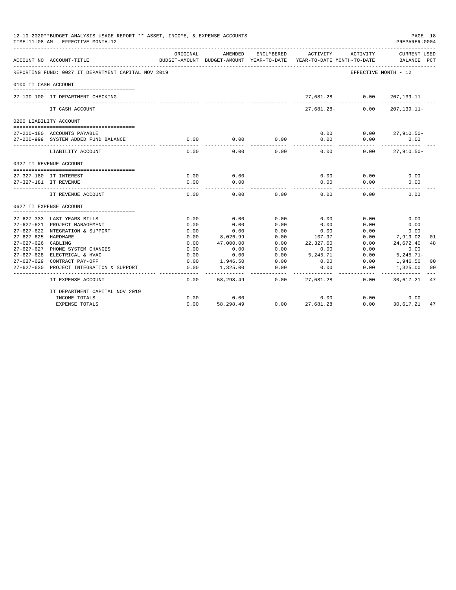| 12-10-2020**BUDGET ANALYSIS USAGE REPORT ** ASSET, INCOME, & EXPENSE ACCOUNTS<br>PAGE 18<br>TIME:11:08 AM - EFFECTIVE MONTH:12<br>PREPARER:0004<br>ENCUMBERED<br>ACTIVITY<br>ORIGINAL<br>AMENDED<br>ACTIVITY<br>BUDGET-AMOUNT BUDGET-AMOUNT YEAR-TO-DATE<br>ACCOUNT NO ACCOUNT-TITLE<br>YEAR-TO-DATE MONTH-TO-DATE<br>REPORTING FUND: 0027 IT DEPARTMENT CAPITAL NOV 2019<br>EFFECTIVE MONTH - 12<br>0100 IT CASH ACCOUNT<br>$27,681.28 - 0.00$<br>27-100-100 IT DEPARTMENT CHECKING<br>------------<br>$27.681.28 -$<br>0.00<br>IT CASH ACCOUNT<br>0200 LIABILITY ACCOUNT<br>0.00<br>0.00<br>$27,910.50 -$<br>27-200-180 ACCOUNTS PAYABLE<br>0.00<br>0.00<br>27-200-999 SYSTEM ADDED FUND BALANCE<br>0.00<br>0.00<br>0.00<br>0.00<br>0.00<br>0.00<br>0.00<br>0.00<br>0.00<br>LIABILITY ACCOUNT<br>0327 IT REVENUE ACCOUNT<br>0.00<br>0.00<br>0.00<br>0.00<br>0.00<br>27-327-180 IT INTEREST<br>0.00<br>0.00<br>0.00<br>0.00<br>0.00<br>27-327-181 IT REVENUE<br>0.00<br>0.00<br>0.00<br>0.00<br>0.00<br>0.00<br>IT REVENUE ACCOUNT<br>0627 IT EXPENSE ACCOUNT<br>0.00<br>0.00<br>0.00<br>0.00<br>0.00<br>0.00<br>27-627-333 LAST YEARS BILLS<br>0.00<br>0.00<br>0.00<br>0.00<br>0.00<br>0.00<br>27-627-621 PROJECT MANAGEMENT<br>27-627-622 NTEGRATION & SUPPORT<br>0.00<br>0.00<br>0.00<br>0.00<br>0.00<br>0.00<br>0.00<br>27-627-625 HARDWARE<br>0.00<br>8,026.99<br>107.97<br>0.00<br>7,919.02<br>27-627-626 CABLING<br>0.00<br>47,000.00<br>0.00<br>22,327.60<br>0.00<br>24,672.40<br>27-627-627 PHONE SYSTEM CHANGES<br>0.00<br>0.00<br>0.00<br>0.00<br>0.00<br>0.00<br>0.00<br>0.00<br>27-627-628 ELECTRICAL & HVAC<br>0.00<br>5,245.71<br>0.00<br>$5, 245.71 -$ |                                |      |           |      |           |      |                                    |     |
|-------------------------------------------------------------------------------------------------------------------------------------------------------------------------------------------------------------------------------------------------------------------------------------------------------------------------------------------------------------------------------------------------------------------------------------------------------------------------------------------------------------------------------------------------------------------------------------------------------------------------------------------------------------------------------------------------------------------------------------------------------------------------------------------------------------------------------------------------------------------------------------------------------------------------------------------------------------------------------------------------------------------------------------------------------------------------------------------------------------------------------------------------------------------------------------------------------------------------------------------------------------------------------------------------------------------------------------------------------------------------------------------------------------------------------------------------------------------------------------------------------------------------------------------------------------------------------------------------------------------------------------------------------------------------|--------------------------------|------|-----------|------|-----------|------|------------------------------------|-----|
|                                                                                                                                                                                                                                                                                                                                                                                                                                                                                                                                                                                                                                                                                                                                                                                                                                                                                                                                                                                                                                                                                                                                                                                                                                                                                                                                                                                                                                                                                                                                                                                                                                                                         |                                |      |           |      |           |      | <b>CURRENT USED</b><br>BALANCE PCT |     |
|                                                                                                                                                                                                                                                                                                                                                                                                                                                                                                                                                                                                                                                                                                                                                                                                                                                                                                                                                                                                                                                                                                                                                                                                                                                                                                                                                                                                                                                                                                                                                                                                                                                                         |                                |      |           |      |           |      |                                    |     |
|                                                                                                                                                                                                                                                                                                                                                                                                                                                                                                                                                                                                                                                                                                                                                                                                                                                                                                                                                                                                                                                                                                                                                                                                                                                                                                                                                                                                                                                                                                                                                                                                                                                                         |                                |      |           |      |           |      |                                    |     |
|                                                                                                                                                                                                                                                                                                                                                                                                                                                                                                                                                                                                                                                                                                                                                                                                                                                                                                                                                                                                                                                                                                                                                                                                                                                                                                                                                                                                                                                                                                                                                                                                                                                                         |                                |      |           |      |           |      | $207, 139.11 -$                    |     |
|                                                                                                                                                                                                                                                                                                                                                                                                                                                                                                                                                                                                                                                                                                                                                                                                                                                                                                                                                                                                                                                                                                                                                                                                                                                                                                                                                                                                                                                                                                                                                                                                                                                                         |                                |      |           |      |           |      | $207.139.11-$                      |     |
|                                                                                                                                                                                                                                                                                                                                                                                                                                                                                                                                                                                                                                                                                                                                                                                                                                                                                                                                                                                                                                                                                                                                                                                                                                                                                                                                                                                                                                                                                                                                                                                                                                                                         |                                |      |           |      |           |      |                                    |     |
|                                                                                                                                                                                                                                                                                                                                                                                                                                                                                                                                                                                                                                                                                                                                                                                                                                                                                                                                                                                                                                                                                                                                                                                                                                                                                                                                                                                                                                                                                                                                                                                                                                                                         |                                |      |           |      |           |      |                                    |     |
|                                                                                                                                                                                                                                                                                                                                                                                                                                                                                                                                                                                                                                                                                                                                                                                                                                                                                                                                                                                                                                                                                                                                                                                                                                                                                                                                                                                                                                                                                                                                                                                                                                                                         |                                |      |           |      |           |      |                                    |     |
|                                                                                                                                                                                                                                                                                                                                                                                                                                                                                                                                                                                                                                                                                                                                                                                                                                                                                                                                                                                                                                                                                                                                                                                                                                                                                                                                                                                                                                                                                                                                                                                                                                                                         |                                |      |           |      |           |      |                                    |     |
|                                                                                                                                                                                                                                                                                                                                                                                                                                                                                                                                                                                                                                                                                                                                                                                                                                                                                                                                                                                                                                                                                                                                                                                                                                                                                                                                                                                                                                                                                                                                                                                                                                                                         |                                |      |           |      |           |      | $27,910.50 -$                      |     |
|                                                                                                                                                                                                                                                                                                                                                                                                                                                                                                                                                                                                                                                                                                                                                                                                                                                                                                                                                                                                                                                                                                                                                                                                                                                                                                                                                                                                                                                                                                                                                                                                                                                                         |                                |      |           |      |           |      |                                    |     |
|                                                                                                                                                                                                                                                                                                                                                                                                                                                                                                                                                                                                                                                                                                                                                                                                                                                                                                                                                                                                                                                                                                                                                                                                                                                                                                                                                                                                                                                                                                                                                                                                                                                                         |                                |      |           |      |           |      |                                    |     |
|                                                                                                                                                                                                                                                                                                                                                                                                                                                                                                                                                                                                                                                                                                                                                                                                                                                                                                                                                                                                                                                                                                                                                                                                                                                                                                                                                                                                                                                                                                                                                                                                                                                                         |                                |      |           |      |           |      |                                    |     |
|                                                                                                                                                                                                                                                                                                                                                                                                                                                                                                                                                                                                                                                                                                                                                                                                                                                                                                                                                                                                                                                                                                                                                                                                                                                                                                                                                                                                                                                                                                                                                                                                                                                                         |                                |      |           |      |           |      |                                    |     |
|                                                                                                                                                                                                                                                                                                                                                                                                                                                                                                                                                                                                                                                                                                                                                                                                                                                                                                                                                                                                                                                                                                                                                                                                                                                                                                                                                                                                                                                                                                                                                                                                                                                                         |                                |      |           |      |           |      |                                    |     |
|                                                                                                                                                                                                                                                                                                                                                                                                                                                                                                                                                                                                                                                                                                                                                                                                                                                                                                                                                                                                                                                                                                                                                                                                                                                                                                                                                                                                                                                                                                                                                                                                                                                                         |                                |      |           |      |           |      |                                    |     |
|                                                                                                                                                                                                                                                                                                                                                                                                                                                                                                                                                                                                                                                                                                                                                                                                                                                                                                                                                                                                                                                                                                                                                                                                                                                                                                                                                                                                                                                                                                                                                                                                                                                                         |                                |      |           |      |           |      |                                    |     |
|                                                                                                                                                                                                                                                                                                                                                                                                                                                                                                                                                                                                                                                                                                                                                                                                                                                                                                                                                                                                                                                                                                                                                                                                                                                                                                                                                                                                                                                                                                                                                                                                                                                                         |                                |      |           |      |           |      |                                    |     |
|                                                                                                                                                                                                                                                                                                                                                                                                                                                                                                                                                                                                                                                                                                                                                                                                                                                                                                                                                                                                                                                                                                                                                                                                                                                                                                                                                                                                                                                                                                                                                                                                                                                                         |                                |      |           |      |           |      |                                    |     |
|                                                                                                                                                                                                                                                                                                                                                                                                                                                                                                                                                                                                                                                                                                                                                                                                                                                                                                                                                                                                                                                                                                                                                                                                                                                                                                                                                                                                                                                                                                                                                                                                                                                                         |                                |      |           |      |           |      |                                    |     |
|                                                                                                                                                                                                                                                                                                                                                                                                                                                                                                                                                                                                                                                                                                                                                                                                                                                                                                                                                                                                                                                                                                                                                                                                                                                                                                                                                                                                                                                                                                                                                                                                                                                                         |                                |      |           |      |           |      |                                    | 01  |
|                                                                                                                                                                                                                                                                                                                                                                                                                                                                                                                                                                                                                                                                                                                                                                                                                                                                                                                                                                                                                                                                                                                                                                                                                                                                                                                                                                                                                                                                                                                                                                                                                                                                         |                                |      |           |      |           |      |                                    | 48  |
|                                                                                                                                                                                                                                                                                                                                                                                                                                                                                                                                                                                                                                                                                                                                                                                                                                                                                                                                                                                                                                                                                                                                                                                                                                                                                                                                                                                                                                                                                                                                                                                                                                                                         |                                |      |           |      |           |      |                                    |     |
|                                                                                                                                                                                                                                                                                                                                                                                                                                                                                                                                                                                                                                                                                                                                                                                                                                                                                                                                                                                                                                                                                                                                                                                                                                                                                                                                                                                                                                                                                                                                                                                                                                                                         | 27-627-629 CONTRACT PAY-OFF    | 0.00 | 1,946.50  | 0.00 | 0.00      | 0.00 | 1,946.50                           | 00  |
| $27 - 627 - 630$                                                                                                                                                                                                                                                                                                                                                                                                                                                                                                                                                                                                                                                                                                                                                                                                                                                                                                                                                                                                                                                                                                                                                                                                                                                                                                                                                                                                                                                                                                                                                                                                                                                        | PROJECT INTEGRATION & SUPPORT  | 0.00 | 1,325.00  | 0.00 | 0.00      | 0.00 | 1,325.00                           | -00 |
|                                                                                                                                                                                                                                                                                                                                                                                                                                                                                                                                                                                                                                                                                                                                                                                                                                                                                                                                                                                                                                                                                                                                                                                                                                                                                                                                                                                                                                                                                                                                                                                                                                                                         |                                |      |           |      |           |      |                                    |     |
|                                                                                                                                                                                                                                                                                                                                                                                                                                                                                                                                                                                                                                                                                                                                                                                                                                                                                                                                                                                                                                                                                                                                                                                                                                                                                                                                                                                                                                                                                                                                                                                                                                                                         | IT EXPENSE ACCOUNT             | 0.00 | 58,298.49 | 0.00 | 27,681.28 | 0.00 | 30,617.21 47                       |     |
|                                                                                                                                                                                                                                                                                                                                                                                                                                                                                                                                                                                                                                                                                                                                                                                                                                                                                                                                                                                                                                                                                                                                                                                                                                                                                                                                                                                                                                                                                                                                                                                                                                                                         | IT DEPARTMENT CAPITAL NOV 2019 |      |           |      |           |      |                                    |     |
|                                                                                                                                                                                                                                                                                                                                                                                                                                                                                                                                                                                                                                                                                                                                                                                                                                                                                                                                                                                                                                                                                                                                                                                                                                                                                                                                                                                                                                                                                                                                                                                                                                                                         | INCOME TOTALS                  | 0.00 | 0.00      |      | 0.00      | 0.00 | 0.00                               |     |
|                                                                                                                                                                                                                                                                                                                                                                                                                                                                                                                                                                                                                                                                                                                                                                                                                                                                                                                                                                                                                                                                                                                                                                                                                                                                                                                                                                                                                                                                                                                                                                                                                                                                         | <b>EXPENSE TOTALS</b>          | 0.00 | 58,298.49 | 0.00 | 27.681.28 | 0.00 | 30.617.21 47                       |     |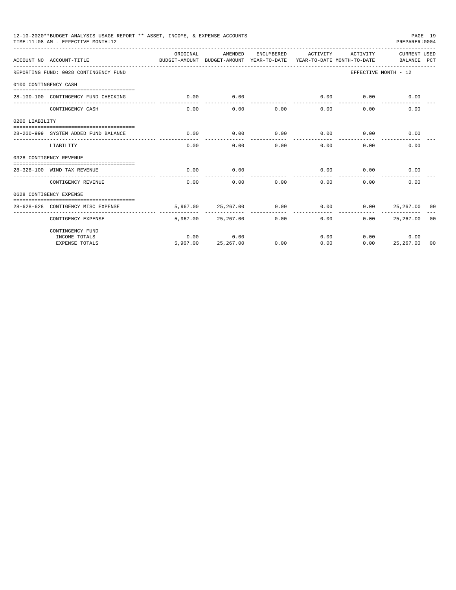|                       | 12-10-2020**BUDGET ANALYSIS USAGE REPORT ** ASSET, INCOME, & EXPENSE ACCOUNTS<br>TIME:11:08 AM - EFFECTIVE MONTH:12 |                                                                                  |                    |             |                      |          | PAGE 19<br>PREPARER: 0004   |  |
|-----------------------|---------------------------------------------------------------------------------------------------------------------|----------------------------------------------------------------------------------|--------------------|-------------|----------------------|----------|-----------------------------|--|
|                       | ACCOUNT NO ACCOUNT-TITLE                                                                                            | OR TGTNAL<br>BUDGET-AMOUNT BUDGET-AMOUNT YEAR-TO-DATE YEAR-TO-DATE MONTH-TO-DATE | AMENDED            | ENCUMBERED  | ACTIVITY             | ACTIVITY | CURRENT USED<br>BALANCE PCT |  |
|                       | REPORTING FUND: 0028 CONTINGENCY FUND                                                                               |                                                                                  |                    |             |                      |          | EFFECTIVE MONTH - 12        |  |
| 0100 CONTINGENCY CASH |                                                                                                                     |                                                                                  |                    |             |                      |          |                             |  |
|                       | 28-100-100 CONTINGENCY FUND CHECKING                                                                                | 0.00                                                                             | 0.00               | ----------- | 0.00<br>------------ | 0.00     | 0.00                        |  |
|                       | CONTINGENCY CASH                                                                                                    | 0.00                                                                             | 0.00               | 0.00        | 0.00                 | 0.00     | 0.00                        |  |
| 0200 LIABILITY        |                                                                                                                     |                                                                                  |                    |             |                      |          |                             |  |
|                       | 28-200-999 SYSTEM ADDED FUND BALANCE                                                                                | 0.00                                                                             | 0.00               | 0.00        | 0.00                 | 0.00     | 0.00                        |  |
|                       | LIABILITY                                                                                                           | 0.00                                                                             | 0.00               | 0.00        | 0.00                 | 0.00     | 0.00                        |  |
|                       | 0328 CONTIGENCY REVENUE                                                                                             |                                                                                  |                    |             |                      |          |                             |  |
|                       | 28-328-100 WIND TAX REVENUE                                                                                         | 0.00                                                                             | 0.00               |             | 0.00                 | 0.00     | 0.00                        |  |
|                       | CONTIGENCY REVENUE                                                                                                  | 0.00                                                                             | 0.00               | 0.00        | 0.00                 | 0.00     | 0.00                        |  |
|                       | 0628 CONTIGENCY EXPENSE                                                                                             |                                                                                  |                    |             |                      |          |                             |  |
|                       | 28-628-628 CONTIGENCY MISC EXPENSE                                                                                  |                                                                                  | 5,967.00 25,267.00 | 0.00        | 0.00                 |          | $0.00$ 25,267.00 00         |  |
|                       | CONTIGENCY EXPENSE                                                                                                  |                                                                                  | 5,967.00 25,267.00 | 0.00        | 0.00                 | 0.00     | 25,267.00 00                |  |
|                       | CONTINGENCY FUND                                                                                                    |                                                                                  |                    |             |                      |          |                             |  |
|                       | INCOME TOTALS                                                                                                       | 0.00                                                                             | 0.00               |             | 0.00                 |          | 0.00<br>0.00                |  |
|                       | <b>EXPENSE TOTALS</b>                                                                                               | 5,967,00                                                                         | 25,267.00          | 0.00        | 0.00                 | 0.00     | 25,267.00 00                |  |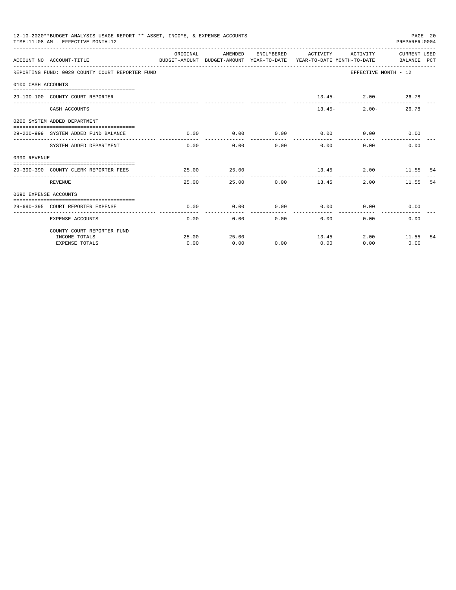|                       | 12-10-2020**BUDGET ANALYSIS USAGE REPORT ** ASSET, INCOME, & EXPENSE ACCOUNTS<br>TIME: 11:08 AM - EFFECTIVE MONTH: 12 |          |                             |             |                                                                                                                              |                        | PAGE 20<br>PREPARER:0004 |     |
|-----------------------|-----------------------------------------------------------------------------------------------------------------------|----------|-----------------------------|-------------|------------------------------------------------------------------------------------------------------------------------------|------------------------|--------------------------|-----|
|                       | ACCOUNT NO ACCOUNT-TITLE                                                                                              | ORIGINAL | AMENDED                     |             | ENCUMBERED ACTIVITY ACTIVITY CURRENT USED<br>BUDGET-AMOUNT BUDGET-AMOUNT YEAR-TO-DATE YEAR-TO-DATE MONTH-TO-DATE BALANCE PCT |                        |                          |     |
|                       | REPORTING FUND: 0029 COUNTY COURT REPORTER FUND                                                                       |          |                             |             |                                                                                                                              | EFFECTIVE MONTH - 12   |                          |     |
| 0100 CASH ACCOUNTS    |                                                                                                                       |          |                             |             |                                                                                                                              |                        |                          |     |
|                       |                                                                                                                       |          |                             |             |                                                                                                                              |                        |                          |     |
|                       | 29-100-100 COUNTY COURT REPORTER                                                                                      |          |                             |             |                                                                                                                              | $13.45 - 2.00 - 26.78$ |                          |     |
|                       | CASH ACCOUNTS                                                                                                         |          |                             |             |                                                                                                                              | $2.00 -$<br>$13.45-$   | 26.78                    |     |
|                       | 0200 SYSTEM ADDED DEPARTMENT                                                                                          |          |                             |             |                                                                                                                              |                        |                          |     |
|                       | 29-200-999 SYSTEM ADDED FUND BALANCE                                                                                  | 0.00     | 0.00                        | ----------- | $0.00$ $0.00$ $0.00$ $0.00$                                                                                                  | ------------           | 0.00                     |     |
|                       | SYSTEM ADDED DEPARTMENT                                                                                               |          | ------------<br>$0.00$ 0.00 |             | 0.00<br>0.00                                                                                                                 | 0.00                   | 0.00                     |     |
| 0390 REVENUE          |                                                                                                                       |          |                             |             |                                                                                                                              |                        |                          |     |
|                       | 29-390-390 COUNTY CLERK REPORTER FEES                                                                                 | 25.00    | 25.00                       |             |                                                                                                                              | 13.45 2.00 11.55 54    |                          |     |
|                       | REVENUE                                                                                                               | 25.00    | ---------                   | 25.00 0.00  | ------------<br>13.45                                                                                                        | 2.00                   | 11.55                    | 54  |
| 0690 EXPENSE ACCOUNTS |                                                                                                                       |          |                             |             |                                                                                                                              |                        |                          |     |
|                       | 29-690-395 COURT REPORTER EXPENSE                                                                                     | 0.00     | 0.00                        |             | $0.00$ $0.00$ $0.00$ $0.00$                                                                                                  |                        | 0.00                     |     |
|                       | <b>EXPENSE ACCOUNTS</b>                                                                                               | 0.00     |                             | 0.00        | 0.00<br>0.00                                                                                                                 | 0.00                   | 0.00                     |     |
|                       |                                                                                                                       |          |                             |             |                                                                                                                              |                        |                          |     |
|                       | COUNTY COURT REPORTER FUND                                                                                            |          |                             |             |                                                                                                                              |                        |                          |     |
|                       | INCOME TOTALS                                                                                                         | 25.00    | 25.00                       |             | 13.45                                                                                                                        |                        | 2.00 11.55               | -54 |
|                       | <b>EXPENSE TOTALS</b>                                                                                                 | 0.00     | 0.00                        | 0.00        | 0.00                                                                                                                         | 0.00                   | 0.00                     |     |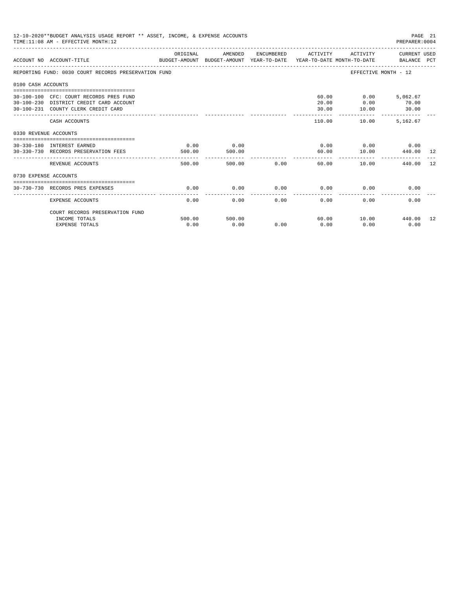|                       | 12-10-2020**BUDGET ANALYSIS USAGE REPORT ** ASSET, INCOME, & EXPENSE ACCOUNTS<br>TIME: 11:08 AM - EFFECTIVE MONTH: 12     |                |                |             |                     |                                            | PAGE 21<br>PREPARER:0004 |     |
|-----------------------|---------------------------------------------------------------------------------------------------------------------------|----------------|----------------|-------------|---------------------|--------------------------------------------|--------------------------|-----|
|                       | ACCOUNT NO ACCOUNT-TITLE CONTROL CONTROLLER TO BUDGET-AMOUNT BUDGET-AMOUNT YEAR-TO-DATE YEAR-TO-DATE MONTH-TO-DATE        | ORIGINAL       | AMENDED        |             | ENCUMBERED ACTIVITY |                                            | ACTIVITY CURRENT USED    |     |
|                       | REPORTING FUND: 0030 COURT RECORDS PRESERVATION FUND                                                                      |                |                |             |                     | EFFECTIVE MONTH - 12                       |                          |     |
| 0100 CASH ACCOUNTS    |                                                                                                                           |                |                |             |                     |                                            |                          |     |
|                       | 30-100-100 CFC: COURT RECORDS PRES FUND<br>30-100-230 DISTRICT CREDIT CARD ACCOUNT<br>30-100-231 COUNTY CLERK CREDIT CARD |                |                |             | 20.00<br>30.00      | 60.00   0.00   5,062.67<br>0.00<br>10.00   | 70.00<br>30.00           |     |
|                       | CASH ACCOUNTS                                                                                                             |                |                |             | 110.00              | _________________________________<br>10.00 | 5,162.67                 |     |
| 0330 REVENUE ACCOUNTS |                                                                                                                           |                |                |             |                     |                                            |                          |     |
|                       | 30-330-180 INTEREST EARNED<br>30-330-730 RECORDS PRESERVATION FEES                                                        | 0.00<br>500.00 | 0.00<br>500.00 |             | 60.00               | $0.00$ $0.00$ $0.00$<br>10.00              | 440.00 12                |     |
|                       | REVENUE ACCOUNTS                                                                                                          | 500.00         |                | 500.00 0.00 | 60.00               | 10.00                                      | 440.00                   | 12  |
| 0730 EXPENSE ACCOUNTS |                                                                                                                           |                |                |             |                     |                                            |                          |     |
|                       | 30-730-730 RECORDS PRES EXPENSES                                                                                          | 0.00           | 0.00           | 0.00        | $0.00$ 0.00         |                                            | 0.00                     |     |
|                       | <b>EXPENSE ACCOUNTS</b>                                                                                                   | 0.00           | 0.00           | 0.00        | 0.00                | 0.00                                       | 0.00                     |     |
|                       | COURT RECORDS PRESERVATION FUND                                                                                           |                |                |             |                     |                                            |                          |     |
|                       | INCOME TOTALS<br><b>EXPENSE TOTALS</b>                                                                                    | 500.00<br>0.00 | 500.00<br>0.00 | 0.00        | 0.00                | 60.00 10.00 440.00<br>0.00                 | 0.00                     | -12 |
|                       |                                                                                                                           |                |                |             |                     |                                            |                          |     |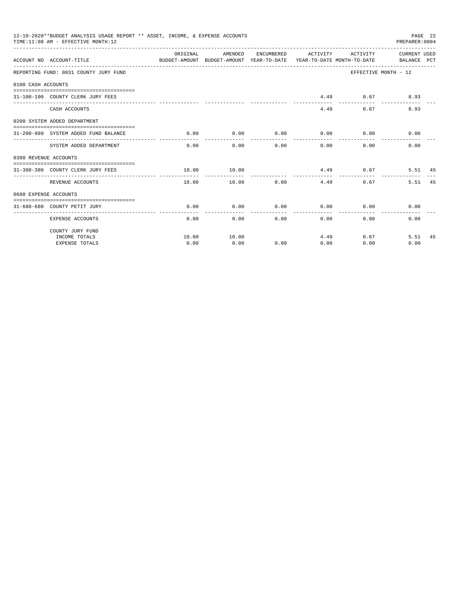|                       | 12-10-2020**BUDGET ANALYSIS USAGE REPORT ** ASSET, INCOME, & EXPENSE ACCOUNTS<br>TIME: 11:08 AM - EFFECTIVE MONTH: 12 |                                                                                             |                                |                       |              |                                           | PREPARER: 0004       | PAGE 22 |
|-----------------------|-----------------------------------------------------------------------------------------------------------------------|---------------------------------------------------------------------------------------------|--------------------------------|-----------------------|--------------|-------------------------------------------|----------------------|---------|
|                       | ACCOUNT NO ACCOUNT-TITLE                                                                                              | ORIGINAL<br>BUDGET-AMOUNT BUDGET-AMOUNT YEAR-TO-DATE YEAR-TO-DATE MONTH-TO-DATE BALANCE PCT | AMENDED                        |                       |              | ENCUMBERED ACTIVITY ACTIVITY CURRENT USED |                      |         |
|                       | REPORTING FUND: 0031 COUNTY JURY FUND                                                                                 |                                                                                             |                                |                       |              |                                           | EFFECTIVE MONTH - 12 |         |
| 0100 CASH ACCOUNTS    |                                                                                                                       |                                                                                             |                                |                       |              |                                           |                      |         |
|                       | 31-100-100 COUNTY CLERK JURY FEES                                                                                     |                                                                                             |                                |                       |              | 4.49 0.67                                 | 8.93                 |         |
|                       | CASH ACCOUNTS                                                                                                         |                                                                                             |                                |                       |              | 0.67<br>4.49                              | 8.93                 |         |
|                       | 0200 SYSTEM ADDED DEPARTMENT                                                                                          |                                                                                             |                                |                       |              |                                           |                      |         |
|                       | 31-200-999 SYSTEM ADDED FUND BALANCE                                                                                  | 0.00                                                                                        | 0.00                           | . _ _ _ _ _ _ _ _ _ _ | ------------ | $0.00$ $0.00$ $0.00$ $0.00$               | 0.00                 |         |
|                       | SYSTEM ADDED DEPARTMENT                                                                                               |                                                                                             | -------------<br>$0.00$ $0.00$ |                       | 0.00         | 0.00<br>$0.00 -$                          | 0.00                 |         |
| 0380 REVENUE ACCOUNTS |                                                                                                                       |                                                                                             |                                |                       |              |                                           |                      |         |
|                       | 31-380-380 COUNTY CLERK JURY FEES                                                                                     | 10.00                                                                                       | 10.00                          |                       |              | 4.49 0.67                                 | 5.51 45              |         |
|                       | REVENUE ACCOUNTS                                                                                                      | 10.00                                                                                       |                                | $10.00$ 0.00          | 4.49         |                                           | 5.51<br>0.67         | 45      |
| 0680 EXPENSE ACCOUNTS |                                                                                                                       |                                                                                             |                                |                       |              |                                           |                      |         |
|                       | 31-680-680 COUNTY PETIT JURY                                                                                          | 0.00                                                                                        | 0.00                           | 0.00                  |              | $0.00$ $0.00$                             | 0.00                 |         |
|                       | <b>EXPENSE ACCOUNTS</b>                                                                                               | 0.00                                                                                        |                                | 0.00                  | 0.00         | 0.00                                      | 0.00<br>0.00         |         |
|                       | COUNTY JURY FUND                                                                                                      |                                                                                             |                                |                       |              |                                           |                      |         |
|                       | INCOME TOTALS                                                                                                         | 10.00                                                                                       | 10.00                          |                       | 4.49         |                                           | 0.67<br>5.51         | 45      |
|                       | <b>EXPENSE TOTALS</b>                                                                                                 | 0.00                                                                                        | 0.00                           | 0.00                  | 0.00         | 0.00                                      | 0.00                 |         |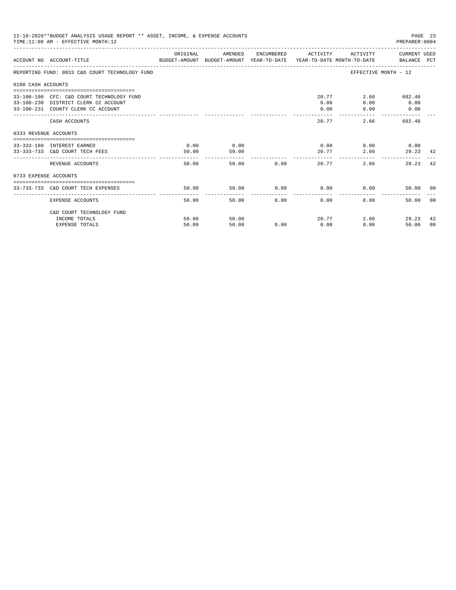|                       | 12-10-2020**BUDGET ANALYSIS USAGE REPORT ** ASSET, INCOME, & EXPENSE ACCOUNTS<br>TIME: 11:08 AM - EFFECTIVE MONTH: 12   |               |               |               |                     |                                           | PAGE 23<br>PREPARER: 0004   |
|-----------------------|-------------------------------------------------------------------------------------------------------------------------|---------------|---------------|---------------|---------------------|-------------------------------------------|-----------------------------|
|                       | BUDGET-AMOUNT BUDGET-AMOUNT YEAR-TO-DATE  YEAR-TO-DATE MONTH-TO-DATE     BALANCE PCT<br>ACCOUNT NO ACCOUNT-TITLE        | ORIGINAL      | AMENDED       |               | ENCUMBERED ACTIVITY |                                           | ACTIVITY CURRENT USED       |
|                       | REPORTING FUND: 0033 C&D COURT TECHNOLOGY FUND                                                                          |               |               |               |                     | EFFECTIVE MONTH - 12                      |                             |
| 0100 CASH ACCOUNTS    |                                                                                                                         |               |               |               |                     |                                           |                             |
|                       | 33-100-100 CFC: C&D COURT TECHNOLOGY FUND<br>33-100-230 DISTRICT CLERK CC ACCOUNT<br>33-100-231 COUNTY CLERK CC ACCOUNT |               |               |               | 0.00<br>0.00        | 20.77<br>0.00<br>0.00                     | 2.66 602.48<br>0.00<br>0.00 |
|                       | CASH ACCOUNTS                                                                                                           |               |               |               | 20.77               | 2.66                                      | 602.48                      |
| 0333 REVENUE ACCOUNTS |                                                                                                                         |               |               |               |                     |                                           |                             |
|                       | 33-333-180 INTEREST EARNED<br>33-333-733 C&D COURT TECH FEES                                                            | 0.00<br>50.00 | 0.00<br>50.00 |               |                     | $0.00$ $0.00$ $0.00$ $0.00$<br>20.77 2.66 | 29.23 42                    |
|                       | REVENUE ACCOUNTS                                                                                                        | 50.00         |               | 50.00 0.00    |                     | 20.77<br>2.66                             | 42<br>29.23                 |
| 0733 EXPENSE ACCOUNTS |                                                                                                                         |               |               |               |                     |                                           |                             |
|                       | 33-733-733 C&D COURT TECH EXPENSES                                                                                      | 50.00         | 50.00         |               |                     | $0.00$ $0.00$ $0.00$ $0.00$               | 50.00 00                    |
|                       | EXPENSE ACCOUNTS                                                                                                        | 50.00         |               | 50.00<br>0.00 | 0.00                | 0.00                                      | 0 <sub>0</sub><br>50.00     |
|                       | C&D COURT TECHNOLOGY FUND<br>INCOME TOTALS                                                                              | 50.00         | 50.00         |               |                     | 20.77                                     | 2.66<br>29.23<br>42         |
|                       | <b>EXPENSE TOTALS</b>                                                                                                   | 50.00         | 50.00         | 0.00          | 0.00                | 0.00                                      | 50.00<br>00                 |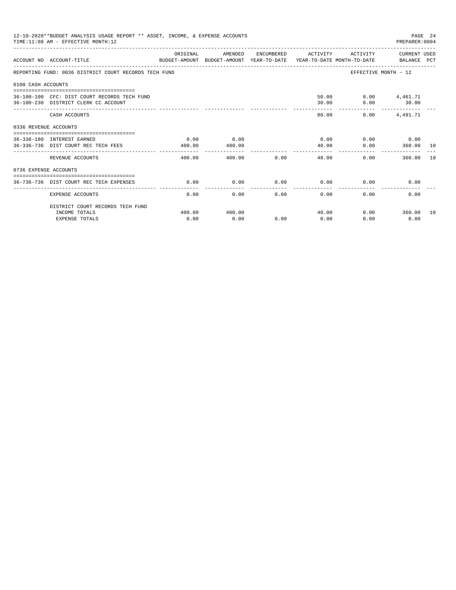|                       | 12-10-2020**BUDGET ANALYSIS USAGE REPORT ** ASSET, INCOME, & EXPENSE ACCOUNTS<br>TIME: 11:08 AM - EFFECTIVE MONTH: 12 |                      |                |      |                     |               | PAGE 24<br>PREPARER: 0004 |    |
|-----------------------|-----------------------------------------------------------------------------------------------------------------------|----------------------|----------------|------|---------------------|---------------|---------------------------|----|
|                       | ACCOUNT NO ACCOUNT-TITLE<br>BUDGET-AMOUNT BUDGET-AMOUNT YEAR-TO-DATE YEAR-TO-DATE MONTH-TO-DATE BALANCE PCT           | ORIGINAL             | AMENDED        |      | ENCUMBERED ACTIVITY |               | ACTIVITY CURRENT USED     |    |
|                       | REPORTING FUND: 0036 DISTRICT COURT RECORDS TECH FUND                                                                 |                      |                |      |                     |               | EFFECTIVE MONTH - 12      |    |
| 0100 CASH ACCOUNTS    |                                                                                                                       |                      |                |      |                     |               |                           |    |
|                       | 36-100-100 CFC: DIST COURT RECORDS TECH FUND<br>36-100-230 DISTRICT CLERK CC ACCOUNT                                  |                      |                |      | 30.00               | 50.00<br>0.00 | $0.00$ 4,461.71<br>30.00  |    |
|                       | CASH ACCOUNTS                                                                                                         |                      |                |      | 80.00               | 0.00          | 4,491.71                  |    |
| 0336 REVENUE ACCOUNTS |                                                                                                                       |                      |                |      |                     |               |                           |    |
|                       | 36-336-180 INTEREST EARNED<br>36-336-736 DIST COURT REC TECH FEES                                                     | 0.00<br>400.00       | 0.00<br>400.00 |      | 0.00<br>40.00       | 0.00          | $0.00$ 0.00<br>360.00 10  |    |
|                       | ------------------------<br>REVENUE ACCOUNTS                                                                          | ----------<br>400.00 | 400.00         | 0.00 | 40.00               |               | 360.00<br>0.00            | 10 |
| 0736 EXPENSE ACCOUNTS |                                                                                                                       |                      |                |      |                     |               |                           |    |
|                       | 36-736-736 DIST COURT REC TECH EXPENSES                                                                               | 0.00                 | 0.00           | 0.00 | 0.00                |               | 0.00<br>0.00              |    |
|                       | EXPENSE ACCOUNTS                                                                                                      | 0.00                 | 0.00           | 0.00 | 0.00                | 0.00          | 0.00                      |    |
|                       | DISTRICT COURT RECORDS TECH FUND                                                                                      |                      |                |      |                     |               |                           |    |
|                       | INCOME TOTALS<br><b>EXPENSE TOTALS</b>                                                                                | 400.00<br>0.00       | 400.00<br>0.00 | 0.00 | 40.00<br>0.00       | 0.00          | $0.00$ 360.00 10<br>0.00  |    |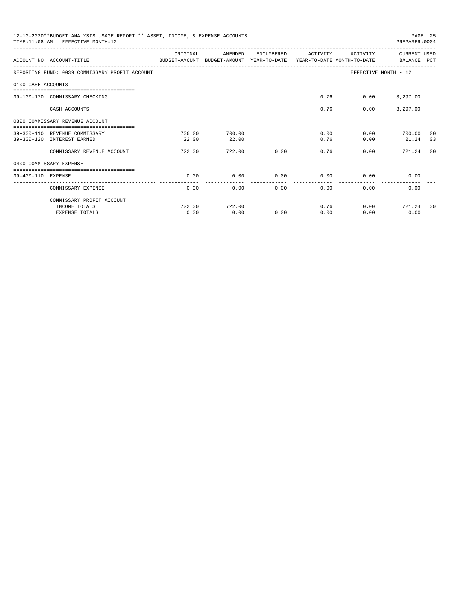|                    | 12-10-2020**BUDGET ANALYSIS USAGE REPORT ** ASSET, INCOME, & EXPENSE ACCOUNTS<br>TIME: 11:08 AM - EFFECTIVE MONTH: 12 |           |                        |            |                      |          | PREPARER: 0004                                                                                   | PAGE 25 |
|--------------------|-----------------------------------------------------------------------------------------------------------------------|-----------|------------------------|------------|----------------------|----------|--------------------------------------------------------------------------------------------------|---------|
|                    | ACCOUNT NO ACCOUNT-TITLE<br>BUDGET-AMOUNT BUDGET-AMOUNT YEAR-TO-DATE YEAR-TO-DATE MONTH-TO-DATE BALANCE PCT           | OR TGTNAL | AMENDED                | ENCUMBERED | ACTIVITY             | ACTIVITY | CURRENT USED                                                                                     |         |
|                    | REPORTING FUND: 0039 COMMISSARY PROFIT ACCOUNT                                                                        |           |                        |            |                      |          | EFFECTIVE MONTH - 12                                                                             |         |
| 0100 CASH ACCOUNTS |                                                                                                                       |           |                        |            |                      |          |                                                                                                  |         |
|                    | 39-100-170 COMMISSARY CHECKING                                                                                        |           |                        |            | 0.76                 |          |                                                                                                  |         |
|                    | CASH ACCOUNTS                                                                                                         |           |                        |            | 0.76                 | 0.00     | 3,297.00                                                                                         |         |
|                    | 0300 COMMISSARY REVENUE ACCOUNT                                                                                       |           |                        |            |                      |          |                                                                                                  |         |
|                    | 39-300-110 REVENUE COMMISSARY                                                                                         | 700.00    | 700.00                 |            | 0.00                 |          |                                                                                                  |         |
|                    | 39-300-120 INTEREST EARNED                                                                                            | 22.00     | 22.00<br>------------- |            | 0.76<br>------------ | 0.00     | $0.00$ 3,297.00<br>$0.00$ 700.00 00<br>21.24 03<br>________________________________<br>721.24 00 |         |
|                    | COMMISSARY REVENUE ACCOUNT                                                                                            | 722.00    | 722.00                 | 0.00       | 0.76                 | 0.00     |                                                                                                  |         |
|                    | 0400 COMMISSARY EXPENSE                                                                                               |           |                        |            |                      |          |                                                                                                  |         |
| 39-400-110 EXPENSE |                                                                                                                       | 0.00      | 0.00                   | 0.00       | 0.00                 | 0.00     | 0.00                                                                                             |         |
|                    | COMMISSARY EXPENSE                                                                                                    | 0.00      | 0.00                   | 0.00       | -------<br>0.00      | 0.00     | 0.00                                                                                             |         |
|                    | COMMISSARY PROFIT ACCOUNT                                                                                             |           |                        |            |                      |          |                                                                                                  |         |
|                    | INCOME TOTALS                                                                                                         | 722.00    | 722.00                 |            | 0.76                 |          | $0.00$ $721.24$ 00                                                                               |         |
|                    | <b>EXPENSE TOTALS</b>                                                                                                 | 0.00      | 0.00                   | 0.00       | 0.00                 | 0.00     | 0.00                                                                                             |         |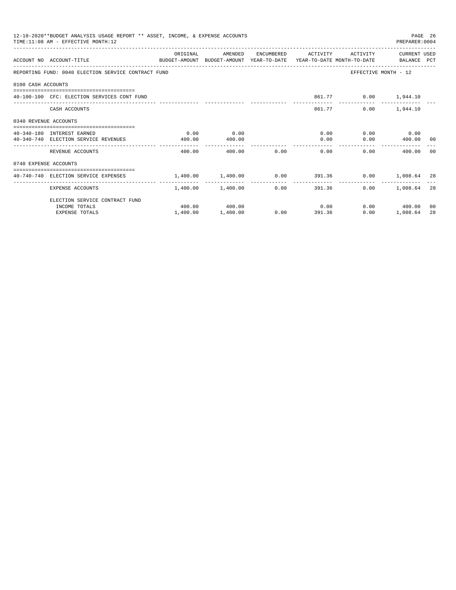| 12-10-2020**BUDGET ANALYSIS USAGE REPORT ** ASSET, INCOME, & EXPENSE ACCOUNTS<br>PAGE 26<br>TIME: 11:08 AM - EFFECTIVE MONTH: 12<br>PREPARER: 0004<br>ORIGINAL<br>AMENDED<br>ENCUMBERED ACTIVITY<br>ACTIVITY<br>CURRENT USED<br>ACCOUNT NO ACCOUNT-TITLE<br>BUDGET-AMOUNT BUDGET-AMOUNT YEAR-TO-DATE YEAR-TO-DATE MONTH-TO-DATE BALANCE PCT<br>REPORTING FUND: 0040 ELECTION SERVICE CONTRACT FUND<br>EFFECTIVE MONTH - 12<br>0100 CASH ACCOUNTS<br>861.77 0.00 1,944.10<br>40-100-100 CFC: ELECTION SERVICES CONT FUND<br>861.77<br>$0.00$ 1,944.10<br>CASH ACCOUNTS<br>0340 REVENUE ACCOUNTS<br>0.00<br>$0.00$ $0.00$ $0.00$<br>0.00<br>40-340-180 INTEREST EARNED<br>$0.00$ 400.00 00<br>40-340-740 ELECTION SERVICE REVENUES<br>400.00<br>0.00<br>400.00<br>0.00<br>0.00<br>REVENUE ACCOUNTS<br>400.00<br>400.00<br>0.00<br>400.00<br>- 00<br>0740 EXPENSE ACCOUNTS<br>$1.400.00$ $1.400.00$ $0.00$ $391.36$ $0.00$ $1.008.64$ $28$<br>40-740-740 ELECTION SERVICE EXPENSES<br>-------------<br>------------ |          |                   |      |        |        |                 |    |
|------------------------------------------------------------------------------------------------------------------------------------------------------------------------------------------------------------------------------------------------------------------------------------------------------------------------------------------------------------------------------------------------------------------------------------------------------------------------------------------------------------------------------------------------------------------------------------------------------------------------------------------------------------------------------------------------------------------------------------------------------------------------------------------------------------------------------------------------------------------------------------------------------------------------------------------------------------------------------------------------------------------|----------|-------------------|------|--------|--------|-----------------|----|
|                                                                                                                                                                                                                                                                                                                                                                                                                                                                                                                                                                                                                                                                                                                                                                                                                                                                                                                                                                                                                  |          |                   |      |        |        |                 |    |
|                                                                                                                                                                                                                                                                                                                                                                                                                                                                                                                                                                                                                                                                                                                                                                                                                                                                                                                                                                                                                  |          |                   |      |        |        |                 |    |
|                                                                                                                                                                                                                                                                                                                                                                                                                                                                                                                                                                                                                                                                                                                                                                                                                                                                                                                                                                                                                  |          |                   |      |        |        |                 |    |
|                                                                                                                                                                                                                                                                                                                                                                                                                                                                                                                                                                                                                                                                                                                                                                                                                                                                                                                                                                                                                  |          |                   |      |        |        |                 |    |
|                                                                                                                                                                                                                                                                                                                                                                                                                                                                                                                                                                                                                                                                                                                                                                                                                                                                                                                                                                                                                  |          |                   |      |        |        |                 |    |
|                                                                                                                                                                                                                                                                                                                                                                                                                                                                                                                                                                                                                                                                                                                                                                                                                                                                                                                                                                                                                  |          |                   |      |        |        |                 |    |
|                                                                                                                                                                                                                                                                                                                                                                                                                                                                                                                                                                                                                                                                                                                                                                                                                                                                                                                                                                                                                  |          |                   |      |        |        |                 |    |
|                                                                                                                                                                                                                                                                                                                                                                                                                                                                                                                                                                                                                                                                                                                                                                                                                                                                                                                                                                                                                  |          |                   |      |        |        |                 |    |
|                                                                                                                                                                                                                                                                                                                                                                                                                                                                                                                                                                                                                                                                                                                                                                                                                                                                                                                                                                                                                  |          |                   |      |        |        |                 |    |
|                                                                                                                                                                                                                                                                                                                                                                                                                                                                                                                                                                                                                                                                                                                                                                                                                                                                                                                                                                                                                  |          |                   |      |        |        |                 |    |
|                                                                                                                                                                                                                                                                                                                                                                                                                                                                                                                                                                                                                                                                                                                                                                                                                                                                                                                                                                                                                  |          |                   |      |        |        |                 |    |
| EXPENSE ACCOUNTS                                                                                                                                                                                                                                                                                                                                                                                                                                                                                                                                                                                                                                                                                                                                                                                                                                                                                                                                                                                                 |          | 1,400.00 1,400.00 | 0.00 |        | 391.36 | $0.00$ 1,008.64 | 28 |
| ELECTION SERVICE CONTRACT FUND                                                                                                                                                                                                                                                                                                                                                                                                                                                                                                                                                                                                                                                                                                                                                                                                                                                                                                                                                                                   |          |                   |      |        |        |                 |    |
| INCOME TOTALS                                                                                                                                                                                                                                                                                                                                                                                                                                                                                                                                                                                                                                                                                                                                                                                                                                                                                                                                                                                                    |          | 400.00 400.00     |      |        | 0.00   | $0.00$ 400.00   | 00 |
| <b>EXPENSE TOTALS</b>                                                                                                                                                                                                                                                                                                                                                                                                                                                                                                                                                                                                                                                                                                                                                                                                                                                                                                                                                                                            | 1,400.00 | 1,400.00          | 0.00 | 391.36 | 0.00   | 1,008.64        | 28 |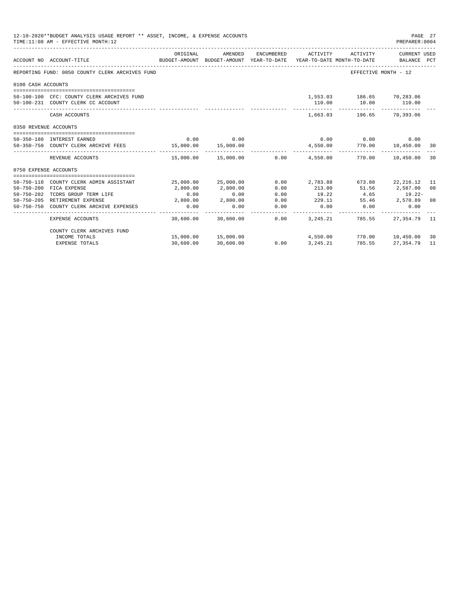|                       | 12-10-2020**BUDGET ANALYSIS USAGE REPORT ** ASSET, INCOME, & EXPENSE ACCOUNTS<br>TIME:11:08 AM - EFFECTIVE MONTH:12 |           |                      |            |                                                                                 |                                                                        | PAGE 27<br>PREPARER: 0004   |     |
|-----------------------|---------------------------------------------------------------------------------------------------------------------|-----------|----------------------|------------|---------------------------------------------------------------------------------|------------------------------------------------------------------------|-----------------------------|-----|
|                       | ACCOUNT NO ACCOUNT-TITLE                                                                                            | ORIGINAL  | AMENDED              | ENCUMBERED | ACTIVITY<br>BUDGET-AMOUNT BUDGET-AMOUNT YEAR-TO-DATE YEAR-TO-DATE MONTH-TO-DATE | ACTIVITY                                                               | CURRENT USED<br>BALANCE PCT |     |
|                       | REPORTING FUND: 0050 COUNTY CLERK ARCHIVES FUND                                                                     |           |                      |            |                                                                                 | EFFECTIVE MONTH - 12                                                   |                             |     |
| 0100 CASH ACCOUNTS    |                                                                                                                     |           |                      |            |                                                                                 |                                                                        |                             |     |
|                       | 50-100-100 CFC: COUNTY CLERK ARCHIVES FUND<br>50-100-231 COUNTY CLERK CC ACCOUNT                                    |           |                      |            | --------------                                                                  | 1,553.03 186.65 70,283.06<br>110.00    10.00    110.00<br>____________ | -------------               |     |
|                       | CASH ACCOUNTS                                                                                                       |           |                      |            | 1,663.03                                                                        |                                                                        | 196.65 70,393.06            |     |
| 0350 REVENUE ACCOUNTS |                                                                                                                     |           |                      |            |                                                                                 |                                                                        |                             |     |
|                       | 50-350-180 INTEREST EARNED                                                                                          | 0.00      | 0.00                 |            |                                                                                 | $0.00$ $0.00$ $0.00$ $0.00$                                            |                             |     |
|                       | 50-350-750 COUNTY CLERK ARCHIVE FEES 15,000.00                                                                      |           | 15,000.00            |            |                                                                                 | $4,550.00$ $770.00$ $10,450.00$ $30$                                   |                             |     |
|                       | REVENUE ACCOUNTS                                                                                                    |           | ______________       |            | $15,000.00$ $15,000.00$ $0.00$ $4,550.00$ $770.00$ $10,450.00$                  | _______________________________                                        |                             | 30  |
| 0750 EXPENSE ACCOUNTS |                                                                                                                     |           |                      |            |                                                                                 |                                                                        |                             |     |
| $50 - 750 - 110$      |                                                                                                                     |           | 25,000.00 25,000.00  | 0.00       |                                                                                 |                                                                        |                             | -11 |
| $50 - 750 - 200$      | COUNTY CLERK ADMIN ASSISTANT<br>FICA EXPENSE                                                                        | 2,800.00  | 2,800.00             | 0.00       | 2,783.88 673.88 22,216.12<br>213.00                                             | 51.56                                                                  | 2,587.00                    | 08  |
| $50 - 750 - 202$      | TCDRS GROUP TERM LIFE                                                                                               | 0.00      | 0.00                 | 0.00       | 19.22                                                                           | 4.65                                                                   | $19.22 -$                   |     |
|                       | 50-750-205 RETIREMENT EXPENSE                                                                                       | 2,800.00  | 2,800.00             | 0.00       | 229.11                                                                          |                                                                        | 55.46 2,570.89              | 08  |
| $50 - 750 - 750$      | COUNTY CLERK ARCHIVE EXPENSES                                                                                       | 0.00      | 0.00                 | 0.00       | 0.00                                                                            | 0.00                                                                   | 0.00                        |     |
|                       | <b>EXPENSE ACCOUNTS</b>                                                                                             | 30,600.00 | 30,600.00            | 0.00       | 3, 245. 21                                                                      | 785.55                                                                 | 27,354.79                   | -11 |
|                       | COUNTY CLERK ARCHIVES FUND                                                                                          |           |                      |            |                                                                                 |                                                                        |                             |     |
|                       | INCOME TOTALS                                                                                                       |           | 15,000.00  15,000.00 |            |                                                                                 | 4,550.00 770.00 10,450.00                                              |                             | 30  |
|                       | <b>EXPENSE TOTALS</b>                                                                                               | 30,600.00 | 30,600.00            | 0.00       | 3,245.21                                                                        | 785.55                                                                 | 27,354.79                   | 11  |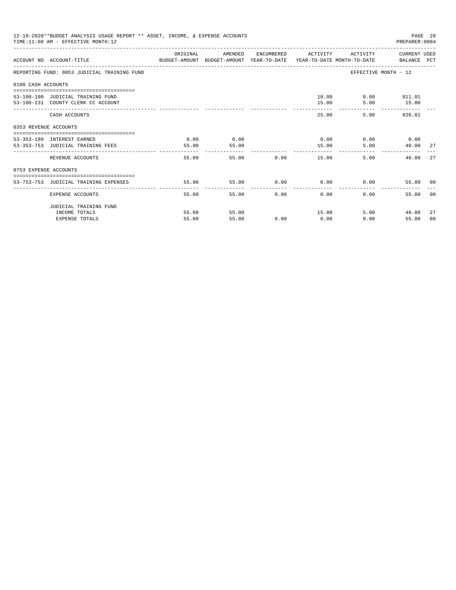|                       | 12-10-2020**BUDGET ANALYSIS USAGE REPORT ** ASSET, INCOME, & EXPENSE ACCOUNTS<br>TIME: 11:08 AM - EFFECTIVE MONTH: 12 |          |         |               |       |       |                                                                                                                                                                                                                                                                                                                                                              |  |
|-----------------------|-----------------------------------------------------------------------------------------------------------------------|----------|---------|---------------|-------|-------|--------------------------------------------------------------------------------------------------------------------------------------------------------------------------------------------------------------------------------------------------------------------------------------------------------------------------------------------------------------|--|
|                       | ACCOUNT NO ACCOUNT-TITLE COMPUTER ANOUNT BUDGET-AMOUNT HEAR-TO-DATE YEAR-TO-DATE MONTH-TO-DATE BALANCE PCT            | ORIGINAL | AMENDED |               |       |       |                                                                                                                                                                                                                                                                                                                                                              |  |
|                       | REPORTING FUND: 0053 JUDICIAL TRAINING FUND                                                                           |          |         |               |       |       |                                                                                                                                                                                                                                                                                                                                                              |  |
| 0100 CASH ACCOUNTS    |                                                                                                                       |          |         |               |       |       |                                                                                                                                                                                                                                                                                                                                                              |  |
|                       |                                                                                                                       |          |         |               |       |       |                                                                                                                                                                                                                                                                                                                                                              |  |
|                       | 53-100-100 JUDICIAL TRAINING FUND                                                                                     |          |         |               |       |       |                                                                                                                                                                                                                                                                                                                                                              |  |
|                       | 53-100-231 COUNTY CLERK CC ACCOUNT                                                                                    |          |         |               | 15.00 |       | PAGE 28<br>PREPARER: 0004<br>ENCUMBERED ACTIVITY ACTIVITY CURRENT USED<br>EFFECTIVE MONTH - 12<br>10.00   0.00   911.01<br>5.00<br>15.00<br>5.00<br>926.01<br>$0.00$ $0.00$ $0.00$ $0.00$<br>5.00<br>40.00 27<br>5.00<br>2.7<br>40.00<br>$0.00$ $0.00$ $0.00$ $0.00$<br>55.00 00<br>$0.00 -$<br>55.00<br>- 0.0<br>5.00<br>40.00<br>27<br>0.00<br>55.00<br>00 |  |
|                       | CASH ACCOUNTS                                                                                                         |          |         |               |       | 25.00 |                                                                                                                                                                                                                                                                                                                                                              |  |
| 0353 REVENUE ACCOUNTS |                                                                                                                       |          |         |               |       |       |                                                                                                                                                                                                                                                                                                                                                              |  |
|                       | 53-353-180 INTEREST EARNED                                                                                            | 0.00     | 0.00    |               |       |       |                                                                                                                                                                                                                                                                                                                                                              |  |
|                       | 53-353-753 JUDICIAL TRAINING FEES                                                                                     | 55.00    | 55.00   |               | 15.00 |       |                                                                                                                                                                                                                                                                                                                                                              |  |
|                       |                                                                                                                       | -------  |         |               |       |       |                                                                                                                                                                                                                                                                                                                                                              |  |
|                       | REVENUE ACCOUNTS                                                                                                      | 55.00    |         | 55.00         | 0.00  | 15.00 |                                                                                                                                                                                                                                                                                                                                                              |  |
| 0753 EXPENSE ACCOUNTS |                                                                                                                       |          |         |               |       |       |                                                                                                                                                                                                                                                                                                                                                              |  |
|                       |                                                                                                                       |          |         |               |       |       |                                                                                                                                                                                                                                                                                                                                                              |  |
|                       | 53-753-753 JUDICIAL TRAINING EXPENSES                                                                                 | 55.00    | 55.00   |               |       |       |                                                                                                                                                                                                                                                                                                                                                              |  |
|                       | EXPENSE ACCOUNTS                                                                                                      | 55.00    |         | 0.00<br>55.00 | 0.00  |       |                                                                                                                                                                                                                                                                                                                                                              |  |
|                       | JUDICIAL TRAINING FUND                                                                                                |          |         |               |       |       |                                                                                                                                                                                                                                                                                                                                                              |  |
|                       | INCOME TOTALS                                                                                                         | 55.00    | 55.00   |               | 15.00 |       |                                                                                                                                                                                                                                                                                                                                                              |  |
|                       | <b>EXPENSE TOTALS</b>                                                                                                 | 55.00    | 55.00   | 0.00          | 0.00  |       |                                                                                                                                                                                                                                                                                                                                                              |  |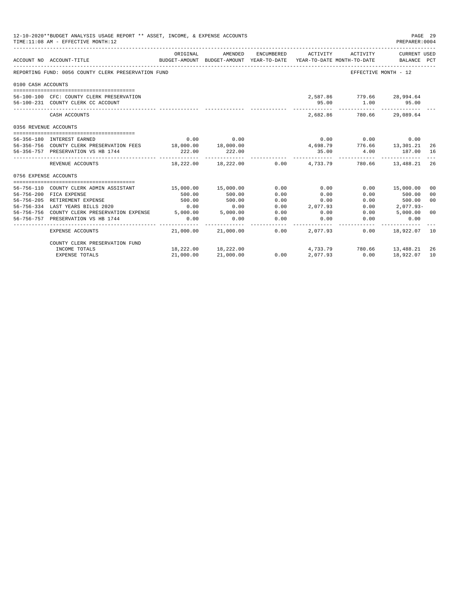|                       | 12-10-2020**BUDGET ANALYSIS USAGE REPORT ** ASSET, INCOME, & EXPENSE ACCOUNTS<br>PAGE 29<br>TIME:11:08 AM - EFFECTIVE MONTH:12<br>PREPARER: 0004 |           |                                                                                |             |                      |                           |                                                                                                                                                                                                                                                                                                                                                                                                                                                                                                                                                                                                                              |    |  |
|-----------------------|--------------------------------------------------------------------------------------------------------------------------------------------------|-----------|--------------------------------------------------------------------------------|-------------|----------------------|---------------------------|------------------------------------------------------------------------------------------------------------------------------------------------------------------------------------------------------------------------------------------------------------------------------------------------------------------------------------------------------------------------------------------------------------------------------------------------------------------------------------------------------------------------------------------------------------------------------------------------------------------------------|----|--|
|                       | ACCOUNT NO ACCOUNT-TITLE<br>--------------------------------------                                                                               | ORIGINAL  | AMENDED<br>BUDGET-AMOUNT BUDGET-AMOUNT YEAR-TO-DATE YEAR-TO-DATE MONTH-TO-DATE | ENCUMBERED  | ACTIVITY             |                           |                                                                                                                                                                                                                                                                                                                                                                                                                                                                                                                                                                                                                              |    |  |
|                       | REPORTING FUND: 0056 COUNTY CLERK PRESERVATION FUND                                                                                              |           |                                                                                |             |                      |                           |                                                                                                                                                                                                                                                                                                                                                                                                                                                                                                                                                                                                                              |    |  |
| 0100 CASH ACCOUNTS    |                                                                                                                                                  |           |                                                                                |             |                      |                           |                                                                                                                                                                                                                                                                                                                                                                                                                                                                                                                                                                                                                              |    |  |
|                       |                                                                                                                                                  |           |                                                                                |             |                      |                           |                                                                                                                                                                                                                                                                                                                                                                                                                                                                                                                                                                                                                              |    |  |
|                       | 56-100-100 CFC: COUNTY CLERK PRESERVATION                                                                                                        |           |                                                                                |             |                      |                           |                                                                                                                                                                                                                                                                                                                                                                                                                                                                                                                                                                                                                              |    |  |
|                       | 56-100-231 COUNTY CLERK CC ACCOUNT                                                                                                               |           |                                                                                |             | 95.00<br>----------- |                           |                                                                                                                                                                                                                                                                                                                                                                                                                                                                                                                                                                                                                              |    |  |
|                       | CASH ACCOUNTS                                                                                                                                    |           |                                                                                |             |                      |                           |                                                                                                                                                                                                                                                                                                                                                                                                                                                                                                                                                                                                                              |    |  |
| 0356 REVENUE ACCOUNTS |                                                                                                                                                  |           |                                                                                |             |                      |                           |                                                                                                                                                                                                                                                                                                                                                                                                                                                                                                                                                                                                                              |    |  |
|                       |                                                                                                                                                  |           |                                                                                |             |                      |                           |                                                                                                                                                                                                                                                                                                                                                                                                                                                                                                                                                                                                                              |    |  |
|                       | 56-356-180 INTEREST EARNED                                                                                                                       | 0.00      | 0.00                                                                           |             |                      |                           |                                                                                                                                                                                                                                                                                                                                                                                                                                                                                                                                                                                                                              |    |  |
|                       | 56-356-756 COUNTY CLERK PRESERVATION FEES 18,000.00 18,000.00                                                                                    |           |                                                                                |             |                      |                           |                                                                                                                                                                                                                                                                                                                                                                                                                                                                                                                                                                                                                              |    |  |
|                       | 56-356-757 PRESERVATION VS HB 1744                                                                                                               | 222.00    | 222.00                                                                         |             | ----------           |                           | ACTIVITY<br>CURRENT USED<br>BALANCE PCT<br>EFFECTIVE MONTH - 12<br>2,587.86 779.66 28,994.64<br>1.00<br>95.00<br>2,682.86 780.66 29,089.64<br>$\begin{array}{cccc} & 0.00 & & 0.00 & & 0.00 \\ 4,698.79 & & 776.66 & & 13,301.21 \\ & 35.00 & & 4.00 & & 187.00 \end{array}$<br>26<br>187.00 16<br>_______________________________<br>$18,222.00$ $18,222.00$ $0.00$ $4,733.79$ $780.66$ $13,488.21$<br>-26<br>$0.00$ 15,000.00<br>0 <sub>0</sub><br>0.00<br>500.00<br>0 <sup>0</sup><br>0 <sup>0</sup><br>0.00<br>500.00<br>0.00<br>2,077.93-<br>5,000.00<br>0.00<br>0 <sup>0</sup><br>0.00<br>0.00<br>0.00<br>18,922.07 10 |    |  |
|                       | REVENUE ACCOUNTS                                                                                                                                 |           |                                                                                |             |                      |                           |                                                                                                                                                                                                                                                                                                                                                                                                                                                                                                                                                                                                                              |    |  |
| 0756 EXPENSE ACCOUNTS |                                                                                                                                                  |           |                                                                                |             |                      |                           |                                                                                                                                                                                                                                                                                                                                                                                                                                                                                                                                                                                                                              |    |  |
|                       |                                                                                                                                                  |           |                                                                                |             |                      |                           |                                                                                                                                                                                                                                                                                                                                                                                                                                                                                                                                                                                                                              |    |  |
|                       | 56-756-110 COUNTY CLERK ADMIN ASSISTANT                                                                                                          |           | 15,000.00 15,000.00                                                            | 0.00        | 0.00                 |                           |                                                                                                                                                                                                                                                                                                                                                                                                                                                                                                                                                                                                                              |    |  |
|                       | 56-756-200 FICA EXPENSE                                                                                                                          | 500.00    | 500.00                                                                         | 0.00        | 0.00                 |                           |                                                                                                                                                                                                                                                                                                                                                                                                                                                                                                                                                                                                                              |    |  |
|                       | 56-756-205 RETIREMENT EXPENSE                                                                                                                    | 500.00    | 500.00                                                                         | 0.00        | 0.00                 |                           |                                                                                                                                                                                                                                                                                                                                                                                                                                                                                                                                                                                                                              |    |  |
|                       | 56-756-334 LAST YEARS BILLS 2020                                                                                                                 | 0.00      | 0.00                                                                           | 0.00        | 2,077.93             |                           |                                                                                                                                                                                                                                                                                                                                                                                                                                                                                                                                                                                                                              |    |  |
|                       | 56-756-756 COUNTY CLERK PRESERVATION EXPENSE 5,000.00 5,000.00                                                                                   |           |                                                                                | 0.00        | 0.00                 |                           |                                                                                                                                                                                                                                                                                                                                                                                                                                                                                                                                                                                                                              |    |  |
|                       | 56-756-757 PRESERVATION VS HB 1744                                                                                                               | 0.00      | 0.00                                                                           | 0.00        | 0.00                 |                           |                                                                                                                                                                                                                                                                                                                                                                                                                                                                                                                                                                                                                              |    |  |
|                       | EXPENSE ACCOUNTS                                                                                                                                 |           | $21.000.00$ $21.000.00$ $0.00$ $2.077.93$                                      | ----------- |                      |                           |                                                                                                                                                                                                                                                                                                                                                                                                                                                                                                                                                                                                                              |    |  |
|                       | COUNTY CLERK PRESERVATION FUND                                                                                                                   |           |                                                                                |             |                      |                           |                                                                                                                                                                                                                                                                                                                                                                                                                                                                                                                                                                                                                              |    |  |
|                       | INCOME TOTALS                                                                                                                                    |           | 18,222.00 18,222.00                                                            |             |                      | 4,733.79 780.66 13,488.21 |                                                                                                                                                                                                                                                                                                                                                                                                                                                                                                                                                                                                                              | 26 |  |
|                       | <b>EXPENSE TOTALS</b>                                                                                                                            | 21,000.00 | 21,000.00                                                                      | 0.00        | 2,077.93             | 0.00                      | 18,922.07                                                                                                                                                                                                                                                                                                                                                                                                                                                                                                                                                                                                                    | 10 |  |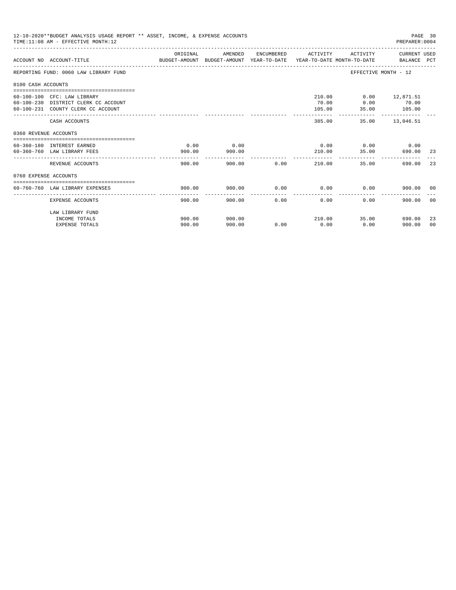|                       | 12-10-2020**BUDGET ANALYSIS USAGE REPORT ** ASSET, INCOME, & EXPENSE ACCOUNTS<br>TIME: 11:08 AM - EFFECTIVE MONTH: 12 |                                                                                                  |         |             |                       |                             | PAGE 30<br>PREPARER: 0004 |     |
|-----------------------|-----------------------------------------------------------------------------------------------------------------------|--------------------------------------------------------------------------------------------------|---------|-------------|-----------------------|-----------------------------|---------------------------|-----|
|                       | ACCOUNT NO ACCOUNT-TITLE                                                                                              | ORIGINAL<br>BUDGET-AMOUNT BUDGET-AMOUNT YEAR-TO-DATE  YEAR-TO-DATE MONTH-TO-DATE     BALANCE PCT | AMENDED |             | ENCUMBERED ACTIVITY   |                             | ACTIVITY CURRENT USED     |     |
|                       | REPORTING FUND: 0060 LAW LIBRARY FUND                                                                                 |                                                                                                  |         |             |                       | EFFECTIVE MONTH - 12        |                           |     |
| 0100 CASH ACCOUNTS    |                                                                                                                       |                                                                                                  |         |             |                       |                             |                           |     |
|                       |                                                                                                                       |                                                                                                  |         |             |                       |                             |                           |     |
|                       | 60-100-100 CFC: LAW LIBRARY                                                                                           |                                                                                                  |         |             | 210.00                |                             | $0.00$ 12,871.51          |     |
|                       | 60-100-230 DISTRICT CLERK CC ACCOUNT<br>60-100-231 COUNTY CLERK CC ACCOUNT                                            |                                                                                                  |         |             | 70.00<br>105.00       | 0.00<br>35.00               | 70.00                     |     |
|                       |                                                                                                                       |                                                                                                  |         |             | ----------            |                             | 105.00                    |     |
|                       | CASH ACCOUNTS                                                                                                         |                                                                                                  |         |             | 385.00                |                             | 35.00 13,046.51           |     |
| 0360 REVENUE ACCOUNTS |                                                                                                                       |                                                                                                  |         |             |                       |                             |                           |     |
|                       |                                                                                                                       |                                                                                                  |         |             |                       |                             |                           |     |
|                       | 60-360-180 INTEREST EARNED                                                                                            | 0.00                                                                                             | 0.00    |             |                       | $0.00$ $0.00$ $0.00$ $0.00$ |                           |     |
|                       | 60-360-760 LAW LIBRARY FEES                                                                                           | 900.00                                                                                           | 900.00  |             | 210.00<br>___________ | 35.00                       | 690.00                    | -23 |
|                       | REVENUE ACCOUNTS                                                                                                      | 900.00                                                                                           |         | 900.00 0.00 | 210.00                | 35.00                       | 690.00                    | 23  |
| 0760 EXPENSE ACCOUNTS |                                                                                                                       |                                                                                                  |         |             |                       |                             |                           |     |
|                       |                                                                                                                       |                                                                                                  |         |             |                       |                             |                           |     |
|                       | 60-760-760 LAW LIBRARY EXPENSES                                                                                       | 900.00                                                                                           | 900.00  | 0.00        | 0.00                  | 0.00                        | 900.00 00                 |     |
|                       | EXPENSE ACCOUNTS                                                                                                      | 900.00                                                                                           | 900.00  | 0.00        | 0.00                  | 0.00                        | 900.00                    | 00  |
|                       | LAW LIBRARY FUND                                                                                                      |                                                                                                  |         |             |                       |                             |                           |     |
|                       | INCOME TOTALS                                                                                                         | 900.00                                                                                           | 900.00  |             | 210.00                | 35.00                       | 690.00                    | 23  |
|                       | <b>EXPENSE TOTALS</b>                                                                                                 | 900.00                                                                                           | 900.00  | 0.00        | 0.00                  | 0.00                        | 900.00                    | 00  |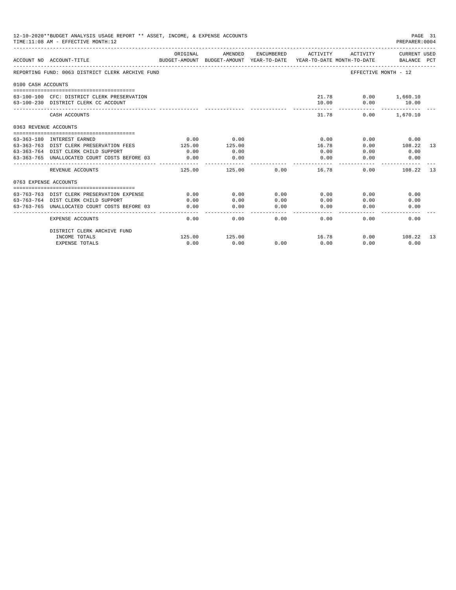| 12-10-2020**BUDGET ANALYSIS USAGE REPORT ** ASSET, INCOME, & EXPENSE ACCOUNTS<br>PAGE 31<br>TIME: 11:08 AM - EFFECTIVE MONTH: 12<br>PREPARER: 0004 |                                                                                     |                |                                                                                |                                                                                                                                                                                                                                                                                                                                                                                                      |                  |                             |                                  |    |
|----------------------------------------------------------------------------------------------------------------------------------------------------|-------------------------------------------------------------------------------------|----------------|--------------------------------------------------------------------------------|------------------------------------------------------------------------------------------------------------------------------------------------------------------------------------------------------------------------------------------------------------------------------------------------------------------------------------------------------------------------------------------------------|------------------|-----------------------------|----------------------------------|----|
|                                                                                                                                                    | ACCOUNT NO ACCOUNT-TITLE                                                            | ORIGINAL       | AMENDED<br>BUDGET-AMOUNT BUDGET-AMOUNT YEAR-TO-DATE YEAR-TO-DATE MONTH-TO-DATE | ENCUMBERED                                                                                                                                                                                                                                                                                                                                                                                           | ACTIVITY         | ACTIVITY                    | CURRENT USED<br>BALANCE PCT      |    |
|                                                                                                                                                    | REPORTING FUND: 0063 DISTRICT CLERK ARCHIVE FUND                                    |                |                                                                                |                                                                                                                                                                                                                                                                                                                                                                                                      |                  | EFFECTIVE MONTH - 12        |                                  |    |
| 0100 CASH ACCOUNTS                                                                                                                                 |                                                                                     |                |                                                                                |                                                                                                                                                                                                                                                                                                                                                                                                      |                  |                             |                                  |    |
|                                                                                                                                                    | 63-100-100 CFC: DISTRICT CLERK PRESERVATION<br>63-100-230 DISTRICT CLERK CC ACCOUNT |                |                                                                                |                                                                                                                                                                                                                                                                                                                                                                                                      | 10.00            | 21.78 0.00 1,660.10<br>0.00 | 10.00                            |    |
|                                                                                                                                                    | CASH ACCOUNTS                                                                       |                |                                                                                |                                                                                                                                                                                                                                                                                                                                                                                                      | 31.78            |                             | -------------<br>$0.00$ 1.670.10 |    |
| 0363 REVENUE ACCOUNTS                                                                                                                              |                                                                                     |                |                                                                                |                                                                                                                                                                                                                                                                                                                                                                                                      |                  |                             |                                  |    |
|                                                                                                                                                    |                                                                                     |                |                                                                                |                                                                                                                                                                                                                                                                                                                                                                                                      |                  |                             |                                  |    |
|                                                                                                                                                    | 63-363-180 INTEREST EARNED                                                          | 0.00<br>125.00 | 0.00<br>125.00                                                                 |                                                                                                                                                                                                                                                                                                                                                                                                      | 0.00             | 0.00                        | 0.00<br>108.22 13                |    |
|                                                                                                                                                    | 63-363-763 DIST CLERK PRESERVATION FEES<br>63-363-764 DIST CLERK CHILD SUPPORT      | 0.00           | 0.00                                                                           |                                                                                                                                                                                                                                                                                                                                                                                                      | 16.78<br>0.00    | 0.00<br>0.00                | 0.00                             |    |
|                                                                                                                                                    |                                                                                     |                |                                                                                |                                                                                                                                                                                                                                                                                                                                                                                                      |                  |                             |                                  |    |
|                                                                                                                                                    | 63-363-765 UNALLOCATED COURT COSTS BEFORE 03                                        | 0.00           | 0.00<br>----------                                                             |                                                                                                                                                                                                                                                                                                                                                                                                      | 0.00<br>-------- | 0.00                        | 0.00                             |    |
|                                                                                                                                                    | REVENUE ACCOUNTS                                                                    | 125.00         | 125.00                                                                         | 0.00                                                                                                                                                                                                                                                                                                                                                                                                 | 16.78            | 0.00                        | 108.22                           | 13 |
| 0763 EXPENSE ACCOUNTS                                                                                                                              |                                                                                     |                |                                                                                |                                                                                                                                                                                                                                                                                                                                                                                                      |                  |                             |                                  |    |
|                                                                                                                                                    |                                                                                     |                |                                                                                |                                                                                                                                                                                                                                                                                                                                                                                                      |                  |                             |                                  |    |
|                                                                                                                                                    | 63-763-763 DIST CLERK PRESERVATION EXPENSE                                          | 0.00           | 0.00                                                                           | 0.00                                                                                                                                                                                                                                                                                                                                                                                                 | 0.00             | 0.00                        | 0.00                             |    |
|                                                                                                                                                    | 63-763-764 DIST CLERK CHILD SUPPORT                                                 | 0.00           | 0.00                                                                           | 0.00                                                                                                                                                                                                                                                                                                                                                                                                 | 0.00             | 0.00                        | 0.00                             |    |
|                                                                                                                                                    | 63-763-765 UNALLOCATED COURT COSTS BEFORE 03                                        | 0.00           | 0.00<br>.                                                                      | 0.00<br>$\frac{1}{2} \frac{1}{2} \frac{1}{2} \frac{1}{2} \frac{1}{2} \frac{1}{2} \frac{1}{2} \frac{1}{2} \frac{1}{2} \frac{1}{2} \frac{1}{2} \frac{1}{2} \frac{1}{2} \frac{1}{2} \frac{1}{2} \frac{1}{2} \frac{1}{2} \frac{1}{2} \frac{1}{2} \frac{1}{2} \frac{1}{2} \frac{1}{2} \frac{1}{2} \frac{1}{2} \frac{1}{2} \frac{1}{2} \frac{1}{2} \frac{1}{2} \frac{1}{2} \frac{1}{2} \frac{1}{2} \frac{$ | 0.00<br>-------  | 0.00                        | 0.00                             |    |
|                                                                                                                                                    | <b>EXPENSE ACCOUNTS</b>                                                             | 0.00           | 0.00                                                                           | 0.00                                                                                                                                                                                                                                                                                                                                                                                                 | 0.00             | 0.00                        | 0.00                             |    |
|                                                                                                                                                    | DISTRICT CLERK ARCHIVE FUND                                                         |                |                                                                                |                                                                                                                                                                                                                                                                                                                                                                                                      |                  |                             |                                  |    |
|                                                                                                                                                    | INCOME TOTALS                                                                       | 125.00         | 125.00                                                                         |                                                                                                                                                                                                                                                                                                                                                                                                      | 16.78            |                             | $0.00$ 108.22 13                 |    |
|                                                                                                                                                    | <b>EXPENSE TOTALS</b>                                                               | 0.00           | 0.00                                                                           | 0.00                                                                                                                                                                                                                                                                                                                                                                                                 | 0.00             | 0.00                        | 0.00                             |    |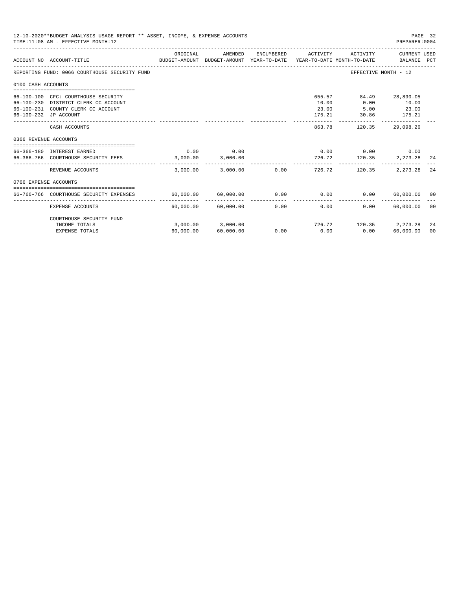|                       | 12-10-2020**BUDGET ANALYSIS USAGE REPORT ** ASSET, INCOME, & EXPENSE ACCOUNTS<br>PAGE 32<br>TIME: 11:08 AM - EFFECTIVE MONTH: 12<br>PREPARER: 0004<br>CURRENT USED<br>ORIGINAL<br>AMENDED<br>ENCUMBERED<br>ACTIVITY<br>ACTIVITY<br>BUDGET-AMOUNT BUDGET-AMOUNT YEAR-TO-DATE YEAR-TO-DATE MONTH-TO-DATE BALANCE PCT<br>ACCOUNT NO ACCOUNT-TITLE<br>REPORTING FUND: 0066 COURTHOUSE SECURITY FUND<br>EFFECTIVE MONTH - 12<br>0100 CASH ACCOUNTS<br>655.57<br>84.49 28,890.05<br>66-100-100 CFC: COURTHOUSE SECURITY<br>66-100-230 DISTRICT CLERK CC ACCOUNT<br>10.00<br>0.00<br>10.00<br>66-100-231 COUNTY CLERK CC ACCOUNT<br>23.00<br>5.00<br>23.00<br>30.86<br>175.21<br>66-100-232 JP ACCOUNT<br>175.21<br>CASH ACCOUNTS<br>863.78<br>120.35<br>29,098.26 |           |                         |                        |                       |                                       |                            |      |
|-----------------------|-------------------------------------------------------------------------------------------------------------------------------------------------------------------------------------------------------------------------------------------------------------------------------------------------------------------------------------------------------------------------------------------------------------------------------------------------------------------------------------------------------------------------------------------------------------------------------------------------------------------------------------------------------------------------------------------------------------------------------------------------------------|-----------|-------------------------|------------------------|-----------------------|---------------------------------------|----------------------------|------|
|                       |                                                                                                                                                                                                                                                                                                                                                                                                                                                                                                                                                                                                                                                                                                                                                             |           |                         |                        |                       |                                       |                            |      |
|                       |                                                                                                                                                                                                                                                                                                                                                                                                                                                                                                                                                                                                                                                                                                                                                             |           |                         |                        |                       |                                       |                            |      |
|                       |                                                                                                                                                                                                                                                                                                                                                                                                                                                                                                                                                                                                                                                                                                                                                             |           |                         |                        |                       |                                       |                            |      |
|                       |                                                                                                                                                                                                                                                                                                                                                                                                                                                                                                                                                                                                                                                                                                                                                             |           |                         |                        |                       |                                       |                            |      |
|                       |                                                                                                                                                                                                                                                                                                                                                                                                                                                                                                                                                                                                                                                                                                                                                             |           |                         |                        |                       |                                       |                            |      |
| 0366 REVENUE ACCOUNTS |                                                                                                                                                                                                                                                                                                                                                                                                                                                                                                                                                                                                                                                                                                                                                             |           |                         |                        |                       |                                       |                            |      |
|                       | 66-366-180 INTEREST EARNED<br>66-366-766 COURTHOUSE SECURITY FEES 3,000.00                                                                                                                                                                                                                                                                                                                                                                                                                                                                                                                                                                                                                                                                                  | 0.00      | 0.00<br>3,000.00        |                        | 726.72                | $0.00$ $0.00$ $0.00$ $0.00$<br>120.35 | 2,273.28 24                |      |
|                       | REVENUE ACCOUNTS                                                                                                                                                                                                                                                                                                                                                                                                                                                                                                                                                                                                                                                                                                                                            | 3.000.00  | 3,000.00                |                        | $0.00$ and $0.00$     | 726.72<br>120.35                      | 2, 273.28                  | 24   |
| 0766 EXPENSE ACCOUNTS |                                                                                                                                                                                                                                                                                                                                                                                                                                                                                                                                                                                                                                                                                                                                                             |           |                         |                        |                       |                                       |                            |      |
|                       | 66-766-766 COURTHOUSE SECURITY EXPENSES                                                                                                                                                                                                                                                                                                                                                                                                                                                                                                                                                                                                                                                                                                                     |           | 60,000.00 60,000.00     |                        | $0.00$ 0.00           | 0.00                                  | 60,000.00 00               |      |
|                       | EXPENSE ACCOUNTS                                                                                                                                                                                                                                                                                                                                                                                                                                                                                                                                                                                                                                                                                                                                            |           | $60,000.00$ $60,000.00$ | --------------<br>0.00 | -------------<br>0.00 | $0.00 -$                              | -------------<br>60,000.00 | - 00 |
|                       | COURTHOUSE SECURITY FUND                                                                                                                                                                                                                                                                                                                                                                                                                                                                                                                                                                                                                                                                                                                                    |           |                         |                        |                       |                                       |                            |      |
|                       | INCOME TOTALS                                                                                                                                                                                                                                                                                                                                                                                                                                                                                                                                                                                                                                                                                                                                               |           | 3,000.00 3,000.00       |                        | 726.72                |                                       | 120.35 2.273.28            | 24   |
|                       | <b>EXPENSE TOTALS</b>                                                                                                                                                                                                                                                                                                                                                                                                                                                                                                                                                                                                                                                                                                                                       | 60,000.00 | 60,000.00               | 0.00                   | 0.00                  | 0.00                                  | 60,000.00                  | 00   |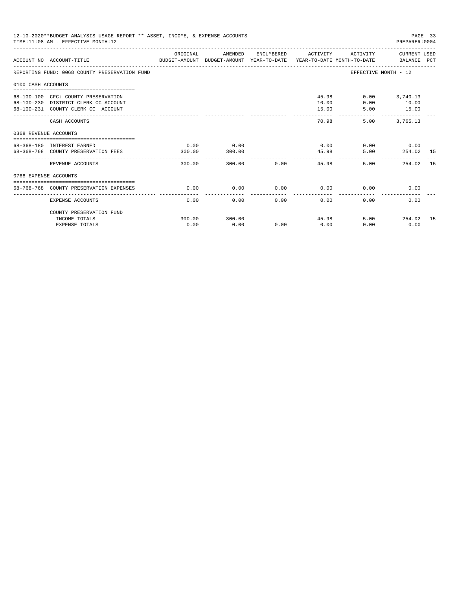|                       | 12-10-2020**BUDGET ANALYSIS USAGE REPORT ** ASSET, INCOME, & EXPENSE ACCOUNTS<br>PAGE 33<br>TIME: 11:08 AM - EFFECTIVE MONTH: 12<br>PREPARER:0004<br>ORIGINAL<br>ACTIVITY CURRENT USED<br>AMENDED<br>ENCUMBERED ACTIVITY |                |                |             |                           |                                       |                                                    |    |  |
|-----------------------|--------------------------------------------------------------------------------------------------------------------------------------------------------------------------------------------------------------------------|----------------|----------------|-------------|---------------------------|---------------------------------------|----------------------------------------------------|----|--|
|                       | ACCOUNT NO ACCOUNT-TITLE COMPUTE SUDGET-AMOUNT BUDGET-AMOUNT VEAR-TO-DATE VEAR-TO-DATE MONTH-TO-DATE BALANCE PCT                                                                                                         |                |                |             |                           |                                       |                                                    |    |  |
|                       | REPORTING FUND: 0068 COUNTY PRESERVATION FUND                                                                                                                                                                            |                |                |             |                           |                                       | EFFECTIVE MONTH - 12                               |    |  |
| 0100 CASH ACCOUNTS    |                                                                                                                                                                                                                          |                |                |             |                           |                                       |                                                    |    |  |
|                       | 68-100-100 CFC: COUNTY PRESERVATION<br>68-100-230 DISTRICT CLERK CC ACCOUNT<br>68-100-231 COUNTY CLERK CC ACCOUNT                                                                                                        |                |                |             | 10.00<br>15.00<br>------- | 45.98<br>0.00<br>5.00<br>------------ | $0.00$ 3,740.13<br>10.00<br>15.00<br>------------- |    |  |
|                       | CASH ACCOUNTS                                                                                                                                                                                                            |                |                |             | 70.98                     | 5.00                                  | 3,765.13                                           |    |  |
| 0368 REVENUE ACCOUNTS |                                                                                                                                                                                                                          |                |                |             |                           |                                       |                                                    |    |  |
|                       | 68-368-180 INTEREST EARNED<br>68-368-768 COUNTY PRESERVATION FEES                                                                                                                                                        | 0.00<br>300.00 | 0.00<br>300.00 |             | 0.00                      | 45.98                                 | $0.00$ 0.00<br>5.00 254.02 15                      |    |  |
|                       | REVENUE ACCOUNTS                                                                                                                                                                                                         | 300.00         | ------------   | 300.00 0.00 |                           | 5.00<br>45.98                         | -----------------------------<br>254.02            | 15 |  |
| 0768 EXPENSE ACCOUNTS |                                                                                                                                                                                                                          |                |                |             |                           |                                       |                                                    |    |  |
|                       | 68-768-768 COUNTY PRESERVATION EXPENSES                                                                                                                                                                                  | 0.00           | 0.00           | 0.00        | 0.00                      | 0.00                                  | 0.00                                               |    |  |
|                       | <b>EXPENSE ACCOUNTS</b>                                                                                                                                                                                                  | 0.00           | 0.00           | 0.00        | 0.00                      | 0.00                                  | 0.00                                               |    |  |
|                       | COUNTY PRESERVATION FUND                                                                                                                                                                                                 |                |                |             |                           |                                       |                                                    |    |  |
|                       | INCOME TOTALS                                                                                                                                                                                                            | 300.00         | 300.00         |             | 45.98                     |                                       | 5.00<br>254.02 15                                  |    |  |
|                       | <b>EXPENSE TOTALS</b>                                                                                                                                                                                                    | 0.00           | 0.00           | 0.00        | 0.00                      | 0.00                                  | 0.00                                               |    |  |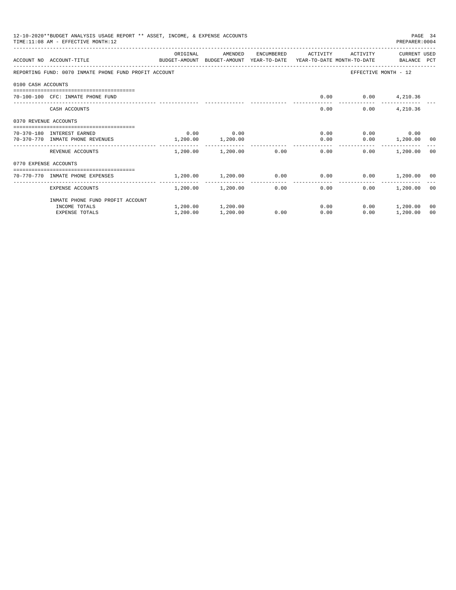|                       | 12-10-2020**BUDGET ANALYSIS USAGE REPORT ** ASSET, INCOME, & EXPENSE ACCOUNTS<br>PAGE 34<br>TIME: 11:08 AM - EFFECTIVE MONTH: 12<br>PREPARER: 0004<br>CURRENT USED |            |                   |            |                                                             |                          |                    |    |  |  |  |
|-----------------------|--------------------------------------------------------------------------------------------------------------------------------------------------------------------|------------|-------------------|------------|-------------------------------------------------------------|--------------------------|--------------------|----|--|--|--|
|                       | ACCOUNT NO ACCOUNT-TITLE<br>BUDGET-AMOUNT BUDGET-AMOUNT YEAR-TO-DATE YEAR-TO-DATE MONTH-TO-DATE   BALANCE PCT                                                      | ORIGINAL   | AMENDED           | ENCUMBERED | ACTIVITY                                                    | ACTIVITY                 |                    |    |  |  |  |
|                       | REPORTING FUND: 0070 INMATE PHONE FUND PROFIT ACCOUNT                                                                                                              |            |                   |            |                                                             | EFFECTIVE MONTH - 12     |                    |    |  |  |  |
|                       |                                                                                                                                                                    |            |                   |            |                                                             |                          |                    |    |  |  |  |
| 0100 CASH ACCOUNTS    |                                                                                                                                                                    |            |                   |            |                                                             |                          |                    |    |  |  |  |
|                       | 70-100-100 CFC: INMATE PHONE FUND                                                                                                                                  |            |                   |            |                                                             | $0.00$ $0.00$ $4,210.36$ |                    |    |  |  |  |
|                       | CASH ACCOUNTS                                                                                                                                                      |            |                   |            | 0.00                                                        | 0.00                     | 4,210.36           |    |  |  |  |
| 0370 REVENUE ACCOUNTS |                                                                                                                                                                    |            |                   |            |                                                             |                          |                    |    |  |  |  |
|                       | 70-370-180 INTEREST EARNED                                                                                                                                         | 0.00       | 0.00              |            | 0.00                                                        |                          | $0.00$ 0.00        |    |  |  |  |
|                       | 70-370-770 INMATE PHONE REVENUES                                                                                                                                   | 1, 200, 00 | 1,200.00          |            | 0.00                                                        |                          | $0.00$ 1,200.00 00 |    |  |  |  |
|                       | REVENUE ACCOUNTS                                                                                                                                                   |            |                   |            | $1,200.00$ $1,200.00$ $0.00$ $0.00$                         | 0.00                     | 1,200.00 00        |    |  |  |  |
| 0770 EXPENSE ACCOUNTS |                                                                                                                                                                    |            |                   |            |                                                             |                          |                    |    |  |  |  |
|                       | ----------------------------------<br>70-770-770 INMATE PHONE EXPENSES                                                                                             |            |                   |            | $1,200.00$ $1,200.00$ $0.00$ $0.00$ $0.00$ $1,200.00$ $0.0$ |                          |                    |    |  |  |  |
|                       | EXPENSE ACCOUNTS                                                                                                                                                   | --------   | 1,200.00 1,200.00 |            | -------------<br>0.00<br>0.00                               | 0.00                     | 1,200.00 00        |    |  |  |  |
|                       | INMATE PHONE FUND PROFIT ACCOUNT                                                                                                                                   |            |                   |            |                                                             |                          |                    |    |  |  |  |
|                       | INCOME TOTALS                                                                                                                                                      |            | 1,200.00 1,200.00 |            | 0.00                                                        |                          | $0.00$ 1,200.00    | 00 |  |  |  |
|                       | <b>EXPENSE TOTALS</b>                                                                                                                                              | 1,200.00   | 1,200.00          | 0.00       | 0.00                                                        | 0.00                     | 1,200.00           | 00 |  |  |  |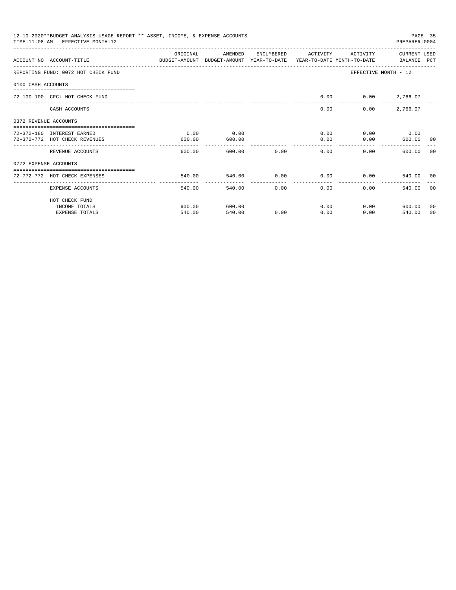|                       | 12-10-2020**BUDGET ANALYSIS USAGE REPORT ** ASSET, INCOME, & EXPENSE ACCOUNTS<br>TIME: 11:08 AM - EFFECTIVE MONTH: 12 |               |              |              |                |                      | PREPARER: 0004 | PAGE 35 |
|-----------------------|-----------------------------------------------------------------------------------------------------------------------|---------------|--------------|--------------|----------------|----------------------|----------------|---------|
|                       |                                                                                                                       | ORIGINAL      | AMENDED      | ENCUMBERED   | ACTIVITY       | ACTIVITY             | CURRENT USED   |         |
|                       | ACCOUNT NO ACCOUNT-TITLE COMPUTER ANOUNT BUDGET-AMOUNT HEAR-TO-DATE YEAR-TO-DATE MONTH-TO-DATE BALANCE PCT            |               |              |              |                |                      |                |         |
|                       | REPORTING FUND: 0072 HOT CHECK FUND                                                                                   |               |              |              |                | EFFECTIVE MONTH - 12 |                |         |
| 0100 CASH ACCOUNTS    |                                                                                                                       |               |              |              |                |                      |                |         |
|                       | 72-100-100 CFC: HOT CHECK FUND                                                                                        |               |              |              | 0.00           | $0.00$ 2,766.07      |                |         |
|                       | CASH ACCOUNTS                                                                                                         |               |              |              | 0.00           | 0.00                 | 2,766.07       |         |
| 0372 REVENUE ACCOUNTS |                                                                                                                       |               |              |              |                |                      |                |         |
|                       | 72-372-180 INTEREST EARNED                                                                                            | 0.00          | 0.00         |              | 0.00           |                      | $0.00$ 0.00    |         |
|                       | 72-372-772 HOT CHECK REVENUES                                                                                         | 600.00        | 600.00       |              | 0.00           | 0.00                 | 600.00 00      |         |
|                       | REVENUE ACCOUNTS                                                                                                      | 600.00        |              | 600.00 0.00  | 0.00           | 0.00                 | 600.00         | ററ      |
| 0772 EXPENSE ACCOUNTS |                                                                                                                       |               |              |              |                |                      |                |         |
|                       | =================================<br>72-772-772 HOT CHECK EXPENSES                                                    | 540.00        | 540.00       |              | $0.00$ 0.00    | $0.00$ and $0.00$    | 540.00 00      |         |
|                       |                                                                                                                       | ------------- | ------------ | ------------ | -------------- |                      |                |         |
|                       | EXPENSE ACCOUNTS                                                                                                      | 540.00        | 540.00       |              | 0.00<br>0.00   | 0.00                 | 540.00         | - 0.0   |
|                       | HOT CHECK FUND                                                                                                        |               |              |              |                |                      |                |         |
|                       | INCOME TOTALS                                                                                                         | 600.00        | 600.00       |              | 0.00           | 0.00                 | 600.00         | 00      |
|                       | <b>EXPENSE TOTALS</b>                                                                                                 | 540.00        | 540.00       | 0.00         | 0.00           | 0.00                 | 540.00         | 00      |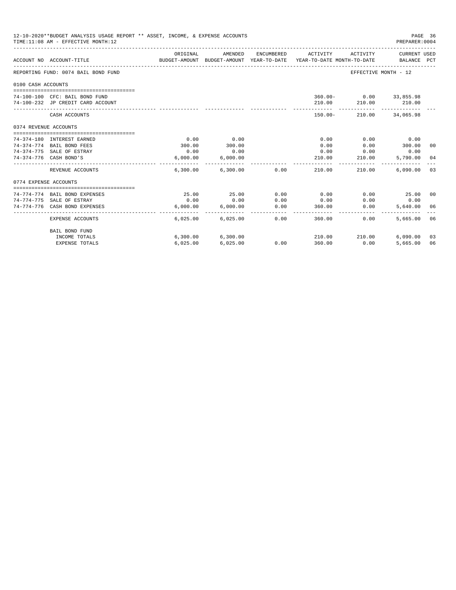|                       | 12-10-2020**BUDGET ANALYSIS USAGE REPORT ** ASSET, INCOME, & EXPENSE ACCOUNTS<br>PAGE 36<br>PREPARER: 0004<br>TIME:11:08 AM - EFFECTIVE MONTH:12<br>ORIGINAL<br>AMENDED<br>ENCUMBERED<br>ACTIVITY<br>ACTIVITY<br>CURRENT USED<br>BUDGET-AMOUNT BUDGET-AMOUNT YEAR-TO-DATE YEAR-TO-DATE MONTH-TO-DATE<br>ACCOUNT NO ACCOUNT-TITLE<br>BALANCE PCT<br>REPORTING FUND: 0074 BAIL BOND FUND<br>EFFECTIVE MONTH - 12<br>0100 CASH ACCOUNTS<br>360.00- 0.00 33,855.98<br>74-100-100 CFC: BAIL BOND FUND<br>210.00 210.00 210.00<br>74-100-232 JP CREDIT CARD ACCOUNT<br>$150.00 -$<br>210.00 34,065.98<br>CASH ACCOUNTS<br>0374 REVENUE ACCOUNTS<br>0.00<br>0.00<br>0.00<br>0.00<br>0.00<br>74-374-180 INTEREST EARNED<br>300.00<br>300.00<br>74-374-774 BAIL BOND FEES<br>300.00<br>0.00<br>0.00<br>00<br>0.00<br>74-374-775 SALE OF ESTRAY<br>0.00<br>0.00<br>0.00<br>0.00<br>74-374-776 CASH BOND'S<br>6.000.00<br>6.000.00<br>210.00<br>210.00<br>5,790.00 04 |                        |                            |                 |                      |                                   |               |     |
|-----------------------|------------------------------------------------------------------------------------------------------------------------------------------------------------------------------------------------------------------------------------------------------------------------------------------------------------------------------------------------------------------------------------------------------------------------------------------------------------------------------------------------------------------------------------------------------------------------------------------------------------------------------------------------------------------------------------------------------------------------------------------------------------------------------------------------------------------------------------------------------------------------------------------------------------------------------------------------------------|------------------------|----------------------------|-----------------|----------------------|-----------------------------------|---------------|-----|
|                       |                                                                                                                                                                                                                                                                                                                                                                                                                                                                                                                                                                                                                                                                                                                                                                                                                                                                                                                                                            |                        |                            |                 |                      |                                   |               |     |
|                       |                                                                                                                                                                                                                                                                                                                                                                                                                                                                                                                                                                                                                                                                                                                                                                                                                                                                                                                                                            |                        |                            |                 |                      |                                   |               |     |
|                       |                                                                                                                                                                                                                                                                                                                                                                                                                                                                                                                                                                                                                                                                                                                                                                                                                                                                                                                                                            |                        |                            |                 |                      |                                   |               |     |
|                       |                                                                                                                                                                                                                                                                                                                                                                                                                                                                                                                                                                                                                                                                                                                                                                                                                                                                                                                                                            |                        |                            |                 |                      |                                   |               |     |
|                       |                                                                                                                                                                                                                                                                                                                                                                                                                                                                                                                                                                                                                                                                                                                                                                                                                                                                                                                                                            |                        |                            |                 |                      |                                   |               |     |
|                       |                                                                                                                                                                                                                                                                                                                                                                                                                                                                                                                                                                                                                                                                                                                                                                                                                                                                                                                                                            |                        |                            |                 |                      |                                   |               |     |
|                       |                                                                                                                                                                                                                                                                                                                                                                                                                                                                                                                                                                                                                                                                                                                                                                                                                                                                                                                                                            |                        |                            |                 |                      |                                   |               |     |
|                       |                                                                                                                                                                                                                                                                                                                                                                                                                                                                                                                                                                                                                                                                                                                                                                                                                                                                                                                                                            |                        |                            |                 |                      |                                   |               |     |
|                       |                                                                                                                                                                                                                                                                                                                                                                                                                                                                                                                                                                                                                                                                                                                                                                                                                                                                                                                                                            |                        |                            |                 |                      |                                   |               |     |
|                       |                                                                                                                                                                                                                                                                                                                                                                                                                                                                                                                                                                                                                                                                                                                                                                                                                                                                                                                                                            |                        |                            |                 |                      |                                   |               |     |
|                       |                                                                                                                                                                                                                                                                                                                                                                                                                                                                                                                                                                                                                                                                                                                                                                                                                                                                                                                                                            |                        |                            |                 |                      |                                   |               |     |
|                       |                                                                                                                                                                                                                                                                                                                                                                                                                                                                                                                                                                                                                                                                                                                                                                                                                                                                                                                                                            |                        |                            |                 |                      |                                   |               |     |
|                       |                                                                                                                                                                                                                                                                                                                                                                                                                                                                                                                                                                                                                                                                                                                                                                                                                                                                                                                                                            |                        | -------------              |                 | ---------            | _________________________________ |               |     |
|                       | REVENUE ACCOUNTS                                                                                                                                                                                                                                                                                                                                                                                                                                                                                                                                                                                                                                                                                                                                                                                                                                                                                                                                           |                        | 6,300.00 6,300.00 0.00     |                 | 210.00               | 210.00                            | 6.090.00      | 0.3 |
| 0774 EXPENSE ACCOUNTS |                                                                                                                                                                                                                                                                                                                                                                                                                                                                                                                                                                                                                                                                                                                                                                                                                                                                                                                                                            |                        |                            |                 |                      |                                   |               |     |
|                       |                                                                                                                                                                                                                                                                                                                                                                                                                                                                                                                                                                                                                                                                                                                                                                                                                                                                                                                                                            |                        |                            |                 |                      |                                   |               |     |
|                       | 74-774-774 BAIL BOND EXPENSES                                                                                                                                                                                                                                                                                                                                                                                                                                                                                                                                                                                                                                                                                                                                                                                                                                                                                                                              | 25.00                  | 25.00                      | 0.00            | 0.00                 | 0.00                              | 25.00 00      |     |
|                       | 74-774-775 SALE OF ESTRAY                                                                                                                                                                                                                                                                                                                                                                                                                                                                                                                                                                                                                                                                                                                                                                                                                                                                                                                                  | 0.00                   | 0.00                       | 0.00            | 0.00                 | 0.00                              | 0.00          |     |
|                       | 74-774-776 CASH BOND EXPENSES                                                                                                                                                                                                                                                                                                                                                                                                                                                                                                                                                                                                                                                                                                                                                                                                                                                                                                                              | 6.000.00<br>---------- | 6.000.00<br>-------------- | 0.00<br>------- | 360.00<br>---------- | 0.00                              | 5,640,00 06   |     |
|                       | <b>EXPENSE ACCOUNTS</b>                                                                                                                                                                                                                                                                                                                                                                                                                                                                                                                                                                                                                                                                                                                                                                                                                                                                                                                                    | 6.025.00               | 6,025.00                   | 0.00            | 360.00               | 0.00                              | 5,665.00      | 06  |
|                       | BAIL BOND FUND                                                                                                                                                                                                                                                                                                                                                                                                                                                                                                                                                                                                                                                                                                                                                                                                                                                                                                                                             |                        |                            |                 |                      |                                   |               |     |
|                       | INCOME TOTALS                                                                                                                                                                                                                                                                                                                                                                                                                                                                                                                                                                                                                                                                                                                                                                                                                                                                                                                                              |                        | 6,300.00 6,300.00          |                 |                      | 210.00 210.00                     | $6,090.00$ 03 |     |
|                       | <b>EXPENSE TOTALS</b>                                                                                                                                                                                                                                                                                                                                                                                                                                                                                                                                                                                                                                                                                                                                                                                                                                                                                                                                      | 6,025.00               | 6,025.00                   | 0.00            | 360.00               | 0.00                              | 5,665.00      | 06  |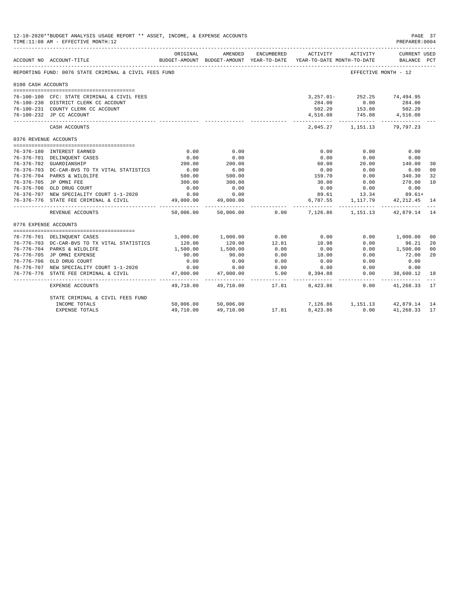| 12-10-2020**BUDGET ANALYSIS USAGE REPORT ** ASSET, INCOME, & EXPENSE ACCOUNTS<br>PAGE 37<br>TIME: 11:08 AM - EFFECTIVE MONTH: 12<br>PREPARER: 0004<br>ENCUMBERED<br>ORIGINAL<br>AMENDED<br>ACTIVITY<br>ACTIVITY<br>CURRENT USED<br>BUDGET-AMOUNT BUDGET-AMOUNT YEAR-TO-DATE<br>YEAR-TO-DATE MONTH-TO-DATE<br>BALANCE PCT<br>ACCOUNT NO ACCOUNT-TITLE<br>REPORTING FUND: 0076 STATE CRIMINAL & CIVIL FEES FUND<br>EFFECTIVE MONTH - 12<br>0100 CASH ACCOUNTS<br>3, 257.01-252.25 74, 494.95<br>76-100-100 CFC: STATE CRIMINAL & CIVIL FEES<br>284.00 0.00<br>284.00<br>76-100-230 DISTRICT CLERK CC ACCOUNT<br>153.80 502.20<br>745.08 4,516.08<br>76-100-231 COUNTY CLERK CC ACCOUNT<br>502.20<br>76-100-232 JP CC ACCOUNT<br>4,516.08<br>2,045.27 1,151.13 79,797.23<br>CASH ACCOUNTS<br>0376 REVENUE ACCOUNTS<br>76-376-180 INTEREST EARNED<br>0.00<br>0.00<br>0.00<br>0.00<br>0.00<br>0.00<br>0.00<br>76-376-701 DELINQUENT CASES<br>0.00<br>0.00<br>0.00<br>140.00<br>200.00<br>76-376-702 GUARDIANSHIP<br>200.00<br>60.00<br>20.00<br>$6.00$<br>500.00<br>$500$<br>5.00<br>76-376-703 DC-CAR-BVS TO TX VITAL STATISTICS<br>0.00<br>0.00<br>6.00<br>340.30<br>159.70<br>76-376-704 PARKS & WILDLIFE<br>0.00<br>76-376-705 JP OMNI FEE<br>300.00<br>300.00<br>30.00<br>0.00<br>270.00<br>0.00<br>0.00<br>0.00<br>76-376-706 OLD DRUG COURT<br>0.00<br>0.00<br>89.61 13.34 89.61+<br>0.00<br>76-376-707 NEW SPECIALITY COURT 1-1-2020<br>0.00<br>1, 117.79 42, 212.45<br>6,787.55<br>76-376-776 STATE FEE CRIMINAL & CIVIL<br>49,000.00<br>49,000.00<br>.<br>50,006.00 0.00<br>7,126.86 1,151.13 42,879.14<br>50,006.00<br>REVENUE ACCOUNTS<br>0776 EXPENSE ACCOUNTS<br>0.00<br>0.00<br>1,000.00<br>0.00<br>76-776-701 DELINOUENT CASES<br>1,000.00<br>1,000.00<br>10.98<br>12.81<br>76-776-703 DC-CAR-BVS TO TX VITAL STATISTICS<br>120.00<br>120.00<br>0.00<br>96.21<br>76-776-704 PARKS & WILDLIFE<br>1,500.00<br>1,500.00<br>0.00<br>0.00<br>0.00<br>1,500.00<br>18.00<br>76-776-705 JP OMNI EXPENSE<br>0.00<br>90.00<br>90.00<br>0.00<br>72.00<br>76-776-706 OLD DRUG COURT<br>0.00<br>0.00<br>0.00<br>0.00<br>0.00<br>0.00<br>76-776-707 NEW SPECIALITY COURT 1-1-2020<br>0.00<br>0.00<br>0.00<br>0.00<br>0.00<br>0.00 |                                       |           |                |                          |                         |                                |                           |          |
|--------------------------------------------------------------------------------------------------------------------------------------------------------------------------------------------------------------------------------------------------------------------------------------------------------------------------------------------------------------------------------------------------------------------------------------------------------------------------------------------------------------------------------------------------------------------------------------------------------------------------------------------------------------------------------------------------------------------------------------------------------------------------------------------------------------------------------------------------------------------------------------------------------------------------------------------------------------------------------------------------------------------------------------------------------------------------------------------------------------------------------------------------------------------------------------------------------------------------------------------------------------------------------------------------------------------------------------------------------------------------------------------------------------------------------------------------------------------------------------------------------------------------------------------------------------------------------------------------------------------------------------------------------------------------------------------------------------------------------------------------------------------------------------------------------------------------------------------------------------------------------------------------------------------------------------------------------------------------------------------------------------------------------------------------------------------------------------------------------------------------------------------------------------------------------------------------------------------------------|---------------------------------------|-----------|----------------|--------------------------|-------------------------|--------------------------------|---------------------------|----------|
|                                                                                                                                                                                                                                                                                                                                                                                                                                                                                                                                                                                                                                                                                                                                                                                                                                                                                                                                                                                                                                                                                                                                                                                                                                                                                                                                                                                                                                                                                                                                                                                                                                                                                                                                                                                                                                                                                                                                                                                                                                                                                                                                                                                                                                |                                       |           |                |                          |                         |                                |                           |          |
|                                                                                                                                                                                                                                                                                                                                                                                                                                                                                                                                                                                                                                                                                                                                                                                                                                                                                                                                                                                                                                                                                                                                                                                                                                                                                                                                                                                                                                                                                                                                                                                                                                                                                                                                                                                                                                                                                                                                                                                                                                                                                                                                                                                                                                |                                       |           |                |                          |                         |                                |                           |          |
|                                                                                                                                                                                                                                                                                                                                                                                                                                                                                                                                                                                                                                                                                                                                                                                                                                                                                                                                                                                                                                                                                                                                                                                                                                                                                                                                                                                                                                                                                                                                                                                                                                                                                                                                                                                                                                                                                                                                                                                                                                                                                                                                                                                                                                |                                       |           |                |                          |                         |                                |                           |          |
|                                                                                                                                                                                                                                                                                                                                                                                                                                                                                                                                                                                                                                                                                                                                                                                                                                                                                                                                                                                                                                                                                                                                                                                                                                                                                                                                                                                                                                                                                                                                                                                                                                                                                                                                                                                                                                                                                                                                                                                                                                                                                                                                                                                                                                |                                       |           |                |                          |                         |                                |                           |          |
|                                                                                                                                                                                                                                                                                                                                                                                                                                                                                                                                                                                                                                                                                                                                                                                                                                                                                                                                                                                                                                                                                                                                                                                                                                                                                                                                                                                                                                                                                                                                                                                                                                                                                                                                                                                                                                                                                                                                                                                                                                                                                                                                                                                                                                |                                       |           |                |                          |                         |                                |                           |          |
|                                                                                                                                                                                                                                                                                                                                                                                                                                                                                                                                                                                                                                                                                                                                                                                                                                                                                                                                                                                                                                                                                                                                                                                                                                                                                                                                                                                                                                                                                                                                                                                                                                                                                                                                                                                                                                                                                                                                                                                                                                                                                                                                                                                                                                |                                       |           |                |                          |                         |                                |                           |          |
|                                                                                                                                                                                                                                                                                                                                                                                                                                                                                                                                                                                                                                                                                                                                                                                                                                                                                                                                                                                                                                                                                                                                                                                                                                                                                                                                                                                                                                                                                                                                                                                                                                                                                                                                                                                                                                                                                                                                                                                                                                                                                                                                                                                                                                |                                       |           |                |                          |                         |                                |                           |          |
|                                                                                                                                                                                                                                                                                                                                                                                                                                                                                                                                                                                                                                                                                                                                                                                                                                                                                                                                                                                                                                                                                                                                                                                                                                                                                                                                                                                                                                                                                                                                                                                                                                                                                                                                                                                                                                                                                                                                                                                                                                                                                                                                                                                                                                |                                       |           |                |                          |                         |                                |                           |          |
|                                                                                                                                                                                                                                                                                                                                                                                                                                                                                                                                                                                                                                                                                                                                                                                                                                                                                                                                                                                                                                                                                                                                                                                                                                                                                                                                                                                                                                                                                                                                                                                                                                                                                                                                                                                                                                                                                                                                                                                                                                                                                                                                                                                                                                |                                       |           |                |                          |                         |                                |                           |          |
|                                                                                                                                                                                                                                                                                                                                                                                                                                                                                                                                                                                                                                                                                                                                                                                                                                                                                                                                                                                                                                                                                                                                                                                                                                                                                                                                                                                                                                                                                                                                                                                                                                                                                                                                                                                                                                                                                                                                                                                                                                                                                                                                                                                                                                |                                       |           |                |                          |                         |                                |                           |          |
|                                                                                                                                                                                                                                                                                                                                                                                                                                                                                                                                                                                                                                                                                                                                                                                                                                                                                                                                                                                                                                                                                                                                                                                                                                                                                                                                                                                                                                                                                                                                                                                                                                                                                                                                                                                                                                                                                                                                                                                                                                                                                                                                                                                                                                |                                       |           |                |                          |                         |                                |                           |          |
|                                                                                                                                                                                                                                                                                                                                                                                                                                                                                                                                                                                                                                                                                                                                                                                                                                                                                                                                                                                                                                                                                                                                                                                                                                                                                                                                                                                                                                                                                                                                                                                                                                                                                                                                                                                                                                                                                                                                                                                                                                                                                                                                                                                                                                |                                       |           |                |                          |                         |                                |                           |          |
|                                                                                                                                                                                                                                                                                                                                                                                                                                                                                                                                                                                                                                                                                                                                                                                                                                                                                                                                                                                                                                                                                                                                                                                                                                                                                                                                                                                                                                                                                                                                                                                                                                                                                                                                                                                                                                                                                                                                                                                                                                                                                                                                                                                                                                |                                       |           |                |                          |                         |                                |                           | 30       |
|                                                                                                                                                                                                                                                                                                                                                                                                                                                                                                                                                                                                                                                                                                                                                                                                                                                                                                                                                                                                                                                                                                                                                                                                                                                                                                                                                                                                                                                                                                                                                                                                                                                                                                                                                                                                                                                                                                                                                                                                                                                                                                                                                                                                                                |                                       |           |                |                          |                         |                                |                           | 00       |
|                                                                                                                                                                                                                                                                                                                                                                                                                                                                                                                                                                                                                                                                                                                                                                                                                                                                                                                                                                                                                                                                                                                                                                                                                                                                                                                                                                                                                                                                                                                                                                                                                                                                                                                                                                                                                                                                                                                                                                                                                                                                                                                                                                                                                                |                                       |           |                |                          |                         |                                |                           | 32       |
|                                                                                                                                                                                                                                                                                                                                                                                                                                                                                                                                                                                                                                                                                                                                                                                                                                                                                                                                                                                                                                                                                                                                                                                                                                                                                                                                                                                                                                                                                                                                                                                                                                                                                                                                                                                                                                                                                                                                                                                                                                                                                                                                                                                                                                |                                       |           |                |                          |                         |                                |                           | 10       |
|                                                                                                                                                                                                                                                                                                                                                                                                                                                                                                                                                                                                                                                                                                                                                                                                                                                                                                                                                                                                                                                                                                                                                                                                                                                                                                                                                                                                                                                                                                                                                                                                                                                                                                                                                                                                                                                                                                                                                                                                                                                                                                                                                                                                                                |                                       |           |                |                          |                         |                                |                           |          |
|                                                                                                                                                                                                                                                                                                                                                                                                                                                                                                                                                                                                                                                                                                                                                                                                                                                                                                                                                                                                                                                                                                                                                                                                                                                                                                                                                                                                                                                                                                                                                                                                                                                                                                                                                                                                                                                                                                                                                                                                                                                                                                                                                                                                                                |                                       |           |                |                          |                         |                                |                           |          |
|                                                                                                                                                                                                                                                                                                                                                                                                                                                                                                                                                                                                                                                                                                                                                                                                                                                                                                                                                                                                                                                                                                                                                                                                                                                                                                                                                                                                                                                                                                                                                                                                                                                                                                                                                                                                                                                                                                                                                                                                                                                                                                                                                                                                                                |                                       |           |                |                          |                         |                                |                           | 14       |
|                                                                                                                                                                                                                                                                                                                                                                                                                                                                                                                                                                                                                                                                                                                                                                                                                                                                                                                                                                                                                                                                                                                                                                                                                                                                                                                                                                                                                                                                                                                                                                                                                                                                                                                                                                                                                                                                                                                                                                                                                                                                                                                                                                                                                                |                                       |           |                |                          |                         |                                |                           | 14       |
|                                                                                                                                                                                                                                                                                                                                                                                                                                                                                                                                                                                                                                                                                                                                                                                                                                                                                                                                                                                                                                                                                                                                                                                                                                                                                                                                                                                                                                                                                                                                                                                                                                                                                                                                                                                                                                                                                                                                                                                                                                                                                                                                                                                                                                |                                       |           |                |                          |                         |                                |                           |          |
|                                                                                                                                                                                                                                                                                                                                                                                                                                                                                                                                                                                                                                                                                                                                                                                                                                                                                                                                                                                                                                                                                                                                                                                                                                                                                                                                                                                                                                                                                                                                                                                                                                                                                                                                                                                                                                                                                                                                                                                                                                                                                                                                                                                                                                |                                       |           |                |                          |                         |                                |                           |          |
|                                                                                                                                                                                                                                                                                                                                                                                                                                                                                                                                                                                                                                                                                                                                                                                                                                                                                                                                                                                                                                                                                                                                                                                                                                                                                                                                                                                                                                                                                                                                                                                                                                                                                                                                                                                                                                                                                                                                                                                                                                                                                                                                                                                                                                |                                       |           |                |                          |                         |                                |                           | 00<br>20 |
|                                                                                                                                                                                                                                                                                                                                                                                                                                                                                                                                                                                                                                                                                                                                                                                                                                                                                                                                                                                                                                                                                                                                                                                                                                                                                                                                                                                                                                                                                                                                                                                                                                                                                                                                                                                                                                                                                                                                                                                                                                                                                                                                                                                                                                |                                       |           |                |                          |                         |                                |                           | 00       |
|                                                                                                                                                                                                                                                                                                                                                                                                                                                                                                                                                                                                                                                                                                                                                                                                                                                                                                                                                                                                                                                                                                                                                                                                                                                                                                                                                                                                                                                                                                                                                                                                                                                                                                                                                                                                                                                                                                                                                                                                                                                                                                                                                                                                                                |                                       |           |                |                          |                         |                                |                           | 20       |
|                                                                                                                                                                                                                                                                                                                                                                                                                                                                                                                                                                                                                                                                                                                                                                                                                                                                                                                                                                                                                                                                                                                                                                                                                                                                                                                                                                                                                                                                                                                                                                                                                                                                                                                                                                                                                                                                                                                                                                                                                                                                                                                                                                                                                                |                                       |           |                |                          |                         |                                |                           |          |
|                                                                                                                                                                                                                                                                                                                                                                                                                                                                                                                                                                                                                                                                                                                                                                                                                                                                                                                                                                                                                                                                                                                                                                                                                                                                                                                                                                                                                                                                                                                                                                                                                                                                                                                                                                                                                                                                                                                                                                                                                                                                                                                                                                                                                                |                                       |           |                |                          |                         |                                |                           |          |
|                                                                                                                                                                                                                                                                                                                                                                                                                                                                                                                                                                                                                                                                                                                                                                                                                                                                                                                                                                                                                                                                                                                                                                                                                                                                                                                                                                                                                                                                                                                                                                                                                                                                                                                                                                                                                                                                                                                                                                                                                                                                                                                                                                                                                                | 76-776-776 STATE FEE CRIMINAL & CIVIL | 47,000.00 | 47,000.00      | 5.00                     | 8,394.88                | 0.00                           | 38,600.12                 | 18       |
|                                                                                                                                                                                                                                                                                                                                                                                                                                                                                                                                                                                                                                                                                                                                                                                                                                                                                                                                                                                                                                                                                                                                                                                                                                                                                                                                                                                                                                                                                                                                                                                                                                                                                                                                                                                                                                                                                                                                                                                                                                                                                                                                                                                                                                | EXPENSE ACCOUNTS                      | 49,710.00 | .<br>49,710.00 | _______________<br>17.81 | ___________<br>8,423.86 | ---------<br>0.00              | ------------<br>41,268.33 | 17       |
|                                                                                                                                                                                                                                                                                                                                                                                                                                                                                                                                                                                                                                                                                                                                                                                                                                                                                                                                                                                                                                                                                                                                                                                                                                                                                                                                                                                                                                                                                                                                                                                                                                                                                                                                                                                                                                                                                                                                                                                                                                                                                                                                                                                                                                | STATE CRIMINAL & CIVIL FEES FUND      |           |                |                          |                         |                                |                           |          |
|                                                                                                                                                                                                                                                                                                                                                                                                                                                                                                                                                                                                                                                                                                                                                                                                                                                                                                                                                                                                                                                                                                                                                                                                                                                                                                                                                                                                                                                                                                                                                                                                                                                                                                                                                                                                                                                                                                                                                                                                                                                                                                                                                                                                                                | INCOME TOTALS                         | 50,006.00 | 50,006.00      |                          |                         | 7,126.86 1,151.13 42,879.14 14 |                           |          |
|                                                                                                                                                                                                                                                                                                                                                                                                                                                                                                                                                                                                                                                                                                                                                                                                                                                                                                                                                                                                                                                                                                                                                                                                                                                                                                                                                                                                                                                                                                                                                                                                                                                                                                                                                                                                                                                                                                                                                                                                                                                                                                                                                                                                                                | <b>EXPENSE TOTALS</b>                 | 49,710.00 | 49,710.00      | 17.81                    | 8,423.86                | 0.00                           | 41,268.33                 | -17      |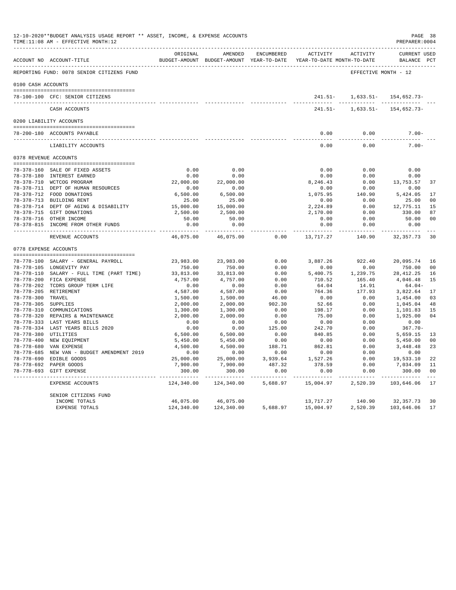|                     | 12-10-2020**BUDGET ANALYSIS USAGE REPORT ** ASSET, INCOME, & EXPENSE ACCOUNTS<br>TIME:11:08 AM - EFFECTIVE MONTH:12 |                              |                                                                                |                                                                                                                                                                                                                                                                                                                                                                                                      |                                                                                                                                                                                                                                                                                                                                                                                                           |                         | PREPARER: 0004                     | PAGE 38        |
|---------------------|---------------------------------------------------------------------------------------------------------------------|------------------------------|--------------------------------------------------------------------------------|------------------------------------------------------------------------------------------------------------------------------------------------------------------------------------------------------------------------------------------------------------------------------------------------------------------------------------------------------------------------------------------------------|-----------------------------------------------------------------------------------------------------------------------------------------------------------------------------------------------------------------------------------------------------------------------------------------------------------------------------------------------------------------------------------------------------------|-------------------------|------------------------------------|----------------|
|                     | ACCOUNT NO ACCOUNT-TITLE                                                                                            | ORIGINAL                     | AMENDED<br>BUDGET-AMOUNT BUDGET-AMOUNT YEAR-TO-DATE YEAR-TO-DATE MONTH-TO-DATE | ENCUMBERED                                                                                                                                                                                                                                                                                                                                                                                           |                                                                                                                                                                                                                                                                                                                                                                                                           | ACTIVITY ACTIVITY       | <b>CURRENT USED</b><br>BALANCE PCT |                |
|                     | REPORTING FUND: 0078 SENIOR CITIZENS FUND                                                                           |                              |                                                                                |                                                                                                                                                                                                                                                                                                                                                                                                      |                                                                                                                                                                                                                                                                                                                                                                                                           | EFFECTIVE MONTH - 12    |                                    |                |
| 0100 CASH ACCOUNTS  |                                                                                                                     |                              |                                                                                |                                                                                                                                                                                                                                                                                                                                                                                                      |                                                                                                                                                                                                                                                                                                                                                                                                           |                         |                                    |                |
|                     | 78-100-100 CFC: SENIOR CITIZENS                                                                                     |                              |                                                                                |                                                                                                                                                                                                                                                                                                                                                                                                      | $241.51-$                                                                                                                                                                                                                                                                                                                                                                                                 |                         | $1,633.51 - 154,652.73 -$          |                |
|                     | CASH ACCOUNTS                                                                                                       |                              |                                                                                |                                                                                                                                                                                                                                                                                                                                                                                                      | $241.51 -$                                                                                                                                                                                                                                                                                                                                                                                                | $1.633.51-$             | 154,652.73-                        |                |
|                     |                                                                                                                     |                              |                                                                                |                                                                                                                                                                                                                                                                                                                                                                                                      |                                                                                                                                                                                                                                                                                                                                                                                                           |                         |                                    |                |
|                     | 0200 LIABILITY ACCOUNTS                                                                                             |                              |                                                                                |                                                                                                                                                                                                                                                                                                                                                                                                      |                                                                                                                                                                                                                                                                                                                                                                                                           |                         |                                    |                |
|                     | 78-200-180 ACCOUNTS PAYABLE                                                                                         |                              |                                                                                |                                                                                                                                                                                                                                                                                                                                                                                                      | 0.00<br>----------                                                                                                                                                                                                                                                                                                                                                                                        | 0.00<br>-----------     | $7.00 -$<br>-----------            |                |
|                     | LIABILITY ACCOUNTS                                                                                                  |                              |                                                                                |                                                                                                                                                                                                                                                                                                                                                                                                      | 0.00                                                                                                                                                                                                                                                                                                                                                                                                      | 0.00                    | $7.00 -$                           |                |
|                     | 0378 REVENUE ACCOUNTS                                                                                               |                              |                                                                                |                                                                                                                                                                                                                                                                                                                                                                                                      |                                                                                                                                                                                                                                                                                                                                                                                                           |                         |                                    |                |
|                     | 78-378-160 SALE OF FIXED ASSETS                                                                                     | 0.00                         | 0.00                                                                           |                                                                                                                                                                                                                                                                                                                                                                                                      | 0.00                                                                                                                                                                                                                                                                                                                                                                                                      | 0.00                    | 0.00                               |                |
|                     | 78-378-180 INTEREST EARNED                                                                                          | 0.00                         | 0.00                                                                           |                                                                                                                                                                                                                                                                                                                                                                                                      | 0.00                                                                                                                                                                                                                                                                                                                                                                                                      | 0.00                    | 0.00                               |                |
|                     | 78-378-710 WCTCOG PROGRAM                                                                                           | 22,000.00                    | 22,000.00                                                                      |                                                                                                                                                                                                                                                                                                                                                                                                      | 8,246.43                                                                                                                                                                                                                                                                                                                                                                                                  | 0.00                    | 13,753.57                          | 37             |
|                     | 78-378-711 DEPT OF HUMAN RESOURCES                                                                                  | 0.00                         | 0.00                                                                           |                                                                                                                                                                                                                                                                                                                                                                                                      | 0.00                                                                                                                                                                                                                                                                                                                                                                                                      | 0.00                    | 0.00                               |                |
|                     | 78-378-712 FOOD DONATIONS                                                                                           | 6,500.00                     | 6,500.00                                                                       |                                                                                                                                                                                                                                                                                                                                                                                                      | 1,075.95                                                                                                                                                                                                                                                                                                                                                                                                  | 140.90                  | 5,424.05                           | 17             |
|                     | 78-378-713 BUILDING RENT                                                                                            | 25.00                        | 25.00                                                                          |                                                                                                                                                                                                                                                                                                                                                                                                      | 0.00                                                                                                                                                                                                                                                                                                                                                                                                      | 0.00                    | 25.00                              | 0 <sup>0</sup> |
|                     | 78-378-714 DEPT OF AGING & DISABILITY                                                                               | 15,000.00                    | 15,000.00                                                                      |                                                                                                                                                                                                                                                                                                                                                                                                      | 2,224.89                                                                                                                                                                                                                                                                                                                                                                                                  | 0.00                    | 12,775.11                          | 15             |
|                     | 78-378-715 GIFT DONATIONS                                                                                           | 2,500.00                     | 2,500.00                                                                       |                                                                                                                                                                                                                                                                                                                                                                                                      | 2,170.00                                                                                                                                                                                                                                                                                                                                                                                                  | 0.00                    | 330.00                             | 87             |
|                     | 78-378-716 OTHER INCOME                                                                                             | 50.00                        | 50.00                                                                          |                                                                                                                                                                                                                                                                                                                                                                                                      | 0.00                                                                                                                                                                                                                                                                                                                                                                                                      | 0.00                    | 50.00                              | 0 <sup>0</sup> |
|                     | 78-378-815 INCOME FROM OTHER FUNDS                                                                                  | 0.00                         | 0.00                                                                           |                                                                                                                                                                                                                                                                                                                                                                                                      | 0.00                                                                                                                                                                                                                                                                                                                                                                                                      | 0.00                    | 0.00                               |                |
|                     | ___________________________<br>REVENUE ACCOUNTS                                                                     | . _ _ _ _ _ _ _<br>46,075.00 | $- - - - -$<br>46,075.00                                                       | 0.00                                                                                                                                                                                                                                                                                                                                                                                                 | $\frac{1}{2} \frac{1}{2} \frac{1}{2} \frac{1}{2} \frac{1}{2} \frac{1}{2} \frac{1}{2} \frac{1}{2} \frac{1}{2} \frac{1}{2} \frac{1}{2} \frac{1}{2} \frac{1}{2} \frac{1}{2} \frac{1}{2} \frac{1}{2} \frac{1}{2} \frac{1}{2} \frac{1}{2} \frac{1}{2} \frac{1}{2} \frac{1}{2} \frac{1}{2} \frac{1}{2} \frac{1}{2} \frac{1}{2} \frac{1}{2} \frac{1}{2} \frac{1}{2} \frac{1}{2} \frac{1}{2} \frac{$<br>13,717.27 | $- - - - - -$<br>140.90 | ------<br>32,357.73                | 30             |
|                     | 0778 EXPENSE ACCOUNTS                                                                                               |                              |                                                                                |                                                                                                                                                                                                                                                                                                                                                                                                      |                                                                                                                                                                                                                                                                                                                                                                                                           |                         |                                    |                |
|                     |                                                                                                                     |                              |                                                                                |                                                                                                                                                                                                                                                                                                                                                                                                      |                                                                                                                                                                                                                                                                                                                                                                                                           |                         |                                    |                |
|                     | 78-778-100 SALARY - GENERAL PAYROLL                                                                                 | 23,983.00                    | 23,983.00                                                                      | 0.00                                                                                                                                                                                                                                                                                                                                                                                                 | 3,887.26                                                                                                                                                                                                                                                                                                                                                                                                  | 922.40                  | 20,095.74                          | 16             |
|                     | 78-778-105 LONGEVITY PAY                                                                                            | 750.00                       | 750.00                                                                         | 0.00                                                                                                                                                                                                                                                                                                                                                                                                 | 0.00                                                                                                                                                                                                                                                                                                                                                                                                      | 0.00                    | 750.00                             | 0 <sub>0</sub> |
|                     | 78-778-110 SALARY - FULL TIME (PART TIME)                                                                           | 33,813.00                    | 33,813.00                                                                      | 0.00                                                                                                                                                                                                                                                                                                                                                                                                 | 5,400.75                                                                                                                                                                                                                                                                                                                                                                                                  | 1,239.75                | 28, 412.25                         | 16             |
|                     | 78-778-200 FICA EXPENSE                                                                                             | 4,757.00                     | 4,757.00                                                                       | 0.00                                                                                                                                                                                                                                                                                                                                                                                                 | 710.52                                                                                                                                                                                                                                                                                                                                                                                                    | 165.40                  | 4,046.48                           | 15             |
|                     | 78-778-202 TCDRS GROUP TERM LIFE                                                                                    | 0.00                         | 0.00                                                                           | 0.00                                                                                                                                                                                                                                                                                                                                                                                                 | 64.04<br>764.36                                                                                                                                                                                                                                                                                                                                                                                           | 14.91<br>177.93         | $64.04-$                           | 17             |
| 78-778-300 TRAVEL   | 78-778-205 RETIREMENT                                                                                               | 4,587.00<br>1,500.00         | 4,587.00<br>1,500.00                                                           | 0.00<br>46.00                                                                                                                                                                                                                                                                                                                                                                                        | 0.00                                                                                                                                                                                                                                                                                                                                                                                                      | 0.00                    | 3,822.64<br>1,454.00               | 03             |
| 78-778-305 SUPPLIES |                                                                                                                     | 2,000.00                     | 2,000.00                                                                       | 902.30                                                                                                                                                                                                                                                                                                                                                                                               | 52.66                                                                                                                                                                                                                                                                                                                                                                                                     | 0.00                    | 1,045.04                           | 48             |
|                     | 78-778-310 COMMUNICATIONS                                                                                           | 1,300.00                     | 1,300.00                                                                       | 0.00                                                                                                                                                                                                                                                                                                                                                                                                 | 198.17                                                                                                                                                                                                                                                                                                                                                                                                    | 0.00                    | 1,101.83                           | 15             |
|                     | 78-778-320 REPAIRS & MAINTENANCE                                                                                    | 2,000.00                     | 2,000.00                                                                       | 0.00                                                                                                                                                                                                                                                                                                                                                                                                 | 75.00                                                                                                                                                                                                                                                                                                                                                                                                     | 0.00                    | 1,925.00                           | 04             |
|                     | 78-778-333 LAST YEARS BILLS                                                                                         | 0.00                         | 0.00                                                                           | 0.00                                                                                                                                                                                                                                                                                                                                                                                                 | 0.00                                                                                                                                                                                                                                                                                                                                                                                                      | 0.00                    | 0.00                               |                |
|                     | 78-778-334 LAST YEARS BILLS 2020                                                                                    | 0.00                         | 0.00                                                                           | 125.00                                                                                                                                                                                                                                                                                                                                                                                               | 242.70                                                                                                                                                                                                                                                                                                                                                                                                    | 0.00                    | $367.70 -$                         |                |
|                     | 78-778-380 UTILITIES                                                                                                | 6,500.00                     | 6,500.00                                                                       | 0.00                                                                                                                                                                                                                                                                                                                                                                                                 | 840.85                                                                                                                                                                                                                                                                                                                                                                                                    | 0.00                    | 5,659.15                           | 13             |
|                     | 78-778-400 NEW EQUIPMENT                                                                                            | 5,450.00                     | 5,450.00                                                                       | 0.00                                                                                                                                                                                                                                                                                                                                                                                                 | 0.00                                                                                                                                                                                                                                                                                                                                                                                                      | 0.00                    | 5,450.00                           | 0 <sup>0</sup> |
|                     | 78-778-680 VAN EXPENSE                                                                                              | 4,500.00                     | 4,500.00                                                                       | 188.71                                                                                                                                                                                                                                                                                                                                                                                               | 862.81                                                                                                                                                                                                                                                                                                                                                                                                    | 0.00                    | 3,448.48                           | 23             |
|                     | 78-778-685 NEW VAN - BUDGET AMENDMENT 2019                                                                          | 0.00                         | 0.00                                                                           | 0.00                                                                                                                                                                                                                                                                                                                                                                                                 | 0.00                                                                                                                                                                                                                                                                                                                                                                                                      | 0.00                    | 0.00                               |                |
|                     | 78-778-690 EDIBLE GOODS                                                                                             | 25,000.00                    | 25,000.00                                                                      | 3,939.64                                                                                                                                                                                                                                                                                                                                                                                             | 1,527.26                                                                                                                                                                                                                                                                                                                                                                                                  | 0.00                    | 19,533.10                          | 22             |
|                     | 78-778-692 PAPER GOODS                                                                                              | 7,900.00                     | 7,900.00                                                                       | 487.32                                                                                                                                                                                                                                                                                                                                                                                               | 378.59                                                                                                                                                                                                                                                                                                                                                                                                    | 0.00                    | 7,034.09                           | 11             |
|                     | 78-778-693 GIFT EXPENSE                                                                                             | 300.00<br>.                  | 300.00<br>. _ _ _ _ _ _ _ _                                                    | 0.00<br>$\frac{1}{2} \frac{1}{2} \frac{1}{2} \frac{1}{2} \frac{1}{2} \frac{1}{2} \frac{1}{2} \frac{1}{2} \frac{1}{2} \frac{1}{2} \frac{1}{2} \frac{1}{2} \frac{1}{2} \frac{1}{2} \frac{1}{2} \frac{1}{2} \frac{1}{2} \frac{1}{2} \frac{1}{2} \frac{1}{2} \frac{1}{2} \frac{1}{2} \frac{1}{2} \frac{1}{2} \frac{1}{2} \frac{1}{2} \frac{1}{2} \frac{1}{2} \frac{1}{2} \frac{1}{2} \frac{1}{2} \frac{$ | 0.00                                                                                                                                                                                                                                                                                                                                                                                                      | 0.00<br>-----           | 300.00                             | 0 <sub>0</sub> |
|                     | EXPENSE ACCOUNTS                                                                                                    | 124,340.00                   | 124,340.00                                                                     | 5,688.97                                                                                                                                                                                                                                                                                                                                                                                             | 15,004.97                                                                                                                                                                                                                                                                                                                                                                                                 | 2,520.39                | 103,646.06                         | 17             |
|                     | SENIOR CITIZENS FUND                                                                                                |                              |                                                                                |                                                                                                                                                                                                                                                                                                                                                                                                      |                                                                                                                                                                                                                                                                                                                                                                                                           |                         |                                    |                |
|                     | INCOME TOTALS                                                                                                       | 46,075.00                    | 46,075.00                                                                      |                                                                                                                                                                                                                                                                                                                                                                                                      | 13,717.27                                                                                                                                                                                                                                                                                                                                                                                                 | 140.90                  | 32,357.73                          | 30             |
|                     | EXPENSE TOTALS                                                                                                      | 124,340.00                   | 124,340.00                                                                     | 5,688.97                                                                                                                                                                                                                                                                                                                                                                                             | 15,004.97                                                                                                                                                                                                                                                                                                                                                                                                 | 2,520.39                | 103,646.06                         | 17             |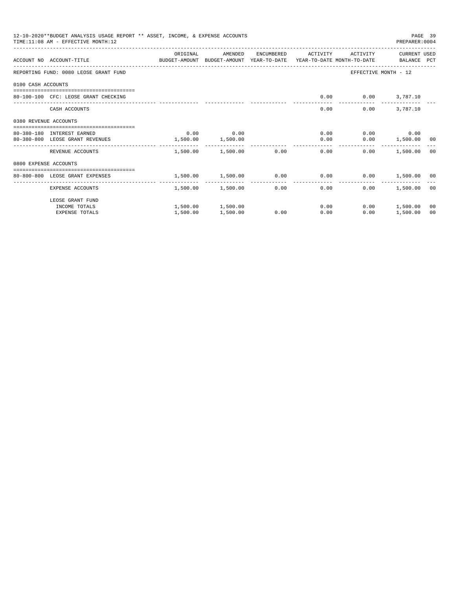|                       | 12-10-2020**BUDGET ANALYSIS USAGE REPORT ** ASSET, INCOME, & EXPENSE ACCOUNTS<br>TIME: 11:08 AM - EFFECTIVE MONTH: 12 |          |                        |              |                                                             |                          | PAGE 39<br>PREPARER: 0004 |    |
|-----------------------|-----------------------------------------------------------------------------------------------------------------------|----------|------------------------|--------------|-------------------------------------------------------------|--------------------------|---------------------------|----|
|                       |                                                                                                                       | ORIGINAL | AMENDED                | ENCUMBERED   | ACTIVITY                                                    | ACTIVITY                 | CURRENT USED              |    |
|                       | ACCOUNT NO ACCOUNT-TITLE COMPUTE BUDGET-AMOUNT BUDGET-AMOUNT YEAR-TO-DATE YEAR-TO-DATE MONTH-TO-DATE BALANCE PCT      |          |                        |              |                                                             |                          |                           |    |
|                       | REPORTING FUND: 0080 LEOSE GRANT FUND                                                                                 |          |                        |              |                                                             | EFFECTIVE MONTH - 12     |                           |    |
| 0100 CASH ACCOUNTS    |                                                                                                                       |          |                        |              |                                                             |                          |                           |    |
|                       | 80-100-100 CFC: LEOSE GRANT CHECKING                                                                                  |          |                        |              |                                                             | $0.00$ $0.00$ $3,787.10$ |                           |    |
|                       | CASH ACCOUNTS                                                                                                         |          |                        |              | 0.00                                                        | 0.00                     | 3,787.10                  |    |
| 0380 REVENUE ACCOUNTS |                                                                                                                       |          |                        |              |                                                             |                          |                           |    |
|                       | 80-380-180 INTEREST EARNED                                                                                            | 0.00     | 0.00                   |              | 0.00                                                        |                          | $0.00$ 0.00               |    |
|                       | 80-380-800 LEOSE GRANT REVENUES                                                                                       | 1,500.00 | 1,500.00               |              | 0.00                                                        |                          | $0.00$ 1,500.00 00        |    |
|                       | REVENUE ACCOUNTS                                                                                                      |          | 1,500.00 1,500.00 0.00 |              | 0.00                                                        | 0.00                     | 1,500.00 00               |    |
| 0800 EXPENSE ACCOUNTS |                                                                                                                       |          |                        |              |                                                             |                          |                           |    |
|                       | ------------------------------------<br>80-800-800 LEOSE GRANT EXPENSES                                               |          |                        |              | $1,500.00$ $1,500.00$ $0.00$ $0.00$ $0.00$ $1,500.00$ $0.0$ |                          |                           |    |
|                       |                                                                                                                       | -------- | ------------           | ------------ | --------------                                              |                          |                           |    |
|                       | EXPENSE ACCOUNTS                                                                                                      |          | 1,500.00 1,500.00      |              | 0.00<br>0.00                                                | 0.00                     | 1,500.00 00               |    |
|                       | LEOSE GRANT FUND                                                                                                      |          |                        |              |                                                             |                          |                           |    |
|                       | INCOME TOTALS                                                                                                         |          | 1,500.00 1,500.00      |              | 0.00                                                        |                          | $0.00$ 1,500.00           | 00 |
|                       | <b>EXPENSE TOTALS</b>                                                                                                 | 1,500.00 | 1,500.00               | 0.00         | 0.00                                                        | 0.00                     | 1,500.00                  | 00 |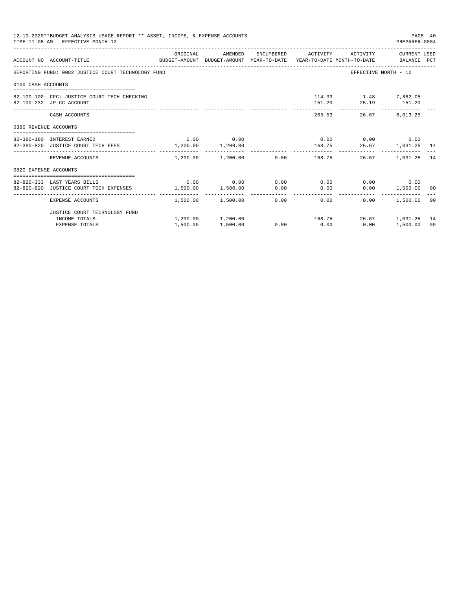|                       | 12-10-2020**BUDGET ANALYSIS USAGE REPORT ** ASSET, INCOME, & EXPENSE ACCOUNTS<br>TIME: 11:08 AM - EFFECTIVE MONTH: 12 |          |                                     |      |      |                                             | PREPARER: 0004                                         | PAGE 40 |
|-----------------------|-----------------------------------------------------------------------------------------------------------------------|----------|-------------------------------------|------|------|---------------------------------------------|--------------------------------------------------------|---------|
|                       | ACCOUNT NO ACCOUNT-TITLE CONTROL SUDGET-AMOUNT BUDGET-AMOUNT YEAR-TO-DATE YEAR-TO-DATE MONTH-TO-DATE BALANCE PCT      | ORIGINAL |                                     |      |      |                                             | AMENDED ENCUMBERED ACTIVITY ACTIVITY CURRENTUSED       |         |
|                       | REPORTING FUND: 0082 JUSTICE COURT TECHNOLOGY FUND                                                                    |          |                                     |      |      |                                             | EFFECTIVE MONTH - 12                                   |         |
| 0100 CASH ACCOUNTS    |                                                                                                                       |          |                                     |      |      |                                             |                                                        |         |
|                       | 82-100-100 CFC: JUSTICE COURT TECH CHECKING<br>82-100-232 JP CC ACCOUNT                                               |          |                                     |      |      | 114.33 1.48 7,862.05<br>151.20 25.19 151.20 |                                                        |         |
|                       | CASH ACCOUNTS                                                                                                         |          |                                     |      |      | 265.53                                      | 26.67 8,013.25                                         |         |
| 0380 REVENUE ACCOUNTS |                                                                                                                       |          |                                     |      |      |                                             |                                                        |         |
|                       | 82-380-180 INTEREST EARNED                                                                                            |          | $0.00$ 0.00                         |      |      |                                             | $0.00$ $0.00$ $0.00$ $0.00$                            |         |
|                       | 82-380-820 JUSTICE COURT TECH FEES 1,200.00 1,200.00                                                                  |          |                                     |      |      |                                             | 168.75 26.67 1,031.25 14                               |         |
|                       | REVENUE ACCOUNTS                                                                                                      |          | $1,200.00$ $1,200.00$ 0.00 $168.75$ |      |      |                                             | 26.67 1.031.25 14                                      |         |
| 0820 EXPENSE ACCOUNTS |                                                                                                                       |          |                                     |      |      |                                             |                                                        |         |
|                       |                                                                                                                       |          |                                     |      |      |                                             |                                                        |         |
|                       | 82-820-333 LAST YEARS BILLS                                                                                           |          | $0.00$ $0.00$ $0.00$ $0.00$ $0.00$  |      |      |                                             | $0.00$ 0.00                                            |         |
|                       | 82-820-820 JUSTICE COURT TECH EXPENSES $1,500.00$ $1,500.00$ $0.00$ $0.00$                                            |          |                                     |      |      |                                             | $0.00$ 1,500.00 00                                     |         |
|                       | EXPENSE ACCOUNTS                                                                                                      |          | $1,500.00$ $1,500.00$ $0.00$ $0.00$ |      |      |                                             | 0.00<br>1,500.00 00                                    |         |
|                       | JUSTICE COURT TECHNOLOGY FUND                                                                                         |          |                                     |      |      |                                             |                                                        |         |
|                       | INCOME TOTALS                                                                                                         |          |                                     |      |      |                                             | $1,200.00$ $1,200.00$ $168.75$ $26.67$ $1,031.25$ $14$ |         |
|                       | <b>EXPENSE TOTALS</b>                                                                                                 | 1,500.00 | 1,500.00                            | 0.00 | 0.00 | 0.00                                        | 1,500.00                                               | 00      |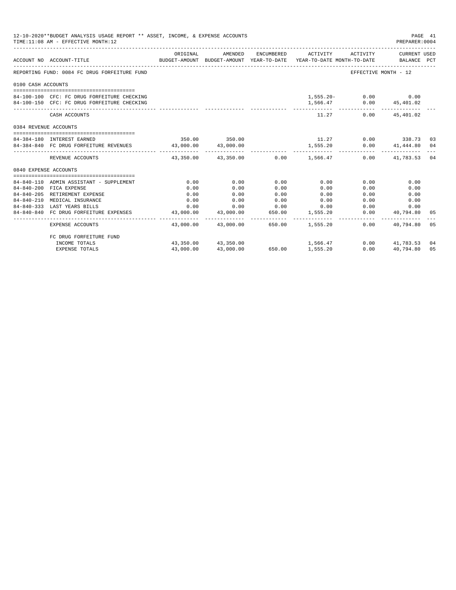|                       | 12-10-2020**BUDGET ANALYSIS USAGE REPORT ** ASSET, INCOME, & EXPENSE ACCOUNTS<br>PAGE 41<br>TIME: 11:08 AM - EFFECTIVE MONTH: 12<br>PREPARER: 0004 |                                                                                 |                     |                               |                                           |                         |                                        |    |  |  |
|-----------------------|----------------------------------------------------------------------------------------------------------------------------------------------------|---------------------------------------------------------------------------------|---------------------|-------------------------------|-------------------------------------------|-------------------------|----------------------------------------|----|--|--|
|                       | ACCOUNT NO ACCOUNT-TITLE                                                                                                                           | BUDGET-AMOUNT BUDGET-AMOUNT YEAR-TO-DATE YEAR-TO-DATE MONTH-TO-DATE BALANCE PCT |                     |                               |                                           |                         |                                        |    |  |  |
|                       | REPORTING FUND: 0084 FC DRUG FORFEITURE FUND                                                                                                       |                                                                                 |                     |                               |                                           |                         | EFFECTIVE MONTH - 12                   |    |  |  |
| 0100 CASH ACCOUNTS    |                                                                                                                                                    |                                                                                 |                     |                               |                                           |                         |                                        |    |  |  |
|                       |                                                                                                                                                    |                                                                                 |                     |                               |                                           |                         |                                        |    |  |  |
|                       | 84-100-100 CFC: FC DRUG FORFEITURE CHECKING                                                                                                        |                                                                                 |                     |                               |                                           | $1,555.20 - 0.00$ 0.00  |                                        |    |  |  |
|                       | 84-100-150 CFC: FC DRUG FORFEITURE CHECKING                                                                                                        |                                                                                 |                     |                               |                                           | 1,566.47 0.00 45,401.02 |                                        |    |  |  |
|                       | CASH ACCOUNTS                                                                                                                                      |                                                                                 |                     |                               | 11.27                                     |                         | $0.00$ 45,401.02                       |    |  |  |
| 0384 REVENUE ACCOUNTS |                                                                                                                                                    |                                                                                 |                     |                               |                                           |                         |                                        |    |  |  |
|                       |                                                                                                                                                    |                                                                                 |                     |                               |                                           |                         |                                        |    |  |  |
|                       | 84-384-180 INTEREST EARNED                                                                                                                         |                                                                                 | 350.00 350.00       |                               | $11.27$ 0.00 338.73 03                    |                         |                                        |    |  |  |
|                       | 84-384-840 FC DRUG FORFEITURE REVENUES 43,000.00 43,000.00                                                                                         |                                                                                 |                     |                               | 1,555.20<br>------------                  |                         | $0.00$ $41,444.80$ $04$                |    |  |  |
|                       | REVENUE ACCOUNTS                                                                                                                                   |                                                                                 |                     |                               | $43,350.00$ $43,350.00$ $0.00$ $1,566.47$ |                         | $0.00$ $41,783.53$ 04                  |    |  |  |
| 0840 EXPENSE ACCOUNTS |                                                                                                                                                    |                                                                                 |                     |                               |                                           |                         |                                        |    |  |  |
|                       |                                                                                                                                                    |                                                                                 |                     |                               |                                           |                         |                                        |    |  |  |
|                       | 84-840-110 ADMIN ASSISTANT - SUPPLEMENT                                                                                                            | 0.00                                                                            | 0.00                | 0.00                          | 0.00                                      | 0.00                    | 0.00                                   |    |  |  |
|                       | 84-840-200 FICA EXPENSE                                                                                                                            | 0.00                                                                            | 0.00                | 0.00                          | 0.00                                      | 0.00                    | 0.00                                   |    |  |  |
|                       | 84-840-205 RETIREMENT EXPENSE                                                                                                                      | 0.00                                                                            | 0.00                | 0.00                          | 0.00                                      | 0.00                    | 0.00                                   |    |  |  |
| $84 - 840 - 210$      | MEDICAL INSURANCE                                                                                                                                  | 0.00                                                                            | 0.00                | 0.00                          | 0.00                                      |                         | 0.00<br>0.00                           |    |  |  |
|                       | 84-840-333 LAST YEARS BILLS                                                                                                                        |                                                                                 |                     |                               | $0.00$ $0.00$ $0.00$ $0.00$ $0.00$        |                         | 0.00<br>0.00                           |    |  |  |
|                       | 84-840-840 FC DRUG FORFEITURE EXPENSES                                                                                                             |                                                                                 | 43,000.00 43,000.00 | _____________________________ | 650.00 1,555.20<br>. <u>.</u>             | ----------- .           | $0.00$ $40,794.80$ 05<br>------------- |    |  |  |
|                       | EXPENSE ACCOUNTS                                                                                                                                   |                                                                                 |                     |                               | 43,000.00  43,000.00  650.00  1,555.20    | 0.00                    | 40,794.80 05                           |    |  |  |
|                       | FC DRUG FORFEITURE FUND                                                                                                                            |                                                                                 |                     |                               |                                           |                         |                                        |    |  |  |
|                       | INCOME TOTALS                                                                                                                                      |                                                                                 | 43,350.00 43,350.00 | 650.00                        | 1,566.47                                  |                         | $0.00$ $41.783.53$ 04                  |    |  |  |
|                       | EXPENSE TOTALS                                                                                                                                     | 43,000.00                                                                       | 43,000.00           | 650.00                        | 1,555.20                                  | 0.00                    | 40,794.80                              | 05 |  |  |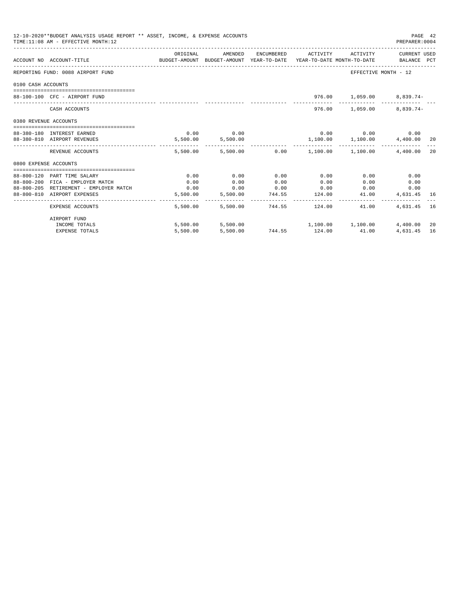| 12-10-2020**BUDGET ANALYSIS USAGE REPORT ** ASSET, INCOME, & EXPENSE ACCOUNTS<br>PAGE 42<br>TIME: 11:08 AM - EFFECTIVE MONTH: 12<br>PREPARER: 0004 |                                   |                                                                                             |                   |      |      |                                                               |              |     |  |
|----------------------------------------------------------------------------------------------------------------------------------------------------|-----------------------------------|---------------------------------------------------------------------------------------------|-------------------|------|------|---------------------------------------------------------------|--------------|-----|--|
|                                                                                                                                                    | ACCOUNT NO ACCOUNT-TITLE          | ORIGINAL<br>BUDGET-AMOUNT BUDGET-AMOUNT YEAR-TO-DATE YEAR-TO-DATE MONTH-TO-DATE BALANCE PCT | AMENDED           |      |      | ENCUMBERED ACTIVITY ACTIVITY CURRENT USED                     |              |     |  |
|                                                                                                                                                    | REPORTING FUND: 0088 AIRPORT FUND |                                                                                             |                   |      |      | EFFECTIVE MONTH - 12                                          |              |     |  |
| 0100 CASH ACCOUNTS                                                                                                                                 |                                   |                                                                                             |                   |      |      |                                                               |              |     |  |
|                                                                                                                                                    | 88-100-100 CFC - AIRPORT FUND     |                                                                                             |                   |      |      | 976.00 1,059.00 8,839.74-                                     |              |     |  |
|                                                                                                                                                    | CASH ACCOUNTS                     |                                                                                             |                   |      |      | 976.00 1,059.00 8,839.74-                                     |              |     |  |
| 0380 REVENUE ACCOUNTS                                                                                                                              |                                   |                                                                                             |                   |      |      |                                                               |              |     |  |
|                                                                                                                                                    | 88-380-180 INTEREST EARNED        |                                                                                             | $0.00$ 0.00       |      |      | $0.00$ $0.00$ $0.00$ $0.00$                                   |              |     |  |
|                                                                                                                                                    | 88-380-810 AIRPORT REVENUES       |                                                                                             | 5,500.00 5,500.00 |      |      | $1,100.00$ $1,100.00$ $4,400.00$ $20$                         |              |     |  |
|                                                                                                                                                    | REVENUE ACCOUNTS                  |                                                                                             |                   |      |      | $5.500.00$ $5.500.00$ $0.00$ $1.100.00$ $1.100.00$ $4.400.00$ |              | 2.0 |  |
| 0800 EXPENSE ACCOUNTS                                                                                                                              |                                   |                                                                                             |                   |      |      |                                                               |              |     |  |
|                                                                                                                                                    |                                   |                                                                                             |                   |      |      |                                                               |              |     |  |
|                                                                                                                                                    | 88-800-120 PART TIME SALARY       | 0.00                                                                                        | 0.00              | 0.00 | 0.00 | 0.00                                                          | 0.00         |     |  |
|                                                                                                                                                    | 88-800-200 FICA - EMPLOYER MATCH  | 0.00                                                                                        | 0.00              | 0.00 | 0.00 | 0.00                                                          | 0.00<br>0.00 |     |  |
|                                                                                                                                                    | 88-800-810 AIRPORT EXPENSES       |                                                                                             |                   |      |      | $5,500.00$ $5,500.00$ $744.55$ $124.00$ $41.00$               | 4,631.45 16  |     |  |
|                                                                                                                                                    | EXPENSE ACCOUNTS                  |                                                                                             |                   |      |      | 5,500.00 5,500.00 744.55 124.00 41.00                         | 4,631,45 16  |     |  |
|                                                                                                                                                    | AIRPORT FUND                      |                                                                                             |                   |      |      |                                                               |              |     |  |
|                                                                                                                                                    | INCOME TOTALS                     |                                                                                             |                   |      |      | 5,500.00 5,500.00 1,100.00 1,100.00                           | 4,400.00     | 20  |  |
|                                                                                                                                                    | <b>EXPENSE TOTALS</b>             |                                                                                             |                   |      |      | 5,500.00 5,500.00 744.55 124.00 41.00                         | 4,631.45     | 16  |  |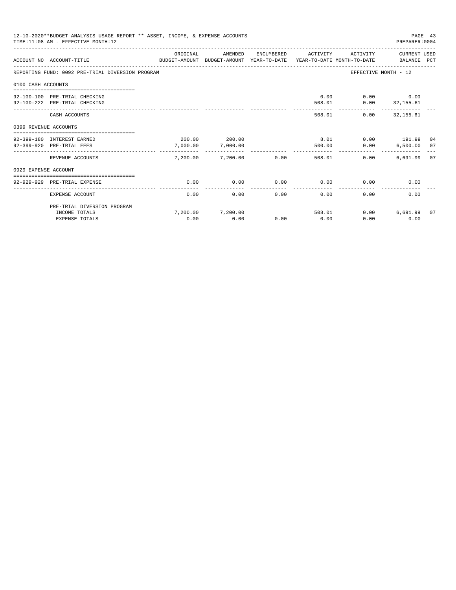|                       | 12-10-2020**BUDGET ANALYSIS USAGE REPORT ** ASSET, INCOME, & EXPENSE ACCOUNTS<br>PAGE 43<br>TIME: 11:08 AM - EFFECTIVE MONTH: 12<br>PREPARER: 0004 |                                 |                                                                  |      |                     |                |                                     |  |  |  |
|-----------------------|----------------------------------------------------------------------------------------------------------------------------------------------------|---------------------------------|------------------------------------------------------------------|------|---------------------|----------------|-------------------------------------|--|--|--|
|                       | ACCOUNT NO ACCOUNT-TITLE<br>BUDGET-AMOUNT                                                                                                          | ORIGINAL                        | AMENDED<br>BUDGET-AMOUNT YEAR-TO-DATE YEAR-TO-DATE MONTH-TO-DATE |      | ENCUMBERED ACTIVITY | ACTIVITY       | CURRENT USED<br>BALANCE PCT         |  |  |  |
|                       | REPORTING FUND: 0092 PRE-TRIAL DIVERSION PROGRAM                                                                                                   |                                 |                                                                  |      |                     |                | EFFECTIVE MONTH - 12                |  |  |  |
| 0100 CASH ACCOUNTS    |                                                                                                                                                    |                                 |                                                                  |      |                     |                |                                     |  |  |  |
|                       | ==============================                                                                                                                     |                                 |                                                                  |      |                     |                |                                     |  |  |  |
|                       | 92-100-100 PRE-TRIAL CHECKING                                                                                                                      |                                 |                                                                  |      | 0.00                |                | $0.00$ 0.00                         |  |  |  |
|                       | 92-100-222 PRE-TRIAL CHECKING                                                                                                                      | ---------------- -------------- |                                                                  |      | 508.01              |                | $0.00$ $32,155.61$<br>------------- |  |  |  |
|                       | CASH ACCOUNTS                                                                                                                                      |                                 |                                                                  |      |                     | 508.01         | $0.00$ 32.155.61                    |  |  |  |
| 0399 REVENUE ACCOUNTS |                                                                                                                                                    |                                 |                                                                  |      |                     |                |                                     |  |  |  |
|                       | --------------------------------                                                                                                                   |                                 |                                                                  |      |                     |                |                                     |  |  |  |
|                       | 92-399-180 INTEREST EARNED<br>92-399-920 PRE-TRIAL FEES                                                                                            | 7,000.00                        | 200.00 200.00                                                    |      | 8.01<br>500.00      |                | $0.00$ 191.99 04                    |  |  |  |
|                       |                                                                                                                                                    | .                               | 7,000.00<br>-------------                                        |      |                     | 0.00           | 6,500.00 07                         |  |  |  |
|                       | REVENUE ACCOUNTS                                                                                                                                   | 7.200.00                        | 7,200.00                                                         | 0.00 |                     | 508.01<br>0.00 | 6,691.99 07                         |  |  |  |
| 0929 EXPENSE ACCOUNT  |                                                                                                                                                    |                                 |                                                                  |      |                     |                |                                     |  |  |  |
|                       |                                                                                                                                                    |                                 |                                                                  |      |                     |                |                                     |  |  |  |
|                       | 92-929-929 PRE-TRIAL EXPENSE                                                                                                                       | 0.00                            | 0.00                                                             | 0.00 | 0.00                | 0.00           | 0.00                                |  |  |  |
|                       | EXPENSE ACCOUNT                                                                                                                                    | 0.00                            | 0.00                                                             | 0.00 | 0.00                | 0.00           | 0.00                                |  |  |  |
|                       | PRE-TRIAL DIVERSION PROGRAM                                                                                                                        |                                 |                                                                  |      |                     |                |                                     |  |  |  |
|                       | INCOME TOTALS                                                                                                                                      |                                 | 7,200.00 7,200.00                                                |      | 508.01              | 0.00           | 6,691.99 07                         |  |  |  |
|                       | <b>EXPENSE TOTALS</b>                                                                                                                              | 0.00                            | 0.00                                                             | 0.00 | 0.00                | 0.00           | 0.00                                |  |  |  |